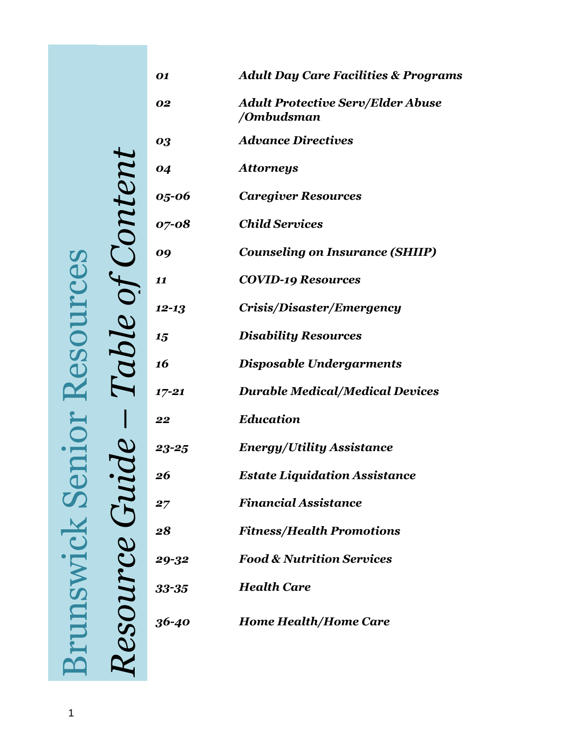| Table of Content  | 01        | <b>Adult Day Care Facilities &amp; Programs</b>        |
|-------------------|-----------|--------------------------------------------------------|
|                   | 02        | <b>Adult Protective Serv/Elder Abuse</b><br>/Ombudsman |
|                   | 03        | <b>Advance Directives</b>                              |
|                   | 04        | <b>Attorneys</b>                                       |
|                   | 05-06     | <b>Caregiver Resources</b>                             |
|                   | 07-08     | <b>Child Services</b>                                  |
|                   | 09        | <b>Counseling on Insurance (SHIIP)</b>                 |
|                   | 11        | <b>COVID-19 Resources</b>                              |
|                   | $12 - 13$ | Crisis/Disaster/Emergency                              |
|                   | 15        | <b>Disability Resources</b>                            |
|                   | 16        | <b>Disposable Undergarments</b>                        |
|                   | $17 - 21$ | <b>Durable Medical/Medical Devices</b>                 |
|                   | 22        | <b>Education</b>                                       |
|                   | $23 - 25$ | <b>Energy/Utility Assistance</b>                       |
|                   | 26        | <b>Estate Liquidation Assistance</b>                   |
|                   | 27        | <b>Financial Assistance</b>                            |
|                   | 28        | <b>Fitness/Health Promotions</b>                       |
|                   | 29-32     | <b>Food &amp; Nutrition Services</b>                   |
| <b>Resource</b> ( | 33-35     | <b>Health Care</b>                                     |
|                   | 36-40     | <b>Home Health/Home Care</b>                           |
|                   |           |                                                        |

**Brunswick Senior Resources** Brunswick Senior Resources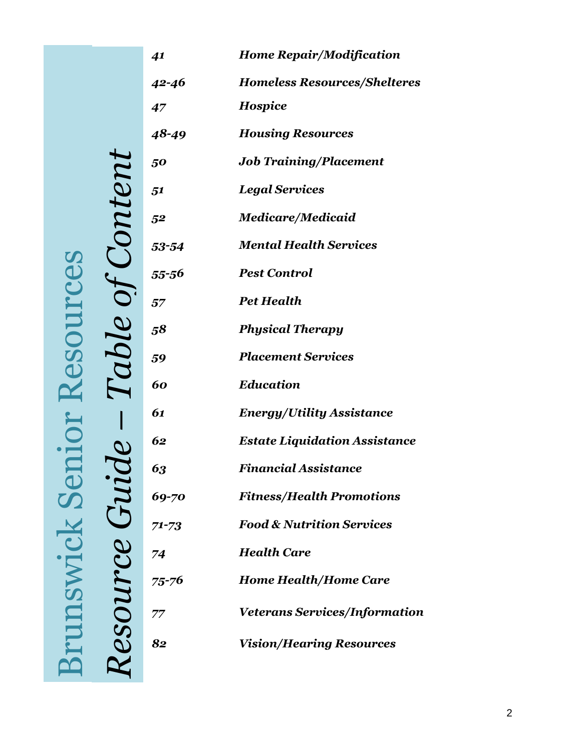|                | 41        | <b>Home Repair/Modification</b>      |
|----------------|-----------|--------------------------------------|
|                | 42-46     | <b>Homeless Resources/Shelteres</b>  |
|                | 47        | <b>Hospice</b>                       |
|                | 48-49     | <b>Housing Resources</b>             |
|                | 50        | <b>Job Training/Placement</b>        |
|                | 51        | <b>Legal Services</b>                |
|                | 52        | <b>Medicare/Medicaid</b>             |
| <i>Content</i> | 53-54     | <b>Mental Health Services</b>        |
|                | 55-56     | <b>Pest Control</b>                  |
|                | 57        | <b>Pet Health</b>                    |
|                | 58        | <b>Physical Therapy</b>              |
| Table of       | 59        | <b>Placement Services</b>            |
|                | 60        | <b>Education</b>                     |
|                | 61        | <b>Energy/Utility Assistance</b>     |
|                | 62        | <b>Estate Liquidation Assistance</b> |
|                | 63        | Financial Assistance                 |
|                | 69-70     | <b>Fitness/Health Promotions</b>     |
|                | $71 - 73$ | <b>Food &amp; Nutrition Services</b> |
|                | 74        | <b>Health Care</b>                   |
|                | 75-76     | <b>Home Health/Home Care</b>         |
|                | 77        | <b>Veterans Services/Information</b> |
| Resource Gui   | 82        | <b>Vision/Hearing Resources</b>      |
|                |           |                                      |

Resource Guide - Table of Content **Brunswick Senior Resources** Brunswick Senior Resources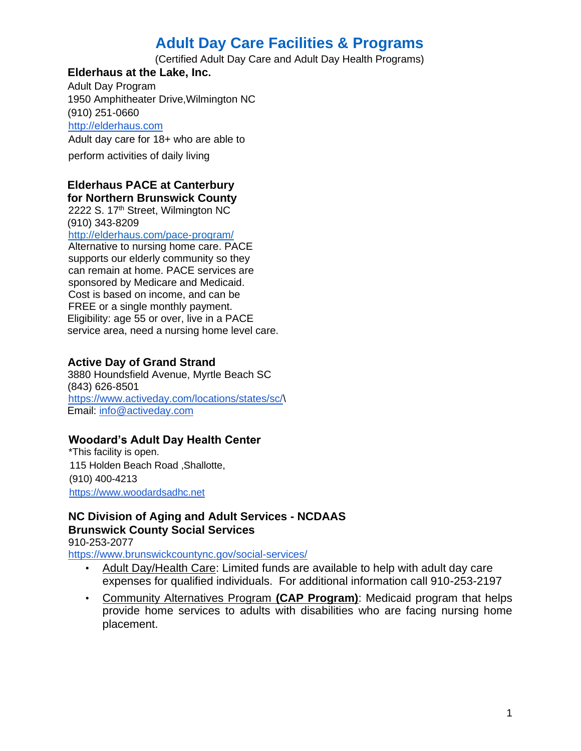# **Adult Day Care Facilities & Programs**

(Certified Adult Day Care and Adult Day Health Programs)

### **Elderhaus at the Lake, Inc.**

Adult Day Program 1950 Amphitheater Drive,Wilmington NC (910) 251-0660 [http://elderhaus.com](http://elderhaus.com/) Adult day care for 18+ who are able to perform activities of daily living

#### **Elderhaus PACE at Canterbury for Northern Brunswick County**

2222 S. 17<sup>th</sup> Street, Wilmington NC (910) 343-8209 <http://elderhaus.com/pace-program/>

Alternative to nursing home care. PACE supports our elderly community so they can remain at home. PACE services are sponsored by Medicare and Medicaid. Cost is based on income, and can be FREE or a single monthly payment. Eligibility: age 55 or over, live in a PACE service area, need a nursing home level care.

#### **Active Day of Grand Strand**

3880 Houndsfield Avenue, Myrtle Beach SC (843) 626-8501 [https://www.activeday.com/locations/states/sc/\](https://www.activeday.com/locations/states/sc/) Email: info@activeday.com

## **Woodard's Adult Day Health Center**

\*This facility is open. 115 Holden Beach Road ,Shallotte, (910) 400-4213 https://www.woodardsadhc.net

## **NC Division of Aging and Adult Services - NCDAAS Brunswick County Social Services**

910-253-2077

<https://www.brunswickcountync.gov/social-services/>

- Adult Day/Health Care: Limited funds are available to help with adult day care expenses for qualified individuals. For additional information call 910-253-2197
- Community Alternatives Program **(CAP Program)**: Medicaid program that helps provide home services to adults with disabilities who are facing nursing home placement.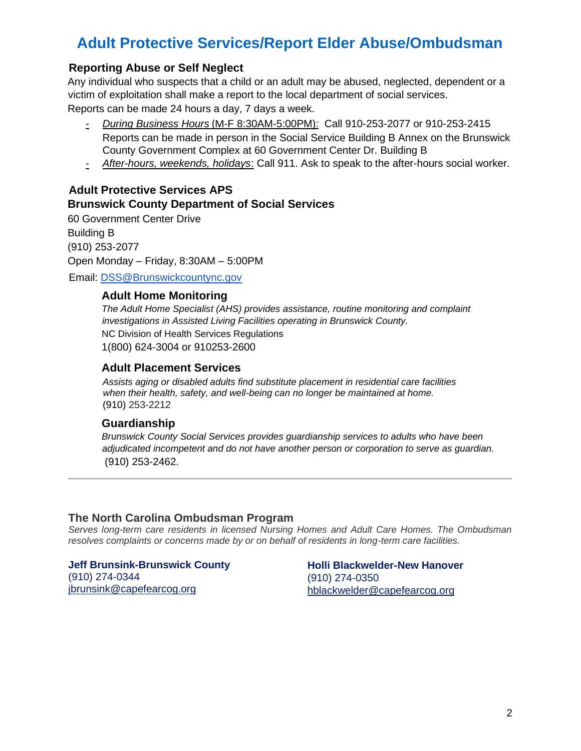# **Adult Protective Services/Report Elder Abuse/Ombudsman**

## **Reporting Abuse or Self Neglect**

Any individual who suspects that a child or an adult may be abused, neglected, dependent or a victim of exploitation shall make a report to the local department of social services. Reports can be made 24 hours a day, 7 days a week.

- *- During Business Hours* (M-F 8:30AM-5:00PM): Call 910-253-2077 or 910-253-2415 Reports can be made in person in the Social Service Building B Annex on the Brunswick County Government Complex at 60 Government Center Dr. Building B
- *- After-hours, weekends, holidays*: Call 911. Ask to speak to the after-hours social worker.

## **Adult Protective Services APS Brunswick County Department of Social Services**

60 Government Center Drive Building B (910) 253-2077 Open Monday – Friday, 8:30AM – 5:00PM

Email: DSS@Brunswickcountync.gov

#### **Adult Home Monitoring**

*The Adult Home Specialist (AHS) provides assistance, routine monitoring and complaint investigations in Assisted Living Facilities operating in Brunswick County.*  NC Division of Health Services Regulations 1(800) 624-3004 or 910253-2600

### **Adult Placement Services**

*Assists aging or disabled adults find substitute placement in residential care facilities when their health, safety, and well-being can no longer be maintained at home.* (910) 253-2212

#### **Guardianship**

*Brunswick County Social Services provides guardianship services to adults who have been adjudicated incompetent and do not have another person or corporation to serve as guardian.* (910) 253-2462.

#### **The North Carolina Ombudsman Program**

*Serves long-term care residents in licensed Nursing Homes and Adult Care Homes. The Ombudsman resolves complaints or concerns made by or on behalf of residents in long-term care facilities.*

**Jeff Brunsink-Brunswick County** (910) 274-0344 [jbrunsink@capefearcog.org](about:blank)

**Holli Blackwelder-New Hanover** (910) 274-0350 [hblackwelder@capefearcog.org](mailto:hblackwelder@capefearcog.org)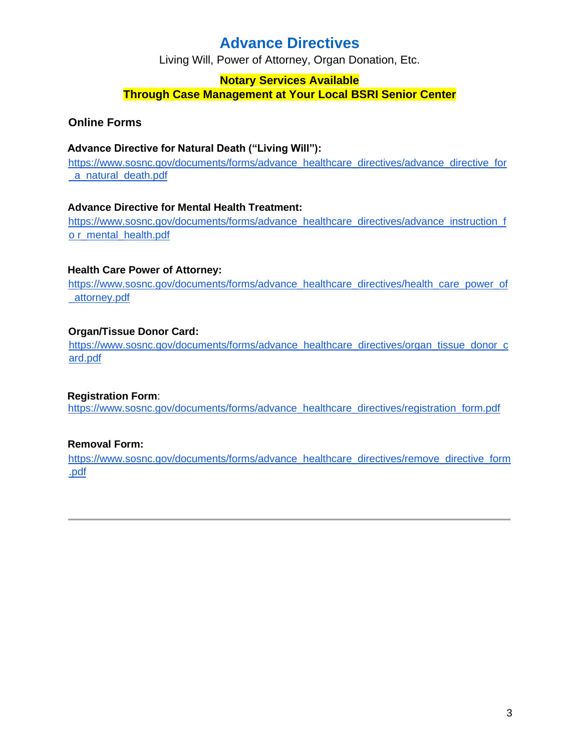# **Advance Directives**

Living Will, Power of Attorney, Organ Donation, Etc.

## **Notary Services Available Through Case Management at Your Local BSRI Senior Center**

## **Online Forms**

### **Advance Directive for Natural Death ("Living Will")[:](https://www.sosnc.gov/documents/forms/advance_healthcare_directives/advance_directive_for_a_natural_death.pdf)**

https://www.sosnc.gov/documents/forms/advance\_healthcare\_directives/advance\_directive\_for [\\_a\\_natural\\_death.pdf](https://www.sosnc.gov/documents/forms/advance_healthcare_directives/advance_directive_for_a_natural_death.pdf)

#### **Advance Directive for Mental Health Treatment[:](https://www.sosnc.gov/documents/forms/advance_healthcare_directives/advance_instruction_for_mental_health.pdf)**

[https://www.sosnc.gov/documents/forms/advance\\_healthcare\\_directives/advance\\_instruction\\_f](https://www.sosnc.gov/documents/forms/advance_healthcare_directives/advance_instruction_for_mental_health.pdf) [o r\\_mental\\_health.pdf](https://www.sosnc.gov/documents/forms/advance_healthcare_directives/advance_instruction_for_mental_health.pdf)

#### **Health Care Power of Attorney[:](https://www.sosnc.gov/documents/forms/advance_healthcare_directives/health_care_power_of_attorney.pdf)**

https://www.sosnc.gov/documents/forms/advance\_healthcare\_directives/health\_care\_power\_of [\\_attorney.pdf](https://www.sosnc.gov/documents/forms/advance_healthcare_directives/health_care_power_of_attorney.pdf)

## **Organ/Tissue Donor Card:**

https://www.sosnc.gov/documents/forms/advance\_healthcare\_directives/organ\_tissue\_donor\_c [ard.pdf](https://www.sosnc.gov/documents/forms/advance_healthcare_directives/organ_tissue_donor_card.pdf)

#### **Registration Form**[:](https://www.sosnc.gov/documents/forms/advance_healthcare_directives/registration_form.pdf)

[https://www.sosnc.gov/documents/forms/advance\\_healthcare\\_directives/registration\\_form.pdf](https://www.sosnc.gov/documents/forms/advance_healthcare_directives/registration_form.pdf)

## **Removal Form[:](https://www.sosnc.gov/documents/forms/advance_healthcare_directives/remove_directive_form.pdf)**

[https://www.sosnc.gov/documents/forms/advance\\_healthcare\\_directives/remove\\_directive\\_form](https://www.sosnc.gov/documents/forms/advance_healthcare_directives/remove_directive_form.pdf)  [.pdf](https://www.sosnc.gov/documents/forms/advance_healthcare_directives/remove_directive_form.pdf)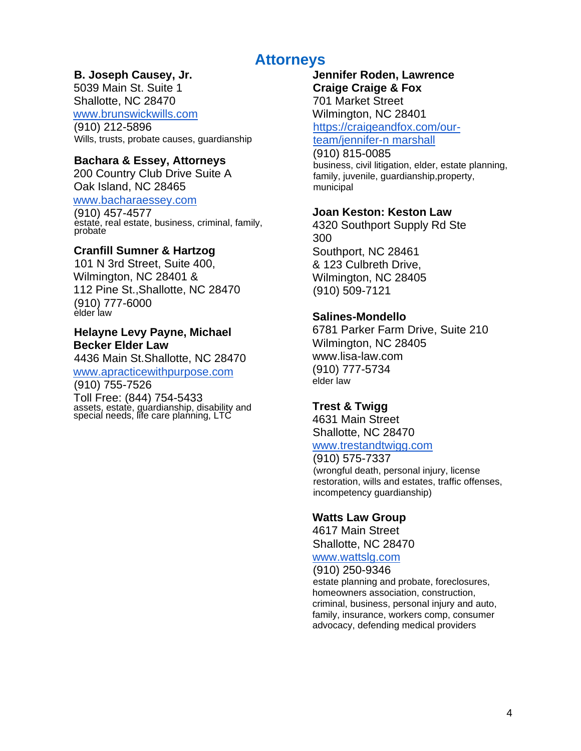# **Attorneys**

## **B. Joseph Causey, Jr.**

5039 Main St. Suite 1 Shallotte, NC 28470 www.brunswickwills.com (910) 212-5896

Wills, trusts, probate causes, guardianship

## **Bachara & Essey, Attorneys**

200 Country Club Drive Suite A Oak Island, NC 28465

www.bacharaessey.com

(910) 457-4577 estate, real estate, business, criminal, family, probate

## **Cranfill Sumner & Hartzog**

101 N 3rd Street, Suite 400, Wilmington, NC 28401 & 112 Pine St.,Shallotte, NC 28470 (910) 777-6000 elder law

## **Helayne Levy Payne, Michael Becker Elder Law**

4436 Main St.Shallotte, NC 28470 www.apracticewithpurpose.com

(910) 755-7526

Toll Free: (844) 754-5433 assets, estate, guardianship, disability and special needs, life care planning, LTC

## **Jennifer Roden, Lawrence Craige Craige & Fox**

701 Market Street Wilmington, NC 28401 https://craigeandfox.com/our-

team/jennifer-n marshall

## (910) 815-0085

business, civil litigation, elder, estate planning, family, juvenile, guardianship,property, municipal

## **Joan Keston: Keston Law**

4320 Southport Supply Rd Ste 300 Southport, NC 28461 & 123 Culbreth Drive, Wilmington, NC 28405 (910) 509-7121

## **Salines-Mondello**

6781 Parker Farm Drive, Suite 210 Wilmington, NC 28405 www.lisa-law.com (910) 777-5734 elder law

## **Trest & Twigg**

4631 Main Street Shallotte, NC 28470 www.trestandtwigg.com

#### (910) 575-7337 (wrongful death, personal injury, license restoration, wills and estates, traffic offenses, incompetency guardianship)

## **Watts Law Group**

4617 Main Street Shallotte, NC 28470

## www.wattslg.com

(910) 250-9346 estate planning and probate, foreclosures, homeowners association, construction, criminal, business, personal injury and auto, family, insurance, workers comp, consumer advocacy, defending medical providers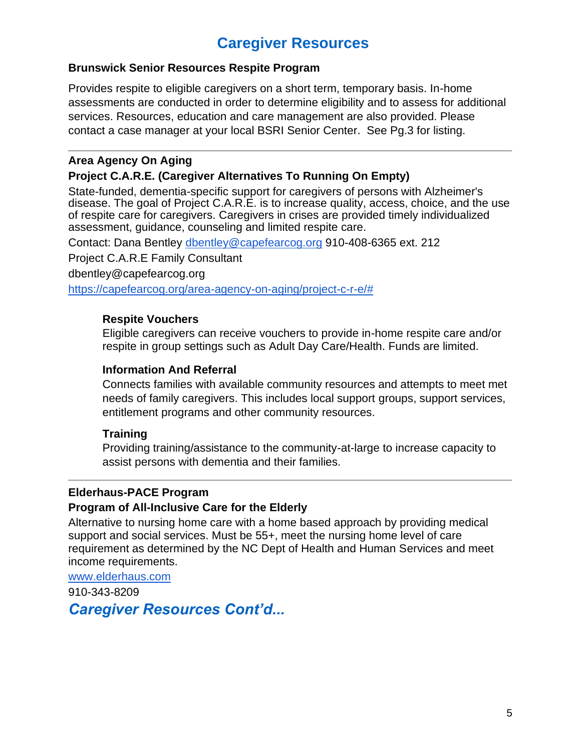# **Caregiver Resources**

## **Brunswick Senior Resources Respite Program**

Provides respite to eligible caregivers on a short term, temporary basis. In-home assessments are conducted in order to determine eligibility and to assess for additional services. Resources, education and care management are also provided. Please contact a case manager at your local BSRI Senior Center. See Pg.3 for listing.

## **Area Agency On Aging**

## **Project C.A.R.E. (Caregiver Alternatives To Running On Empty)**

State-funded, dementia-specific support for caregivers of persons with Alzheimer's disease. The goal of Project C.A.R.E. is to increase quality, access, choice, and the use of respite care for caregivers. Caregivers in crises are provided timely individualized assessment, guidance, counseling and limited respite care.

Contact: Dana Bentley [dbentley@capefearcog.org](mailto:dbentley@capefearcog.org) 910-408-6365 ext. 212

Project C.A.R.E Family Consultant

dbentley@capefearcog.org

[https://capefearcog.org/area-agency-on-aging/project-c-r-e/#](https://capefearcog.org/area-agency-on-aging/project-c-r-e/)

## **Respite Vouchers**

Eligible caregivers can receive vouchers to provide in-home respite care and/or respite in group settings such as Adult Day Care/Health. Funds are limited.

## **Information And Referral**

Connects families with available community resources and attempts to meet met needs of family caregivers. This includes local support groups, support services, entitlement programs and other community resources.

## **Training**

Providing training/assistance to the community-at-large to increase capacity to assist persons with dementia and their families.

## **Elderhaus-PACE Program**

## **Program of All-Inclusive Care for the Elderly**

Alternative to nursing home care with a home based approach by providing medical support and social services. Must be 55+, meet the nursing home level of care requirement as determined by the NC Dept of Health and Human Services and meet income requirements.

#### [www.elderhaus.com](http://www.elderhaus.com/)

910-343-8209

*Caregiver Resources Cont'd...*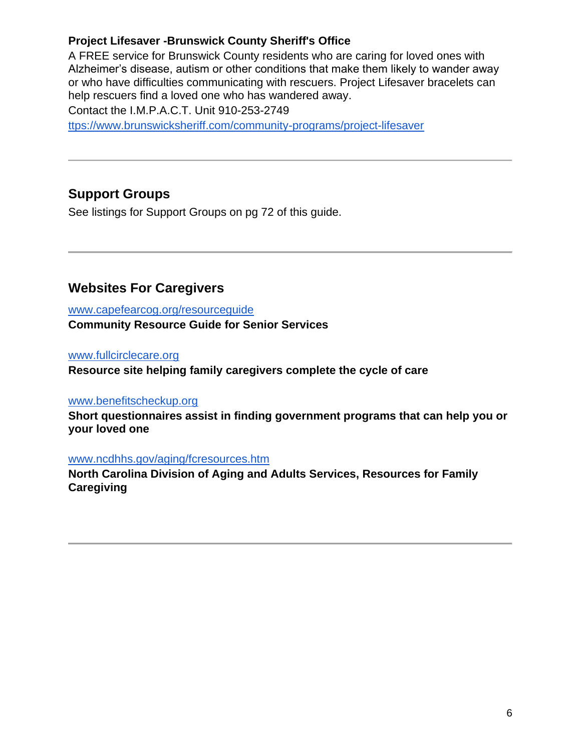## **Project Lifesaver -Brunswick County Sheriff's Office**

A FREE service for Brunswick County residents who are caring for loved ones with Alzheimer's disease, autism or other conditions that make them likely to wander away or who have difficulties communicating with rescuers. Project Lifesaver bracelets can help rescuers find a loved one who has wandered away. Contact the I.M.P.A.C.T. Unit 910-253-2749

[ttps://www.brunswicksheriff.com/community-programs/project-lifesaver](https://www.brunswicksheriff.com/community-programs/project-lifesaver)

# **Support Groups**

See listings for Support Groups on pg 72 of this guide.

## **Websites For Caregivers**

[www.capefearcog.org/resourceguide](http://www.capefearcog.org/resourceguide) **Community Resource Guide for Senior Services**

[www.fullcirclecare.org](http://www.fullcirclecare.org/)

**Resource site helping family caregivers complete the cycle of care**

## [www.benefitscheckup.org](http://www.benefitscheckup.org/)

**Short questionnaires assist in finding government programs that can help you or your loved one**

## [www.ncdhhs.gov/aging/fcresources.htm](http://www.ncdhhs.gov/aging/fcresources.htm)

**North Carolina Division of Aging and Adults Services, Resources for Family Caregiving**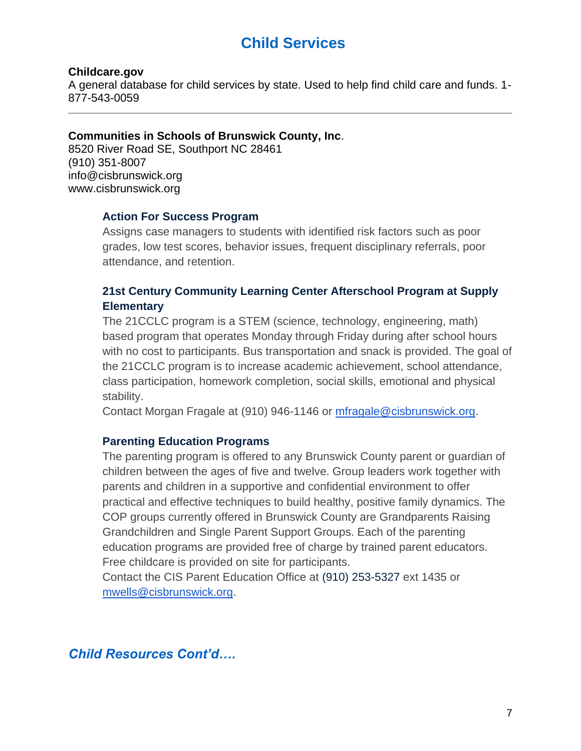# **Child Services**

#### **Childcare.gov**

A general database for child services by state. Used to help find child care and funds. 1- 877-543-0059

#### **Communities in Schools of Brunswick County, Inc**.

8520 River Road SE, Southport NC 28461 (910) 351-8007 info@cisbrunswick.org www.cisbrunswick.org

#### **Action For Success Program**

Assigns case managers to students with identified risk factors such as poor grades, low test scores, behavior issues, frequent disciplinary referrals, poor attendance, and retention.

## **21st Century Community Learning Center Afterschool Program at Supply Elementary**

The 21CCLC program is a STEM (science, technology, engineering, math) based program that operates Monday through Friday during after school hours with no cost to participants. Bus transportation and snack is provided. The goal of the 21CCLC program is to increase academic achievement, school attendance, class participation, homework completion, social skills, emotional and physical stability.

Contact Morgan Fragale at (910) 946-1146 or [mfragale@cisbrunswick.org.](mailto:mfragale@cisbrunswick.org)

#### **Parenting Education Programs**

The parenting program is offered to any Brunswick County parent or guardian of children between the ages of five and twelve. Group leaders work together with parents and children in a supportive and confidential environment to offer practical and effective techniques to build healthy, positive family dynamics. The COP groups currently offered in Brunswick County are Grandparents Raising Grandchildren and Single Parent Support Groups. Each of the parenting education programs are provided free of charge by trained parent educators. Free childcare is provided on site for participants.

Contact the CIS Parent Education Office at (910) 253-5327 ext 1435 or [mwells@cisbrunswick.org.](mailto:mwells@cisbrunswick.org)

## *Child Resources Cont'd….*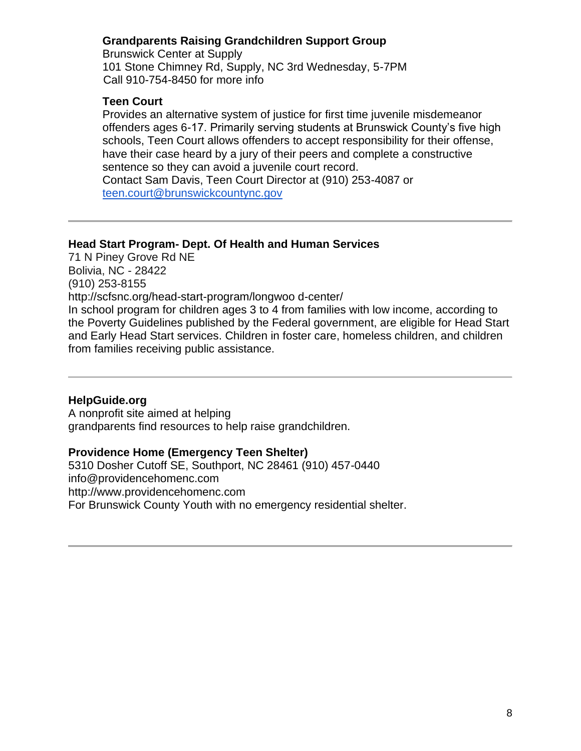## **Grandparents Raising Grandchildren Support Group**

Brunswick Center at Supply 101 Stone Chimney Rd, Supply, NC 3rd Wednesday, 5-7PM Call 910-754-8450 for more info

## **Teen Court**

Provides an alternative system of justice for first time juvenile misdemeanor offenders ages 6-17. Primarily serving students at Brunswick County's five high schools, Teen Court allows offenders to accept responsibility for their offense, have their case heard by a jury of their peers and complete a constructive sentence so they can avoid a juvenile court record. Contact Sam Davis, Teen Court Director at (910) 253-4087 or

[teen.court@brunswickcountync.gov](mailto:teen.court@brunswickcountync.gov)

## **Head Start Program- Dept. Of Health and Human Services**

71 N Piney Grove Rd NE Bolivia, NC - 28422 (910) 253-8155 http://scfsnc.org/head-start-program/longwoo d-center/ In school program for children ages 3 to 4 from families with low income, according to the Poverty Guidelines published by the Federal government, are eligible for Head Start and Early Head Start services. Children in foster care, homeless children, and children from families receiving public assistance.

## **HelpGuide.org**

A nonprofit site aimed at helping grandparents find resources to help raise grandchildren.

## **Providence Home (Emergency Teen Shelter)**

5310 Dosher Cutoff SE, Southport, NC 28461 (910) 457-0440 info@providencehomenc.com http://www.providencehomenc.com For Brunswick County Youth with no emergency residential shelter.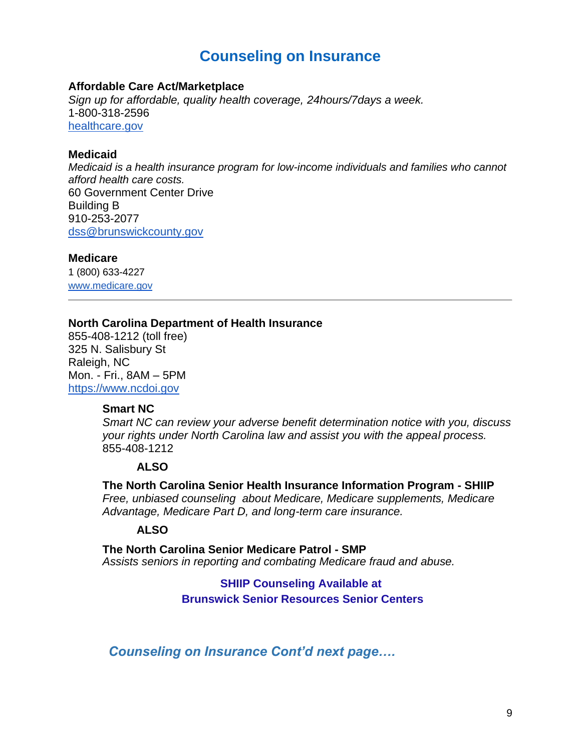# **Counseling on Insurance**

#### **Affordable Care Act/Marketplace**

*Sign up for affordable, quality health coverage, 24hours/7days a week.* 1-800-318-2596 [healthcare.gov](https://www.healthcare.gov/)

#### **Medicaid**

*Medicaid is a health insurance program for low-income individuals and families who cannot afford health care costs.* 60 Government Center Drive Building B 910-253-2077 [dss@brunswickcounty.gov](mailto:dss@brunswickcounty.gov)

#### **Medicare**

1 (800) 633-4227 www.medicare.gov

#### **North Carolina Department of Health Insurance**

855-408-1212 (toll free) 325 N. Salisbury St Raleigh, NC Mon. - Fri., 8AM – 5PM [https://www.ncdoi.gov](https://www.ncdoi.gov/)

### **Smart NC**

*Smart NC can review your adverse benefit determination notice with you, discuss your rights under North Carolina law and assist you with the appeal process.*  855-408-1212

#### **ALSO**

**The North Carolina Senior Health Insurance Information Program - SHIIP** *Free, unbiased counseling about Medicare, Medicare supplements, Medicare Advantage, Medicare Part D, and long-term care insurance.* 

#### **ALSO**

**The North Carolina Senior Medicare Patrol - SMP** *Assists seniors in reporting and combating Medicare fraud and abuse.*

## **SHIIP Counseling Available at Brunswick Senior Resources Senior Centers**

*Counseling on Insurance Cont'd next page….*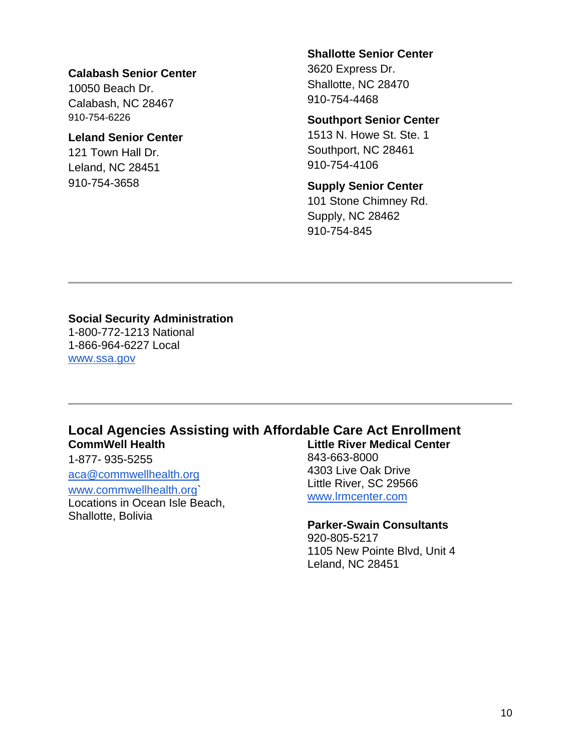### **Calabash Senior Center**

10050 Beach Dr. Calabash, NC 28467 910-754-6226

## **Leland Senior Center**

121 Town Hall Dr. Leland, NC 28451 910-754-3658

#### **Shallotte Senior Center**

3620 Express Dr. Shallotte, NC 28470 910-754-4468

#### **Southport Senior Center**

1513 N. Howe St. Ste. 1 Southport, NC 28461 910-754-4106

### **Supply Senior Center**

101 Stone Chimney Rd. Supply, NC 28462 910-754-845

# **Social Security Administration**

1-800-772-1213 National 1-866-964-6227 Local [www.ssa.gov](http://www.ssa.gov/)

#### **Local Agencies Assisting with Affordable Care Act Enrollment CommWell Health Little River Medical Center**

1-877- 935-5255

aca@commwellhealth.org

#### www.commwellhealth.org`

Locations in Ocean Isle Beach, Shallotte, Bolivia

# 843-663-8000 4303 Live Oak Drive Little River, SC 29566 [www.lrmcenter.com](http://www.lrmcenter.com/)

#### **Parker-Swain Consultants**

920-805-5217 1105 New Pointe Blvd, Unit 4 Leland, NC 28451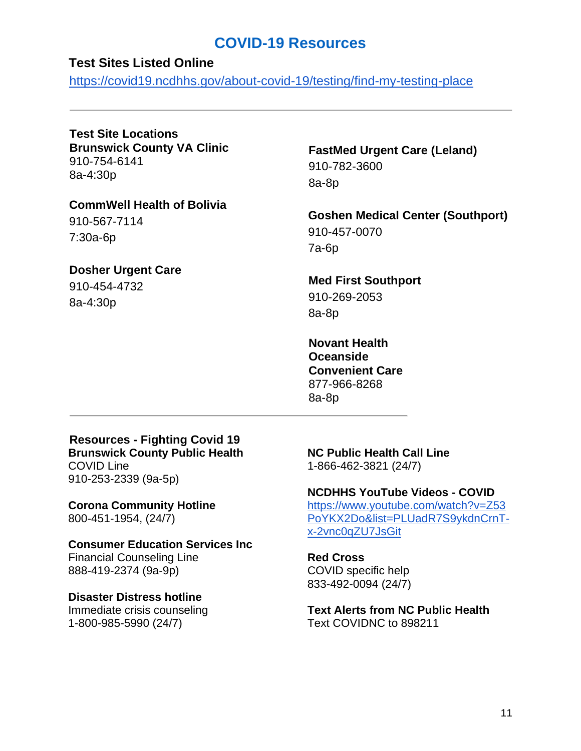# **COVID-19 Resources**

## **Test Sites Listed Online**

https://covid19.ncdhhs.gov/about-covid-19/testing/find-my-testing-place

**Test Site Locations Brunswick County VA Clinic** 910-754-6141 8a-4:30p

**CommWell Health of Bolivia** 910-567-7114 7:30a-6p

## **Dosher Urgent Care**

910-454-4732 8a-4:30p

## **FastMed Urgent Care (Leland)** 910-782-3600 8a-8p

**Goshen Medical Center (Southport)** 910-457-0070 7a-6p

**Med First Southport** 910-269-2053 8a-8p

**Novant Health Oceanside Convenient Care** 877-966-8268 8a-8p

**Resources - Fighting Covid 19 Brunswick County Public Health** COVID Line 910-253-2339 (9a-5p)

**Corona Community Hotline**  800-451-1954, (24/7)

**Consumer Education Services Inc** Financial Counseling Line 888-419-2374 (9a-9p)

**Disaster Distress hotline** Immediate crisis counseling 1-800-985-5990 (24/7)

**NC Public Health Call Line**  1-866-462-3821 (24/7)

**NCDHHS YouTube Videos - COVID**  [https://www.youtube.com/watch?v=Z53](https://www.youtube.com/watch?v=Z53PoYKX2Do&list=PLUadR7S9ykdnCrnT-x-2vnc0qZU7JsGit)

[PoYKX2Do&list=PLUadR7S9ykdnCrnT](https://www.youtube.com/watch?v=Z53PoYKX2Do&list=PLUadR7S9ykdnCrnT-x-2vnc0qZU7JsGit)[x-2vnc0qZU7JsGit](https://www.youtube.com/watch?v=Z53PoYKX2Do&list=PLUadR7S9ykdnCrnT-x-2vnc0qZU7JsGit)

**Red Cross** COVID specific help 833-492-0094 (24/7)

**Text Alerts from NC Public Health** Text COVIDNC to 898211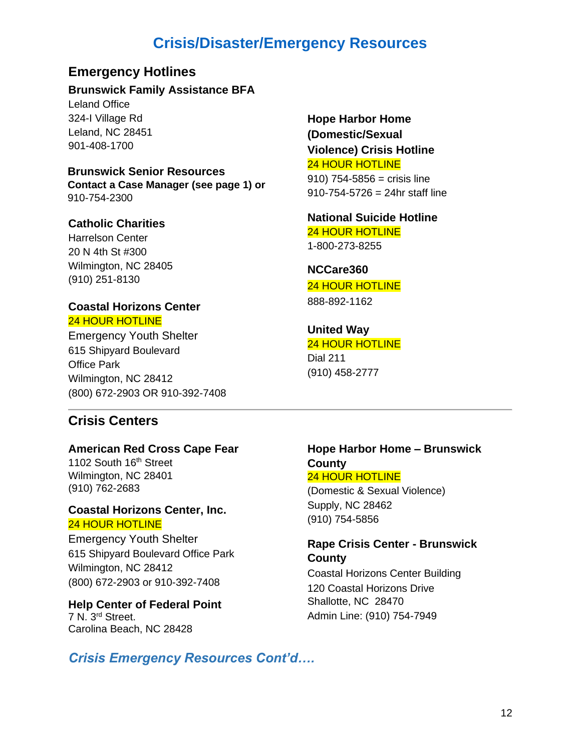# **Crisis/Disaster/Emergency Resources**

## **Emergency Hotlines**

#### **Brunswick Family Assistance BFA**

Leland Office 324-I Village Rd Leland, NC 28451 901-408-1700

## **Brunswick Senior Resources**

**Contact a Case Manager (see page 1) or**  910-754-2300

#### **Catholic Charities**

Harrelson Center 20 N 4th St #300 Wilmington, NC 28405 (910) 251-8130

# **Coastal Horizons Center**

### 24 HOUR HOTLINE

Emergency Youth Shelter 615 Shipyard Boulevard Office Park Wilmington, NC 28412 (800) 672-2903 OR 910-392-7408

## **Hope Harbor Home (Domestic/Sexual Violence) Crisis Hotline** 24 HOUR HOTLINE  $910$ )  $754 - 5856 =$  crisis line 910-754-5726 = 24hr staff line

**National Suicide Hotline** 24 HOUR HOTLINE 1-800-273-8255

**NCCare360** 24 HOUR HOTLINE 888-892-1162

## **United Way** 24 HOUR HOTLINE Dial 211 (910) 458-2777

## **Crisis Centers**

#### **American Red Cross Cape Fear**

1102 South 16<sup>th</sup> Street Wilmington, NC 28401 (910) 762-2683

## **Coastal Horizons Center, Inc.** 24 HOUR HOTLINE

Emergency Youth Shelter 615 Shipyard Boulevard Office Park Wilmington, NC 28412 (800) 672-2903 or 910-392-7408

**Help Center of Federal Point** 7 N. 3rd Street. Carolina Beach, NC 28428

## **Hope Harbor Home – Brunswick County** 24 HOUR HOTLINE

(Domestic & Sexual Violence) Supply, NC 28462 (910) 754-5856

## **Rape Crisis Center - Brunswick County**

Coastal Horizons Center Building 120 Coastal Horizons Drive Shallotte, NC 28470 Admin Line: (910) 754-7949

## *Crisis Emergency Resources Cont'd….*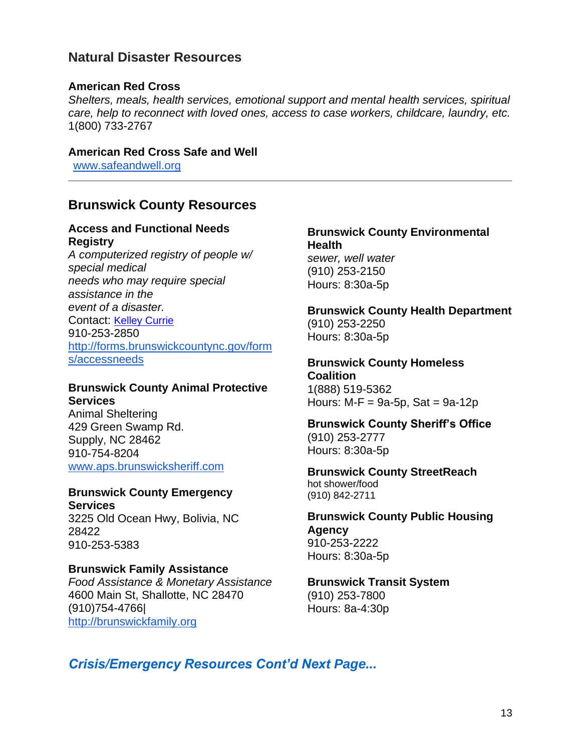## **Natural Disaster Resources**

## **American Red Cross**

*Shelters, meals, health services, emotional support and mental health services, spiritual care, help to reconnect with loved ones, access to case workers, childcare, laundry, etc.* 1(800) 733-2767

## **American Red Cross Safe and Well**

www.safeandwell.org

## **Brunswick County Resources**

## **Access and Functional Needs Registry**

*A computerized registry of people w/ special medical needs who may require special assistance in the event of a disaster.* Contact: [Kelley Currie](mailto:kelley.currie@brunswickcountync.gov) 910-253-2850 [http://forms.brunswickcountync.gov/form](http://forms.brunswickcountync.gov/forms/accessneeds) [s/accessneeds](http://forms.brunswickcountync.gov/forms/accessneeds)

## **Brunswick County Animal Protective Services**

Animal Sheltering 429 Green Swamp Rd. Supply, NC 28462 910-754-8204 [www.aps.brunswicksheriff.com](http://www.aps.brunswicksheriff.com/)

#### **Brunswick County Emergency Services**

3225 Old Ocean Hwy, Bolivia, NC 28422 910-253-5383

## **Brunswick Family Assistance**

*Food Assistance & Monetary Assistance* 4600 Main St, Shallotte, NC 28470 (910)754-4766| [http://brunswickfamily.org](http://brunswickfamily.org/)

## **Brunswick County Environmental Health** *sewer, well water* (910) 253-2150 Hours: 8:30a-5p

## **Brunswick County Health Department**

(910) 253-2250 Hours: 8:30a-5p

## **Brunswick County Homeless**

**Coalition** 1(888) 519-5362 Hours:  $M-F = 9a-5p$ , Sat =  $9a-12p$ 

## **Brunswick County Sheriff's Office**  (910) 253-2777 Hours: 8:30a-5p

#### **Brunswick County StreetReach**  hot shower/food (910) 842-2711

## **Brunswick County Public Housing Agency** 910-253-2222

Hours: 8:30a-5p

#### **Brunswick Transit System** (910) 253-7800 Hours: 8a-4:30p

## *Crisis/Emergency Resources Cont'd Next Page...*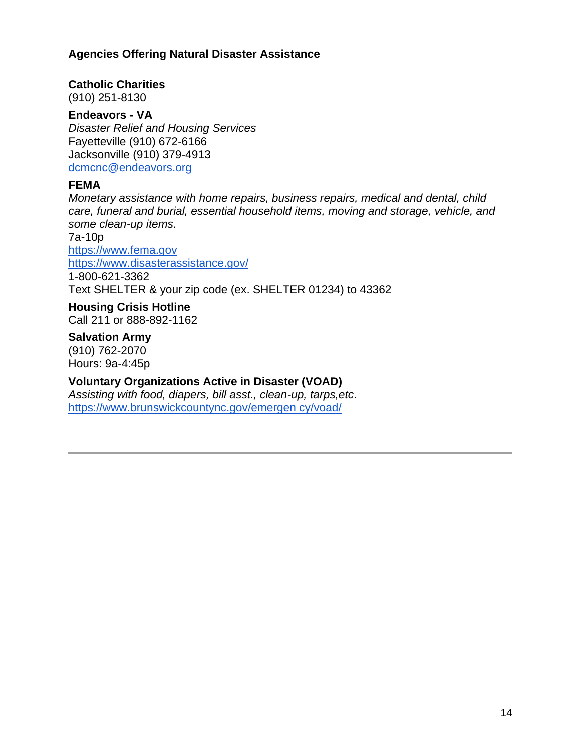## **Agencies Offering Natural Disaster Assistance**

## **Catholic Charities**

(910) 251-8130

### **Endeavors - VA**

*Disaster Relief and Housing Services* Fayetteville (910) 672-6166 Jacksonville (910) 379-4913 [dcmcnc@endeavors.org](mailto:dcmcnc@endeavors.org)

## **FEMA**

*Monetary assistance with home repairs, business repairs, medical and dental, child care, funeral and burial, essential household items, moving and storage, vehicle, and some clean-up items.*

7a-10p [https://www.fema.gov](https://www.fema.gov/) <https://www.disasterassistance.gov/> 1-800-621-3362 Text SHELTER & your zip code (ex. SHELTER 01234) to 43362

**Housing Crisis Hotline** Call 211 or 888-892-1162

**Salvation Army**

(910) 762-2070 Hours: 9a-4:45p

## **Voluntary Organizations Active in Disaster (VOAD)**

*Assisting with food, diapers, bill asst., clean-up, tarps,etc*. [https://www.brunswickcountync.gov/emergen cy/voad/](https://www.brunswickcountync.gov/emergen)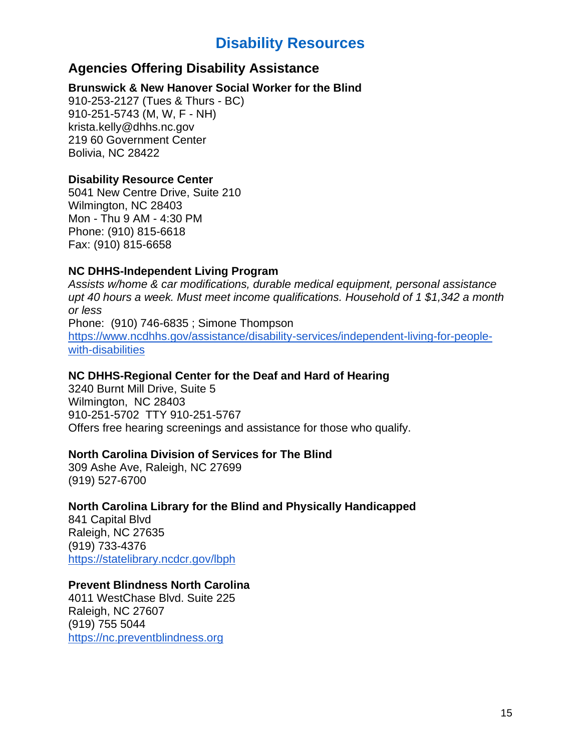# **Disability Resources**

## **Agencies Offering Disability Assistance**

## **Brunswick & New Hanover Social Worker for the Blind**

910-253-2127 (Tues & Thurs - BC) 910-251-5743 (M, W, F - NH) krista.kelly@dhhs.nc.gov 219 60 Government Center Bolivia, NC 28422

## **Disability Resource Center**

5041 New Centre Drive, Suite 210 Wilmington, NC 28403 Mon - Thu 9 AM - 4:30 PM Phone: (910) 815-6618 Fax: (910) 815-6658

## **NC DHHS-Independent Living Program**

*Assists w/home & car modifications, durable medical equipment, personal assistance upt 40 hours a week. Must meet income qualifications. Household of 1 \$1,342 a month or less* Phone: (910) 746-6835 ; Simone Thompson [https://www.ncdhhs.gov/assistance/disability-services/independent-living-for-people](https://www.ncdhhs.gov/assistance/disability-services/independent-living-for-people-with-disabilities)[with-disabilities](https://www.ncdhhs.gov/assistance/disability-services/independent-living-for-people-with-disabilities)

## **NC DHHS-Regional Center for the Deaf and Hard of Hearing**

3240 Burnt Mill Drive, Suite 5 Wilmington, NC 28403 910-251-5702 TTY 910-251-5767 Offers free hearing screenings and assistance for those who qualify.

## **North Carolina Division of Services for The Blind**

309 Ashe Ave, Raleigh, NC 27699 (919) 527-6700

## **North Carolina Library for the Blind and Physically Handicapped**

841 Capital Blvd Raleigh, NC 27635 (919) 733-4376 <https://statelibrary.ncdcr.gov/lbph>

## **Prevent Blindness North Carolina**

4011 WestChase Blvd. Suite 225 Raleigh, NC 27607 (919) 755 5044 [https://nc.preventblindness.org](https://nc.preventblindness.org/)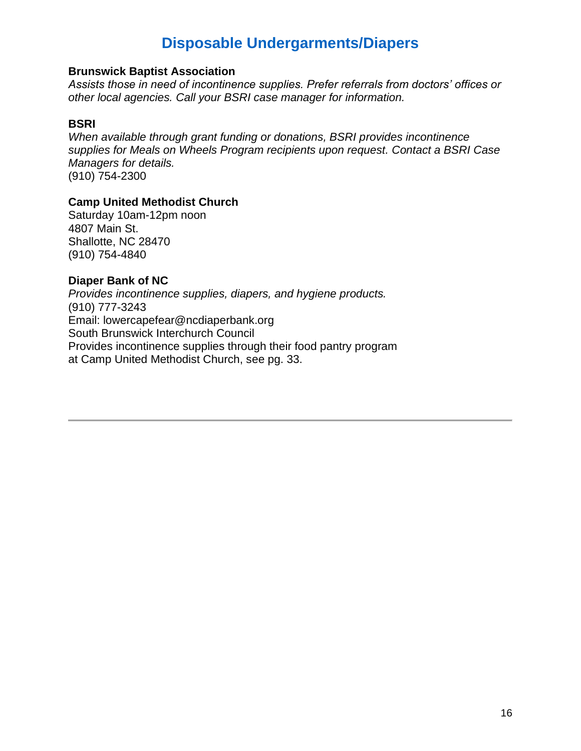# **Disposable Undergarments/Diapers**

#### **Brunswick Baptist Association**

*Assists those in need of incontinence supplies. Prefer referrals from doctors' offices or other local agencies. Call your BSRI case manager for information.*

### **BSRI**

*When available through grant funding or donations, BSRI provides incontinence supplies for Meals on Wheels Program recipients upon request. Contact a BSRI Case Managers for details.* (910) 754-2300

## **Camp United Methodist Church**

Saturday 10am-12pm noon 4807 Main St. Shallotte, NC 28470 (910) 754-4840

## **Diaper Bank of NC**

*Provides incontinence supplies, diapers, and hygiene products.* (910) 777-3243 Email: lowercapefear@ncdiaperbank.org South Brunswick Interchurch Council Provides incontinence supplies through their food pantry program at Camp United Methodist Church, see pg. 33.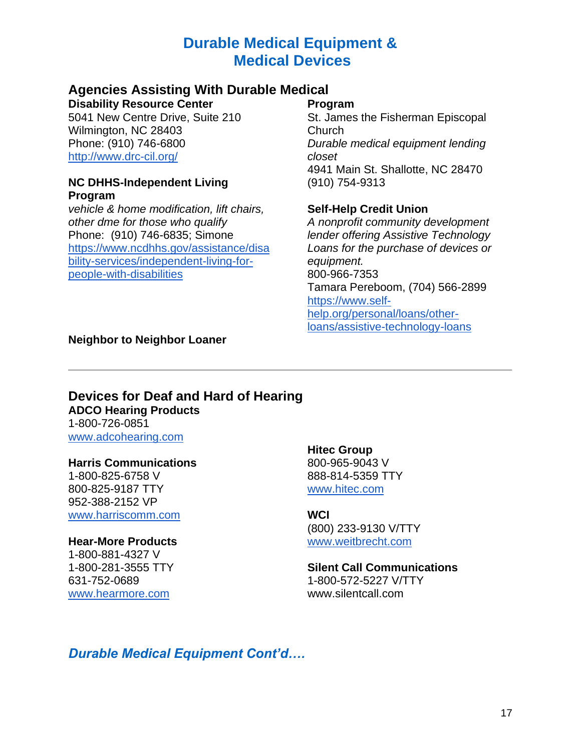# **Durable Medical Equipment & Medical Devices**

## **Agencies Assisting With Durable Medical**

**Disability Resource Center** 

5041 New Centre Drive, Suite 210 Wilmington, NC 28403 Phone: (910) 746-6800 <http://www.drc-cil.org/>

#### **NC DHHS-Independent Living Program**

*vehicle & home modification, lift chairs, other dme for those who qualify* Phone: (910) 746-6835; Simone [https://www.ncdhhs.gov/assistance/disa](https://www.ncdhhs.gov/assistance/disability-services/independent-living-for-people-with-disabilities) [bility-services/independent-living-for](https://www.ncdhhs.gov/assistance/disability-services/independent-living-for-people-with-disabilities)[people-with-disabilities](https://www.ncdhhs.gov/assistance/disability-services/independent-living-for-people-with-disabilities)

## **Program**

St. James the Fisherman Episcopal Church *Durable medical equipment lending closet* 4941 Main St. Shallotte, NC 28470 (910) 754-9313

## **Self-Help Credit Union**

*A nonprofit community development lender offering Assistive Technology Loans for the purchase of devices or equipment.* 800-966-7353 Tamara Pereboom, (704) 566-2899 [https://www.self](https://www.self-help.org/personal/loans/other-loans/assistive-technology-loans)[help.org/personal/loans/other](https://www.self-help.org/personal/loans/other-loans/assistive-technology-loans)[loans/assistive-technology-loans](https://www.self-help.org/personal/loans/other-loans/assistive-technology-loans)

## **Neighbor to Neighbor Loaner**

#### **Devices for Deaf and Hard of Hearing ADCO Hearing Products** 1-800-726-0851

[www.adcohearing.com](http://www.adcohearing.com/)

## **Harris Communications**

1-800-825-6758 V 800-825-9187 TTY 952-388-2152 VP [www.harriscomm.com](http://www.harriscomm.com/)

## **Hear-More Products**

1-800-881-4327 V 1-800-281-3555 TTY 631-752-0689 [www.hearmore.com](http://www.hearmore.com/)

**Hitec Group** 800-965-9043 V 888-814-5359 TTY [www.hitec.com](http://www.hitec.com/)

## **WCI**

(800) 233-9130 V/TTY [www.weitbrecht.com](http://www.weitbrecht.com/)

## **Silent Call Communications**  1-800-572-5227 V/TTY

www.silentcall.com

## *Durable Medical Equipment Cont'd….*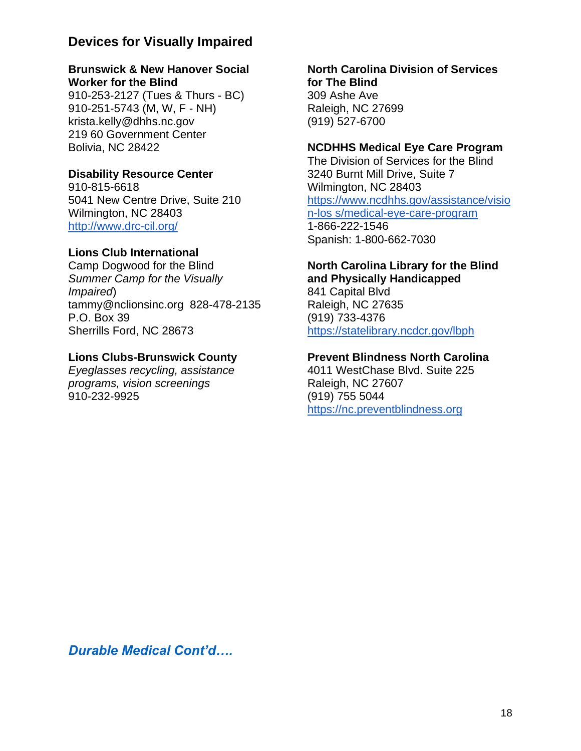## **Devices for Visually Impaired**

## **Brunswick & New Hanover Social Worker for the Blind**

910-253-2127 (Tues & Thurs - BC) 910-251-5743 (M, W, F - NH) krista.kelly@dhhs.nc.gov 219 60 Government Center Bolivia, NC 28422

## **Disability Resource Center**

910-815-6618 5041 New Centre Drive, Suite 210 Wilmington, NC 28403 <http://www.drc-cil.org/>

## **Lions Club International**

Camp Dogwood for the Blind *Summer Camp for the Visually Impaired*) tammy@nclionsinc.org 828-478-2135 P.O. Box 39 Sherrills Ford, NC 28673

## **Lions Clubs-Brunswick County**

*Eyeglasses recycling, assistance programs, vision screenings* 910-232-9925

### **North Carolina Division of Services for The Blind** 309 Ashe Ave Raleigh, NC 27699

(919) 527-6700

## **NCDHHS Medical Eye Care Program**

The Division of Services for the Blind 3240 Burnt Mill Drive, Suite 7 Wilmington, NC 28403 [https://www.ncdhhs.gov/assistance/visio](https://www.ncdhhs.gov/assistance/vision-los) [n-los s/medical-eye-care-program](https://www.ncdhhs.gov/assistance/vision-los) 1-866-222-1546 Spanish: 1-800-662-7030

## **North Carolina Library for the Blind**

**and Physically Handicapped** 841 Capital Blvd Raleigh, NC 27635 (919) 733-4376 <https://statelibrary.ncdcr.gov/lbph>

## **Prevent Blindness North Carolina**

4011 WestChase Blvd. Suite 225 Raleigh, NC 27607 (919) 755 5044 [https://nc.preventblindness.org](https://nc.preventblindness.org/)

*Durable Medical Cont'd….*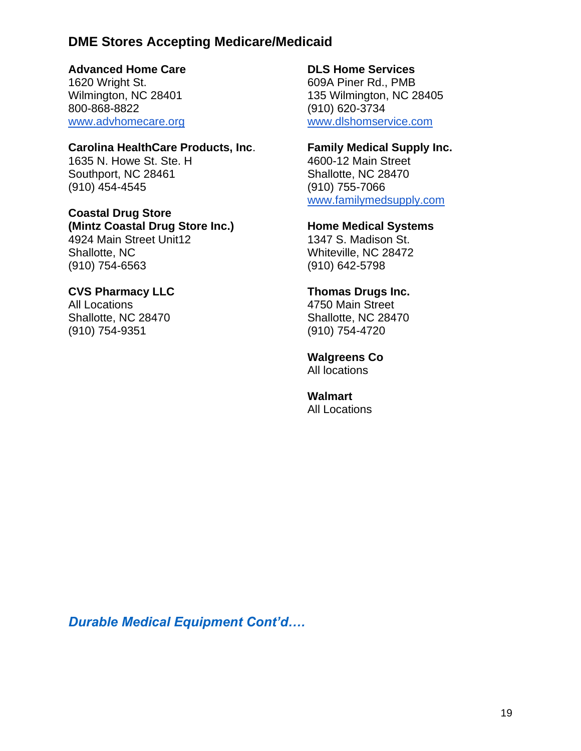## **DME Stores Accepting Medicare/Medicaid**

## **Advanced Home Care**

1620 Wright St. Wilmington, NC 28401 800-868-8822 [www.advhomecare.org](http://www.advhomecare.org/)

#### **Carolina HealthCare Products, Inc**.

1635 N. Howe St. Ste. H Southport, NC 28461 (910) 454-4545

### **Coastal Drug Store (Mintz Coastal Drug Store Inc.)**

4924 Main Street Unit12 Shallotte, NC (910) 754-6563

## **CVS Pharmacy LLC**

All Locations Shallotte, NC 28470 (910) 754-9351

## **DLS Home Services**

609A Piner Rd., PMB 135 Wilmington, NC 28405 (910) 620-3734 [www.dlshomservice.com](http://www.dlshomservice.com/)

### **Family Medical Supply Inc.**

4600-12 Main Street Shallotte, NC 28470 (910) 755-7066 [www.familymedsupply.com](http://www.familymedsupply.com/)

#### **Home Medical Systems**

1347 S. Madison St. Whiteville, NC 28472 (910) 642-5798

### **Thomas Drugs Inc.**

4750 Main Street Shallotte, NC 28470 (910) 754-4720

#### **Walgreens Co**

All locations

#### **Walmart** All Locations

*Durable Medical Equipment Cont'd….*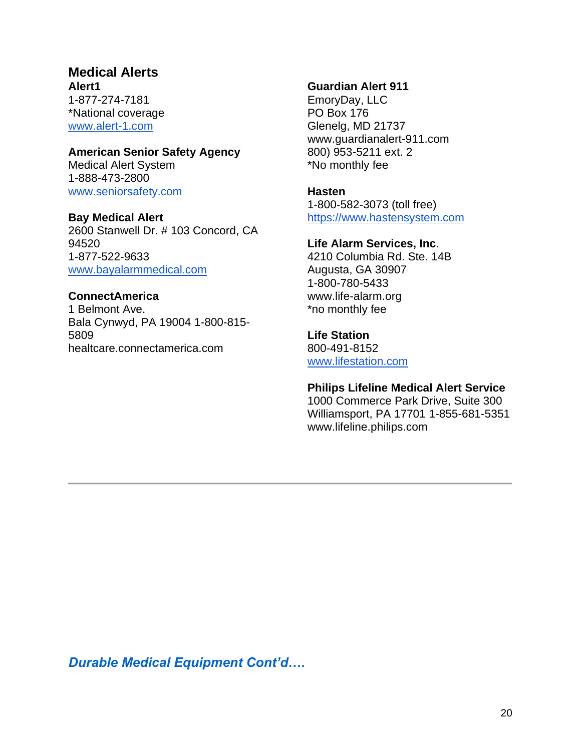## **Medical Alerts Alert1**

1-877-274-7181 \*National coverage [www.alert-1.com](http://www.alert-1.com/)

### **American Senior Safety Agency**

Medical Alert System 1-888-473-2800 [www.seniorsafety.com](http://www.seniorsafety.com/)

## **Bay Medical Alert**

2600 Stanwell Dr. # 103 Concord, CA 94520 1-877-522-9633 [www.bayalarmmedical.com](http://www.bayalarmmedical.com/)

## **ConnectAmerica**

1 Belmont Ave. Bala Cynwyd, PA 19004 1-800-815- 5809 healtcare.connectamerica.com

#### **Guardian Alert 911**

EmoryDay, LLC PO Box 176 Glenelg, MD 21737 www.guardianalert-911.com 800) 953-5211 ext. 2 \*No monthly fee

#### **Hasten**

1-800-582-3073 (toll free) [https://www.hastensystem.com](https://www.hastensystem.com/)

#### **Life Alarm Services, Inc**.

4210 Columbia Rd. Ste. 14B Augusta, GA 30907 1-800-780-5433 www.life-alarm.org \*no monthly fee

## **Life Station**

800-491-8152 [www.lifestation.com](http://www.lifestation.com/)

## **Philips Lifeline Medical Alert Service**

1000 Commerce Park Drive, Suite 300 Williamsport, PA 17701 1-855-681-5351 www.lifeline.philips.com

*Durable Medical Equipment Cont'd….*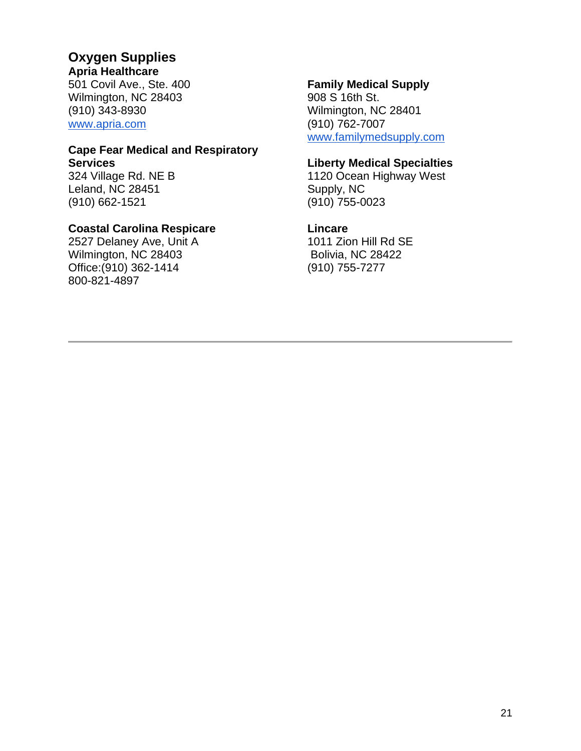## **Oxygen Supplies**

**Apria Healthcare** 

501 Covil Ave., Ste. 400 Wilmington, NC 28403 (910) 343-8930 [www.apria.com](http://www.apria.com/)

#### **Cape Fear Medical and Respiratory Services**

324 Village Rd. NE B Leland, NC 28451 (910) 662-1521

## **Coastal Carolina Respicare**

2527 Delaney Ave, Unit A Wilmington, NC 28403 Office:(910) 362-1414 800-821-4897

## **Family Medical Supply**

908 S 16th St. Wilmington, NC 28401 (910) 762-7007 [www.familymedsupply.com](http://www.familymedsupply.com/)

## **Liberty Medical Specialties**

1120 Ocean Highway West Supply, NC (910) 755-0023

## **Lincare**

1011 Zion Hill Rd SE Bolivia, NC 28422 (910) 755-7277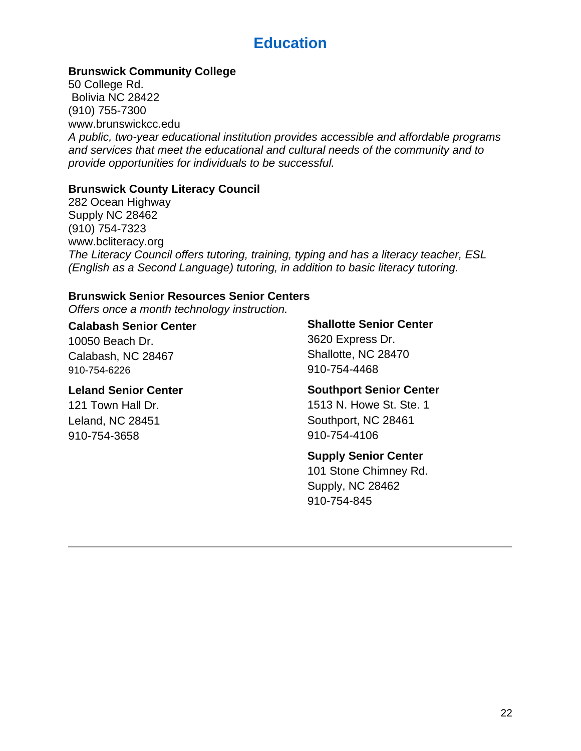# **Education**

## **Brunswick Community College**

50 College Rd. Bolivia NC 28422 (910) 755-7300 www.brunswickcc.edu *A public, two-year educational institution provides accessible and affordable programs and services that meet the educational and cultural needs of the community and to provide opportunities for individuals to be successful.*

## **Brunswick County Literacy Council**

282 Ocean Highway Supply NC 28462 (910) 754-7323 www.bcliteracy.org *The Literacy Council offers tutoring, training, typing and has a literacy teacher, ESL (English as a Second Language) tutoring, in addition to basic literacy tutoring.*

## **Brunswick Senior Resources Senior Centers**

*Offers once a month technology instruction.*

## **Calabash Senior Center**

10050 Beach Dr. Calabash, NC 28467 910-754-6226

#### **Leland Senior Center**

121 Town Hall Dr. Leland, NC 28451 910-754-3658

## **Shallotte Senior Center**

3620 Express Dr. Shallotte, NC 28470 910-754-4468

## **Southport Senior Center**

1513 N. Howe St. Ste. 1 Southport, NC 28461 910-754-4106

## **Supply Senior Center**

101 Stone Chimney Rd. Supply, NC 28462 910-754-845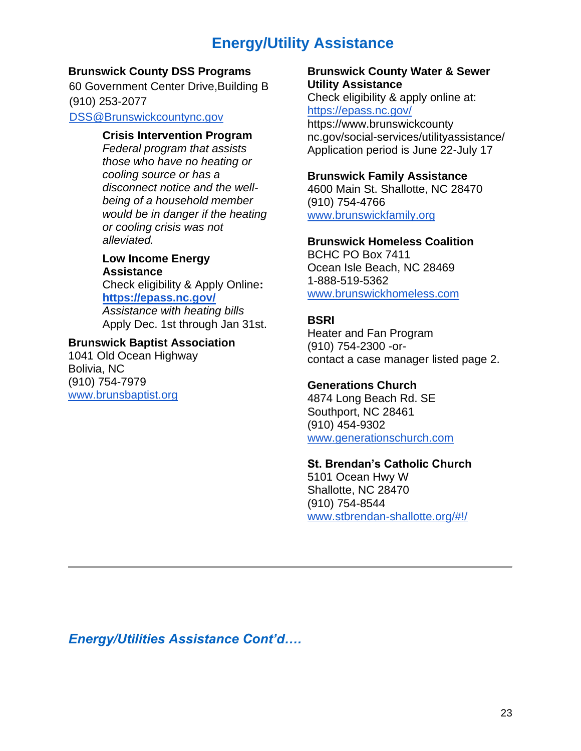# **Energy/Utility Assistance**

#### **Brunswick County DSS Programs**

60 Government Center Drive,Building B (910) 253-2077 DSS@Brunswickcountync.gov

**Crisis Intervention Program**

*Federal program that assists those who have no heating or cooling source or has a disconnect notice and the wellbeing of a household member would be in danger if the heating or cooling crisis was not alleviated.* 

## **Low Income Energy Assistance**

Check eligibility & Apply Online**[:](https://epass.nc.gov/) <https://epass.nc.gov/>**

*Assistance with heating bills* Apply Dec. 1st through Jan 31st.

## **Brunswick Baptist Association**

1041 Old Ocean Highway Bolivia, NC (910) 754-7979 [www.brunsbaptist.org](http://www.brunsbaptist.org/)

### **Brunswick County Water & Sewer Utility Assistance**

Check eligibility & apply online at: <https://epass.nc.gov/>

https://www.brunswickcounty nc.gov/social-services/utilityassistance/ Application period is June 22-July 17

## **Brunswick Family Assistance**

4600 Main St. Shallotte, NC 28470 (910) 754-4766 [www.brunswickfamily.org](http://www.brunswickfamily.org/)

## **Brunswick Homeless Coalition**

BCHC PO Box 7411 Ocean Isle Beach, NC 28469 1-888-519-5362 [www.brunswickhomeless.com](http://www.brunswickhomeless.com/)

## **BSRI**

Heater and Fan Program (910) 754-2300 -orcontact a case manager listed page 2.

## **Generations Church**

4874 Long Beach Rd. SE Southport, NC 28461 (910) 454-9302 [www.generationschurch.com](http://www.generationschurch.com/)

## **St. Brendan's Catholic Church**

5101 Ocean Hwy W Shallotte, NC 28470 (910) 754-8544 [www.stbrendan-shallotte.org/#!/](http://www.stbrendan-shallotte.org/#!/)

*Energy/Utilities Assistance Cont'd….*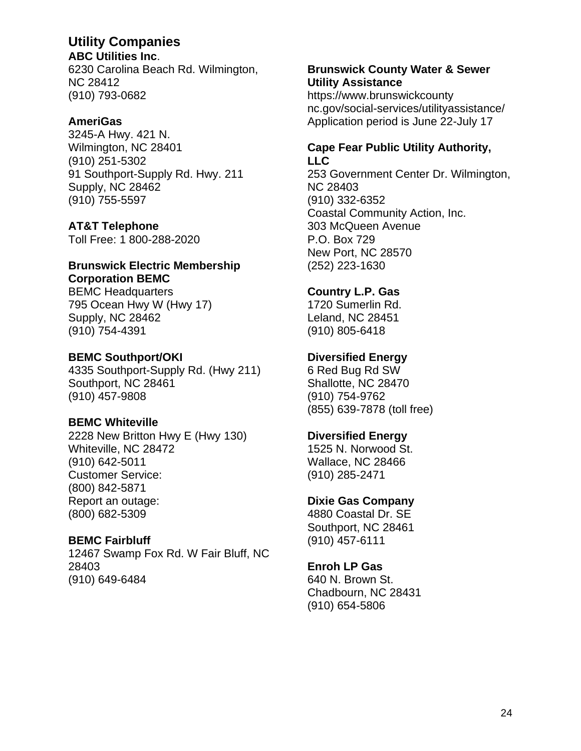## **Utility Companies**

**ABC Utilities Inc**. 6230 Carolina Beach Rd. Wilmington, NC 28412 (910) 793-0682

## **AmeriGas**

3245-A Hwy. 421 N. Wilmington, NC 28401 (910) 251-5302 91 Southport-Supply Rd. Hwy. 211 Supply, NC 28462 (910) 755-5597

## **AT&T Telephone**

Toll Free: 1 800-288-2020

### **Brunswick Electric Membership Corporation BEMC**

BEMC Headquarters 795 Ocean Hwy W (Hwy 17) Supply, NC 28462 (910) 754-4391

## **BEMC Southport/OKI**

4335 Southport-Supply Rd. (Hwy 211) Southport, NC 28461 (910) 457-9808

## **BEMC Whiteville**

2228 New Britton Hwy E (Hwy 130) Whiteville, NC 28472 (910) 642-5011 Customer Service: (800) 842-5871 Report an outage: (800) 682-5309

## **BEMC Fairbluff**

12467 Swamp Fox Rd. W Fair Bluff, NC 28403 (910) 649-6484

## **Brunswick County Water & Sewer Utility Assistance**

https://www.brunswickcounty nc.gov/social-services/utilityassistance/ Application period is June 22-July 17

## **Cape Fear Public Utility Authority, LLC**

253 Government Center Dr. Wilmington, NC 28403 (910) 332-6352 Coastal Community Action, Inc. 303 McQueen Avenue P.O. Box 729 New Port, NC 28570 (252) 223-1630

## **Country L.P. Gas**

1720 Sumerlin Rd. Leland, NC 28451 (910) 805-6418

## **Diversified Energy**

6 Red Bug Rd SW Shallotte, NC 28470 (910) 754-9762 (855) 639-7878 (toll free)

## **Diversified Energy**

1525 N. Norwood St. Wallace, NC 28466 (910) 285-2471

## **Dixie Gas Company**

4880 Coastal Dr. SE Southport, NC 28461 (910) 457-6111

## **Enroh LP Gas**

640 N. Brown St. Chadbourn, NC 28431 (910) 654-5806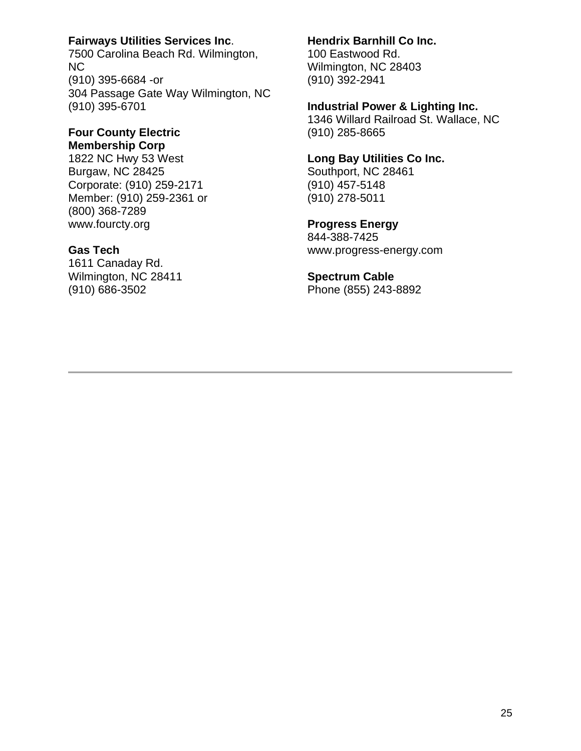## **Fairways Utilities Services Inc**.

7500 Carolina Beach Rd. Wilmington, NC (910) 395-6684 -or 304 Passage Gate Way Wilmington, NC (910) 395-6701

#### **Four County Electric Membership Corp**

1822 NC Hwy 53 West Burgaw, NC 28425 Corporate: (910) 259-2171 Member: (910) 259-2361 or (800) 368-7289 www.fourcty.org

## **Gas Tech**

1611 Canaday Rd. Wilmington, NC 28411 (910) 686-3502

#### **Hendrix Barnhill Co Inc.**

100 Eastwood Rd. Wilmington, NC 28403 (910) 392-2941

#### **Industrial Power & Lighting Inc.**

1346 Willard Railroad St. Wallace, NC (910) 285-8665

#### **Long Bay Utilities Co Inc.**

Southport, NC 28461 (910) 457-5148 (910) 278-5011

## **Progress Energy**

844-388-7425 www.progress-energy.com

#### **Spectrum Cable**

Phone (855) 243-8892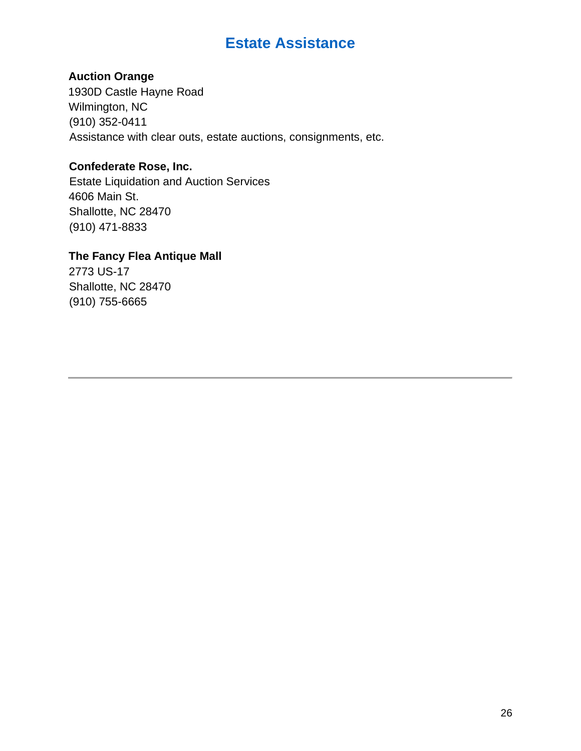# **Estate Assistance**

## **Auction Orange**

1930D Castle Hayne Road Wilmington, NC (910) 352-0411 Assistance with clear outs, estate auctions, consignments, etc.

## **Confederate Rose, Inc.**

Estate Liquidation and Auction Services 4606 Main St. Shallotte, NC 28470 (910) 471-8833

## **The Fancy Flea Antique Mall**

2773 US-17 Shallotte, NC 28470 (910) 755-6665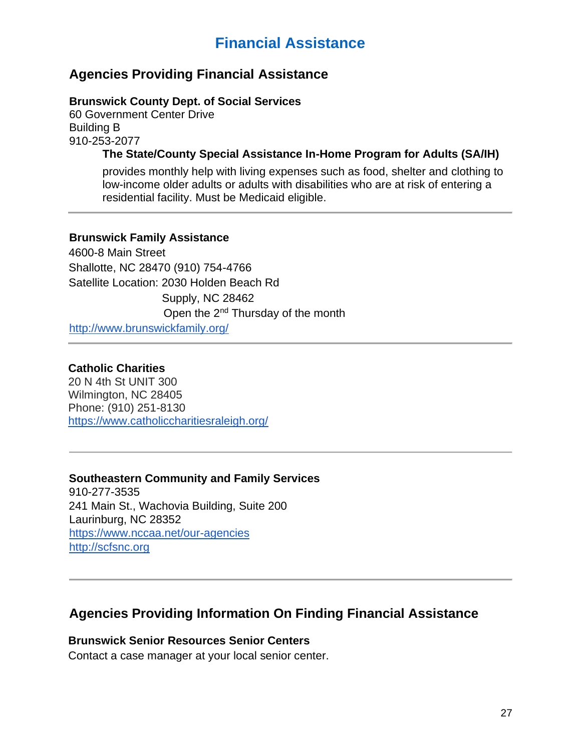# **Financial Assistance**

## **Agencies Providing Financial Assistance**

## **Brunswick County Dept. of Social Services**

60 Government Center Drive Building B 910-253-2077

## **The State/County Special Assistance In-Home Program for Adults (SA/IH)**

provides monthly help with living expenses such as food, shelter and clothing to low-income older adults or adults with disabilities who are at risk of entering a residential facility. Must be Medicaid eligible.

## **Brunswick Family Assistance**

4600-8 Main Street Shallotte, NC 28470 (910) 754-4766 Satellite Location: 2030 Holden Beach Rd Supply, NC 28462 Open the 2nd Thursday of the month http://www.brunswickfamily.org/

## **Catholic Charities**

20 N 4th St UNIT 300 Wilmington, NC 28405 Phone: (910) 251-8130 <https://www.catholiccharitiesraleigh.org/>

## **Southeastern Community and Family Services**

910-277-3535 241 Main St., Wachovia Building, Suite 200 Laurinburg, NC 28352 https://www.nccaa.net/our-agencies http://scfsnc.org

## **Agencies Providing Information On Finding Financial Assistance**

## **Brunswick Senior Resources Senior Centers**

Contact a case manager at your local senior center.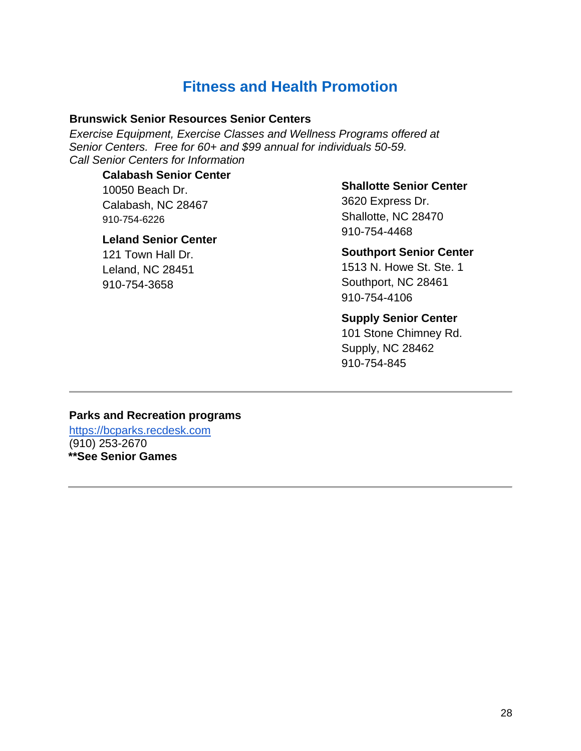# **Fitness and Health Promotion**

#### **Brunswick Senior Resources Senior Centers**

*Exercise Equipment, Exercise Classes and Wellness Programs offered at Senior Centers. Free for 60+ and \$99 annual for individuals 50-59. Call Senior Centers for Information*

## **Calabash Senior Center**

10050 Beach Dr. Calabash, NC 28467 910-754-6226

#### **Leland Senior Center**

121 Town Hall Dr. Leland, NC 28451 910-754-3658

#### **Shallotte Senior Center**

3620 Express Dr. Shallotte, NC 28470 910-754-4468

#### **Southport Senior Center**

1513 N. Howe St. Ste. 1 Southport, NC 28461 910-754-4106

#### **Supply Senior Center**

101 Stone Chimney Rd. Supply, NC 28462 910-754-845

## **Parks and Recreation programs**

https://bcparks.recdesk.com (910) 253-2670 **\*\*See Senior Games**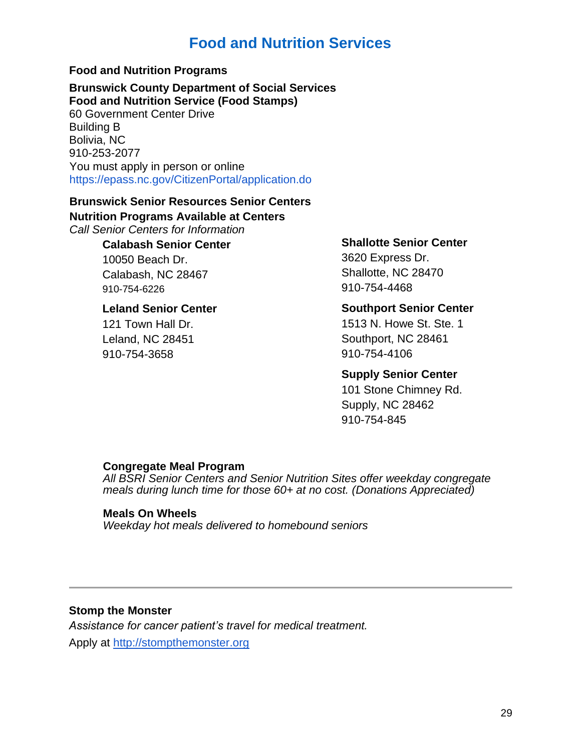# **Food and Nutrition Services**

## **Food and Nutrition Programs**

## **Brunswick County Department of Social Services Food and Nutrition Service (Food Stamps)**

60 Government Center Drive Building B Bolivia, NC 910-253-2077 You must apply in person or online https://epass.nc.gov/CitizenPortal/application.do

# **Brunswick Senior Resources Senior Centers**

**Nutrition Programs Available at Centers**

*Call Senior Centers for Information*

## **Calabash Senior Center**

10050 Beach Dr. Calabash, NC 28467 910-754-6226

## **Leland Senior Center**

121 Town Hall Dr. Leland, NC 28451 910-754-3658

#### **Shallotte Senior Center**

3620 Express Dr. Shallotte, NC 28470 910-754-4468

## **Southport Senior Center**

1513 N. Howe St. Ste. 1 Southport, NC 28461 910-754-4106

## **Supply Senior Center**

101 Stone Chimney Rd. Supply, NC 28462 910-754-845

## **Congregate Meal Program**

*All BSRI Senior Centers and Senior Nutrition Sites offer weekday congregate meals during lunch time for those 60+ at no cost. (Donations Appreciated)*

## **Meals On Wheels**

*Weekday hot meals delivered to homebound seniors*

## **Stomp the Monster**

*Assistance for cancer patient's travel for medical treatment.* Apply at http://stompthemonster.org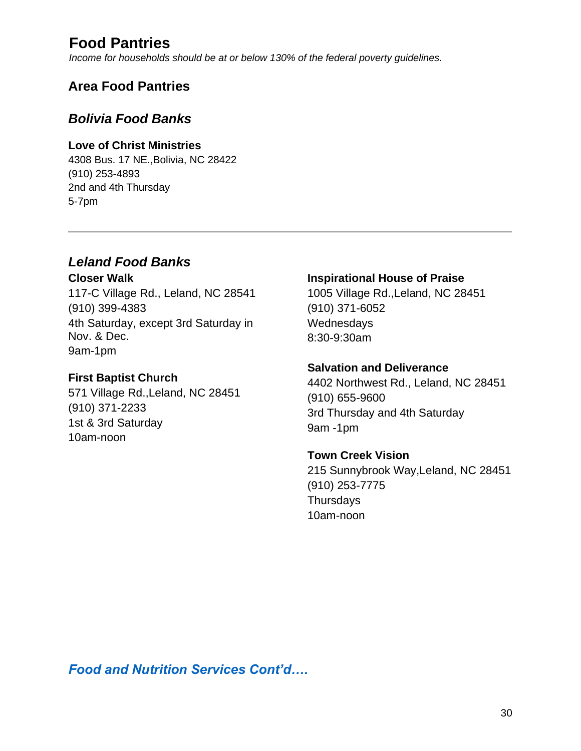# **Food Pantries**

*Income for households should be at or below 130% of the federal poverty guidelines.* 

## **Area Food Pantries**

## *Bolivia Food Banks*

## **Love of Christ Ministries**

4308 Bus. 17 NE.,Bolivia, NC 28422 (910) 253-4893 2nd and 4th Thursday 5-7pm

## *Leland Food Banks*

**Closer Walk**  117-C Village Rd., Leland, NC 28541 (910) 399-4383 4th Saturday, except 3rd Saturday in Nov. & Dec. 9am-1pm

## **First Baptist Church**

571 Village Rd.,Leland, NC 28451 (910) 371-2233 1st & 3rd Saturday 10am-noon

## **Inspirational House of Praise**

1005 Village Rd.,Leland, NC 28451 (910) 371-6052 Wednesdays 8:30-9:30am

## **Salvation and Deliverance**

4402 Northwest Rd., Leland, NC 28451 (910) 655-9600 3rd Thursday and 4th Saturday 9am -1pm

## **Town Creek Vision**

215 Sunnybrook Way,Leland, NC 28451 (910) 253-7775 **Thursdays** 10am-noon

*Food and Nutrition Services Cont'd….*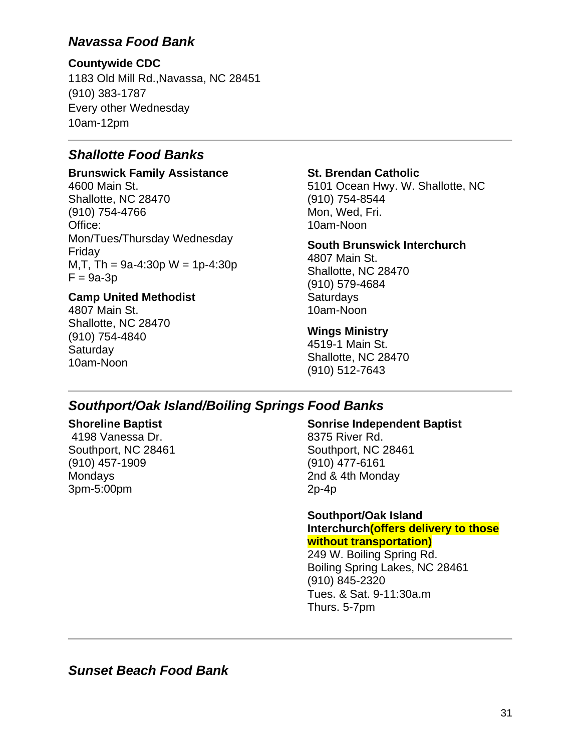## *Navassa Food Bank*

## **Countywide CDC**

1183 Old Mill Rd.,Navassa, NC 28451 (910) 383-1787 Every other Wednesday 10am-12pm

## *Shallotte Food Banks*

## **Brunswick Family Assistance**

4600 Main St. Shallotte, NC 28470 (910) 754-4766 Office: Mon/Tues/Thursday Wednesday Friday M, T, Th =  $9a-4:30p$  W =  $1p-4:30p$  $F = 9a-3p$ 

## **Camp United Methodist**

4807 Main St. Shallotte, NC 28470 (910) 754-4840 **Saturday** 10am-Noon

## **St. Brendan Catholic**

5101 Ocean Hwy. W. Shallotte, NC (910) 754-8544 Mon, Wed, Fri. 10am-Noon

## **South Brunswick Interchurch**

4807 Main St. Shallotte, NC 28470 (910) 579-4684 **Saturdays** 10am-Noon

## **Wings Ministry**

4519-1 Main St. Shallotte, NC 28470 (910) 512-7643

## *Southport/Oak Island/Boiling Springs Food Banks*

## **Shoreline Baptist**

4198 Vanessa Dr. Southport, NC 28461 (910) 457-1909 **Mondays** 3pm-5:00pm

#### **Sonrise Independent Baptist**

8375 River Rd. Southport, NC 28461 (910) 477-6161 2nd & 4th Monday 2p-4p

#### **Southport/Oak Island Interchurch(offers delivery to those without transportation)**

249 W. Boiling Spring Rd. Boiling Spring Lakes, NC 28461 (910) 845-2320 Tues. & Sat. 9-11:30a.m Thurs. 5-7pm

*Sunset Beach Food Bank*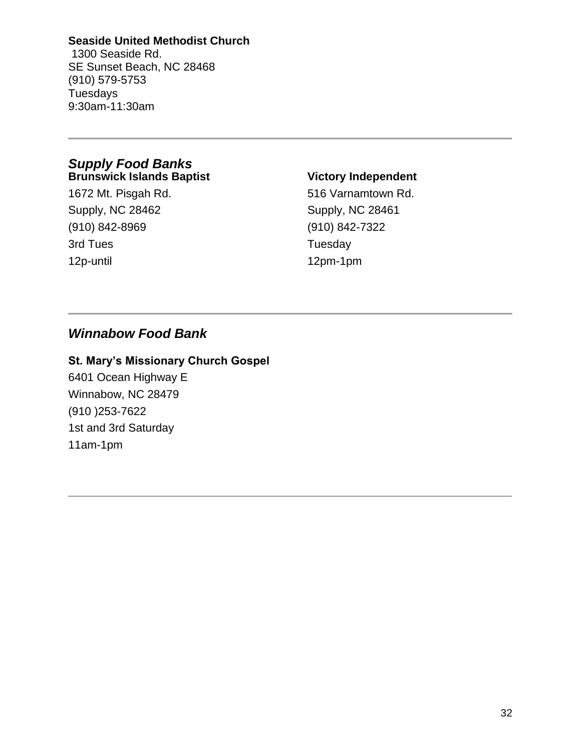### **Seaside United Methodist Church**

1300 Seaside Rd. SE Sunset Beach, NC 28468 (910) 579-5753 Tuesdays 9:30am-11:30am

#### *Supply Food Banks*  **Brunswick Islands Baptist**

1672 Mt. Pisgah Rd. Supply, NC 28462 (910) 842-8969 3rd Tues 12p-until

## **Victory Independent**

516 Varnamtown Rd. Supply, NC 28461 (910) 842-7322 **Tuesday** 12pm-1pm

## *Winnabow Food Bank*

## **St. Mary's Missionary Church Gospel**

6401 Ocean Highway E Winnabow, NC 28479 (910 )253-7622 1st and 3rd Saturday 11am-1pm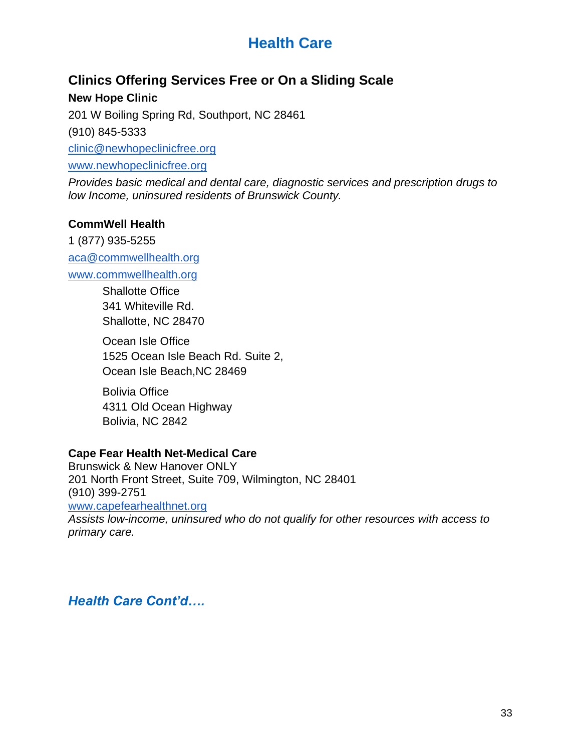# **Health Care**

# **Clinics Offering Services Free or On a Sliding Scale**

**New Hope Clinic** 

201 W Boiling Spring Rd, Southport, NC 28461

(910) 845-5333

[clinic@newhopeclinicfree.org](mailto:clinic@newhopeclinicfree.org) 

[www.newhopeclinicfree.org](http://www.newhopeclinicfree.org/)

*Provides basic medical and dental care, diagnostic services and prescription drugs to low Income, uninsured residents of Brunswick County.* 

## **CommWell Health**

1 (877) 935-5255 [aca@commwellhealth.org](mailto:aca@commwellhealth.org) [www.commwellhealth.org](http://www.commwellhealth.org/)

> Shallotte Office 341 Whiteville Rd. Shallotte, NC 28470

Ocean Isle Office 1525 Ocean Isle Beach Rd. Suite 2, Ocean Isle Beach,NC 28469

Bolivia Office 4311 Old Ocean Highway Bolivia, NC 2842

## **Cape Fear Health Net-Medical Care**

Brunswick & New Hanover ONLY 201 North Front Street, Suite 709, Wilmington, NC 28401 (910) 399-2751 [www.capefearhealthnet.org](http://www.capefearhealthnet.org/) *Assists low-income, uninsured who do not qualify for other resources with access to primary care.*

*Health Care Cont'd….*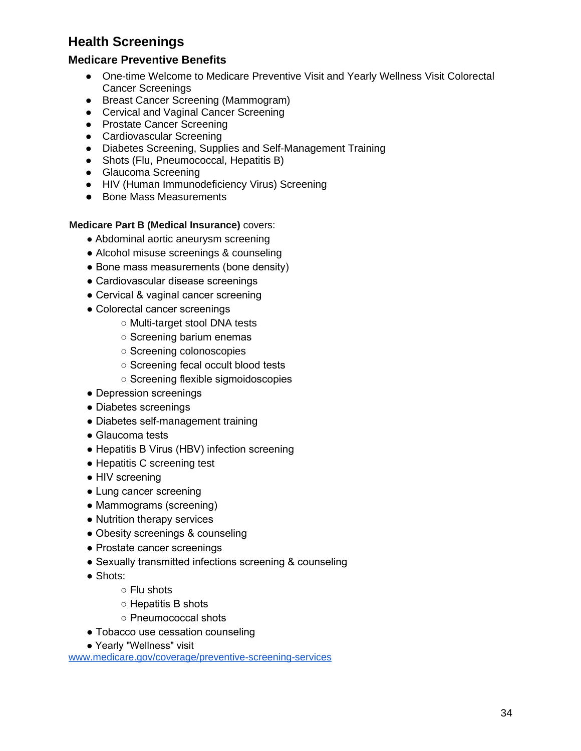# **Health Screenings**

## **Medicare Preventive Benefits**

- One-time Welcome to Medicare Preventive Visit and Yearly Wellness Visit Colorectal Cancer Screenings
- Breast Cancer Screening (Mammogram)
- Cervical and Vaginal Cancer Screening
- Prostate Cancer Screening
- Cardiovascular Screening
- Diabetes Screening, Supplies and Self-Management Training
- Shots (Flu, Pneumococcal, Hepatitis B)
- Glaucoma Screening
- HIV (Human Immunodeficiency Virus) Screening
- Bone Mass Measurements

#### **Medicare Part B (Medical Insurance)** covers:

- Abdominal aortic aneurysm screening
- Alcohol misuse screenings & counseling
- Bone mass measurements (bone density)
- Cardiovascular disease screenings
- Cervical & vaginal cancer screening
- Colorectal cancer screenings
	- Multi-target stool DNA tests
	- Screening barium enemas
	- Screening colonoscopies
	- Screening fecal occult blood tests
	- Screening flexible sigmoidoscopies
- Depression screenings
- Diabetes screenings
- Diabetes self-management training
- Glaucoma tests
- Hepatitis B Virus (HBV) infection screening
- Hepatitis C screening test
- HIV screening
- Lung cancer screening
- Mammograms (screening)
- Nutrition therapy services
- Obesity screenings & counseling
- Prostate cancer screenings
- Sexually transmitted infections screening & counseling
- Shots:
	- Flu shots
	- Hepatitis B shots
	- Pneumococcal shots
- Tobacco use cessation counseling
- Yearly "Wellness" visit

www.medicare.gov/coverage/preventive-screening-services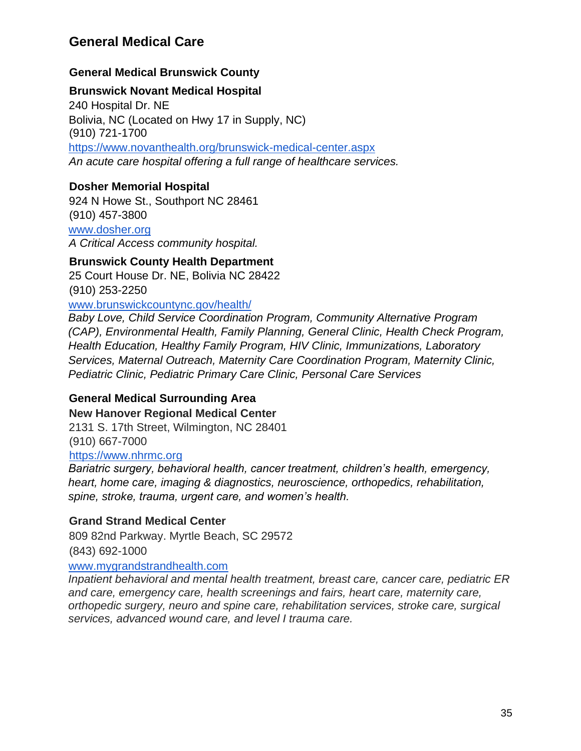# **General Medical Care**

# **General Medical Brunswick County**

### **Brunswick Novant Medical Hospital**

240 Hospital Dr. NE Bolivia, NC (Located on Hwy 17 in Supply, NC) (910) 721-1700 https://www.novanthealth.org/brunswick-medical-center.aspx

*An acute care hospital offering a full range of healthcare services.*

### **Dosher Memorial Hospital**

924 N Howe St., Southport NC 28461 (910) 457-3800 www.dosher.org

*A Critical Access community hospital.*

### **Brunswick County Health Department**

25 Court House Dr. NE, Bolivia NC 28422 (910) 253-2250

www.brunswickcountync.gov/health/

*Baby Love, Child Service Coordination Program, Community Alternative Program (CAP), Environmental Health, Family Planning, General Clinic, Health Check Program, Health Education, Healthy Family Program, HIV Clinic, Immunizations, Laboratory Services, Maternal Outreach, Maternity Care Coordination Program, Maternity Clinic, Pediatric Clinic, Pediatric Primary Care Clinic, Personal Care Services*

# **General Medical Surrounding Area**

#### **New Hanover Regional Medical Center**

2131 S. 17th Street, Wilmington, NC 28401 (910) 667-7000

https://www.nhrmc.org

*Bariatric surgery, behavioral health, cancer treatment, children's health, emergency, heart, home care, imaging & diagnostics, neuroscience, orthopedics, rehabilitation, spine, stroke, trauma, urgent care, and women's health.* 

# **Grand Strand Medical Center**

809 82nd Parkway. Myrtle Beach, SC 29572 (843) 692-1000

#### www.mygrandstrandhealth.com

*Inpatient behavioral and mental health treatment, breast care, cancer care, pediatric ER and care, emergency care, health screenings and fairs, heart care, maternity care, orthopedic surgery, neuro and spine care, rehabilitation services, stroke care, surgical services, advanced wound care, and level I trauma care.*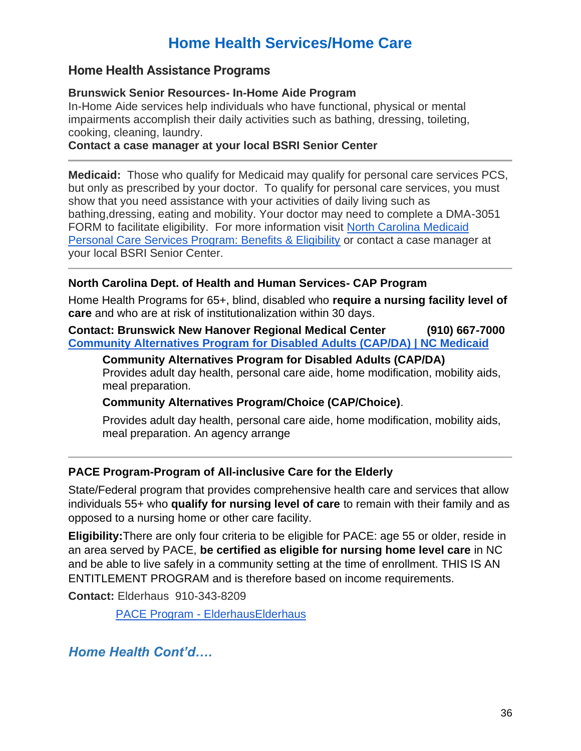# **Home Health Services/Home Care**

# **Home Health Assistance Programs**

#### **Brunswick Senior Resources- In-Home Aide Program**

In-Home Aide services help individuals who have functional, physical or mental impairments accomplish their daily activities such as bathing, dressing, toileting, cooking, cleaning, laundry.

#### **Contact a case manager at your local BSRI Senior Center**

**Medicaid:** Those who qualify for Medicaid may qualify for personal care services PCS, but only as prescribed by your doctor. To qualify for personal care services, you must show that you need assistance with your activities of daily living such as bathing,dressing, eating and mobility. Your doctor may need to complete a DMA-3051 FORM to facilitate eligibility. For more information visit [North Carolina Medicaid](https://www.medicaidplanningassistance.org/nc-personal-care-services-program/)  [Personal Care Services Program: Benefits & Eligibility](https://www.medicaidplanningassistance.org/nc-personal-care-services-program/) or contact a case manager at your local BSRI Senior Center.

### **North Carolina Dept. of Health and Human Services- CAP Program**

Home Health Programs for 65+, blind, disabled who **require a nursing facility level of care** and who are at risk of institutionalization within 30 days.

#### **Contact: Brunswick New Hanover Regional Medical Center (910) 667-7000 [Community Alternatives Program for Disabled Adults \(CAP/DA\) | NC Medicaid](https://medicaid.ncdhhs.gov/providers/programs-and-services/long-term-care/community-alternatives-program-disabled-adults-capda)**

**Community Alternatives Program for Disabled Adults (CAP/DA)** Provides adult day health, personal care aide, home modification, mobility aids, meal preparation.

#### **Community Alternatives Program/Choice (CAP/Choice)**.

Provides adult day health, personal care aide, home modification, mobility aids, meal preparation. An agency arrange

# **PACE Program-Program of All-inclusive Care for the Elderly**

State/Federal program that provides comprehensive health care and services that allow individuals 55+ who **qualify for nursing level of care** to remain with their family and as opposed to a nursing home or other care facility.

**Eligibility:**There are only four criteria to be eligible for PACE: age 55 or older, reside in an area served by PACE, **be certified as eligible for nursing home level care** in NC and be able to live safely in a community setting at the time of enrollment. THIS IS AN ENTITLEMENT PROGRAM and is therefore based on income requirements.

**Contact:** Elderhaus 910-343-8209

PACE Program - [ElderhausElderhaus](https://elderhaus.com/pace-program/)

*Home Health Cont'd….*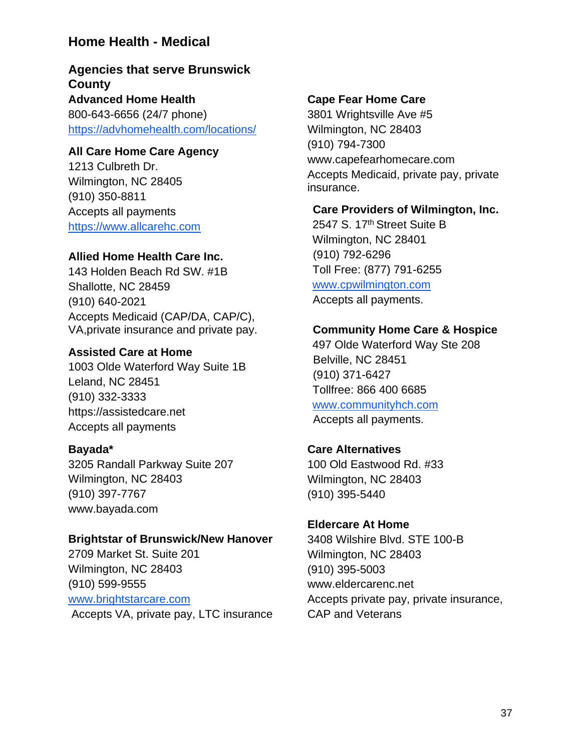# **Home Health - Medical**

# **Agencies that serve Brunswick County Advanced Home Health**  800-643-6656 (24/7 phone)

<https://advhomehealth.com/locations/>

#### **All Care Home Care Agency**

1213 Culbreth Dr. Wilmington, NC 28405 (910) 350-8811 Accepts all payments [https://www.allcarehc.com](https://www.allcarehc.com/)

#### **Allied Home Health Care Inc.**

143 Holden Beach Rd SW. #1B Shallotte, NC 28459 (910) 640-2021 Accepts Medicaid (CAP/DA, CAP/C), VA,private insurance and private pay.

#### **Assisted Care at Home**

1003 Olde Waterford Way Suite 1B Leland, NC 28451 (910) 332-3333 https://assistedcare.net Accepts all payments

#### **Bayada\***

3205 Randall Parkway Suite 207 Wilmington, NC 28403 (910) 397-7767 www.bayada.com

#### **Brightstar of Brunswick/New Hanover**

2709 Market St. Suite 201 Wilmington, NC 28403 (910) 599-9555 [www.brightstarcare.com](http://www.brightstarcare.com/) Accepts VA, private pay, LTC insurance

#### **Cape Fear Home Care**

3801 Wrightsville Ave #5 Wilmington, NC 28403 (910) 794-7300 www.capefearhomecare.com Accepts Medicaid, private pay, private insurance.

#### **Care Providers of Wilmington, Inc.**

2547 S. 17th Street Suite B Wilmington, NC 28401 (910) 792-6296 Toll Free: (877) 791-6255 www.cpwilmington.com Accepts all payments.

#### **Community Home Care & Hospice**

497 Olde Waterford Way Ste 208 Belville, NC 28451 (910) 371-6427 Tollfree: 866 400 6685 www.communityhch.com Accepts all payments.

#### **Care Alternatives**

100 Old Eastwood Rd. #33 Wilmington, NC 28403 (910) 395-5440

#### **Eldercare At Home**

3408 Wilshire Blvd. STE 100-B Wilmington, NC 28403 (910) 395-5003 www.eldercarenc.net Accepts private pay, private insurance, CAP and Veterans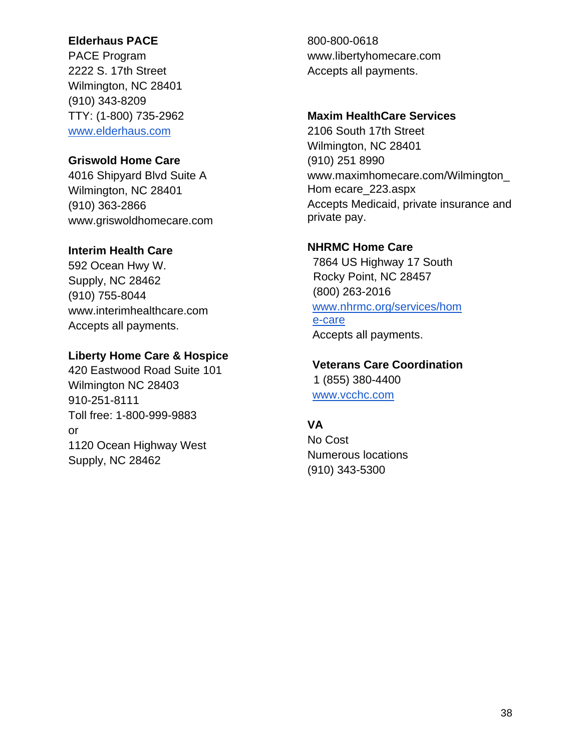# **Elderhaus PACE**

PACE Program 2222 S. 17th Street Wilmington, NC 28401 (910) 343-8209 TTY: (1-800) 735-2962 [www.elderhaus.com](http://www.elderhaus.com/)

# **Griswold Home Care**

4016 Shipyard Blvd Suite A Wilmington, NC 28401 (910) 363-2866 www.griswoldhomecare.com

# **Interim Health Care**

592 Ocean Hwy W. Supply, NC 28462 (910) 755-8044 www.interimhealthcare.com Accepts all payments.

# **Liberty Home Care & Hospice**

420 Eastwood Road Suite 101 Wilmington NC 28403 910-251-8111 Toll free: 1-800-999-9883 or 1120 Ocean Highway West Supply, NC 28462

800-800-0618 www.libertyhomecare.com Accepts all payments.

# **Maxim HealthCare Services**

2106 South 17th Street Wilmington, NC 28401 (910) 251 8990 www.maximhomecare.com/Wilmington\_ Hom ecare\_223.aspx Accepts Medicaid, private insurance and private pay.

# **NHRMC Home Care**

7864 US Highway 17 South Rocky Point, NC 28457 (800) 263-2016 www.nhrmc.org/services/hom e-care Accepts all payments.

**Veterans Care Coordination** 1 (855) 380-4400

[www.vcchc.com](http://www.vcchc.com/)

# **VA**

No Cost Numerous locations (910) 343-5300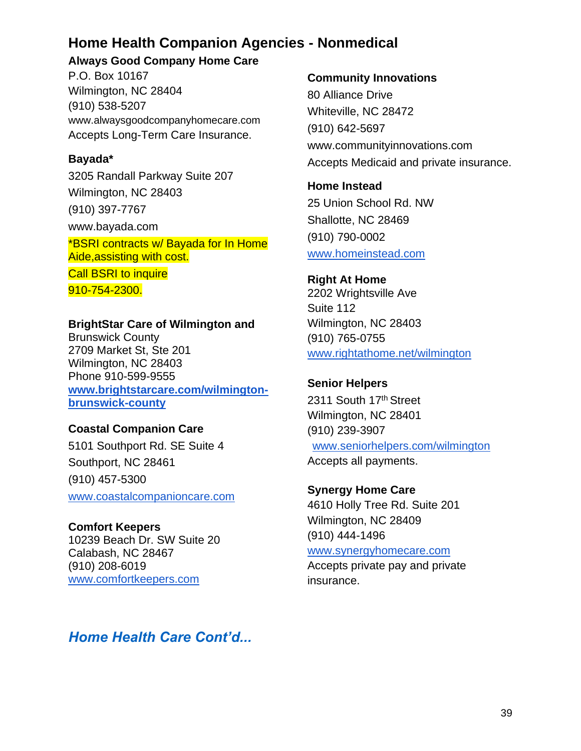# **Home Health Companion Agencies - Nonmedical**

### **Always Good Company Home Care**

P.O. Box 10167 Wilmington, NC 28404 (910) 538-5207 www.alwaysgoodcompanyhomecare.com Accepts Long-Term Care Insurance.

# **Bayada\***

3205 Randall Parkway Suite 207 Wilmington, NC 28403 (910) 397-7767 www.bayada.com

\*BSRI contracts w/ Bayada for In Home Aide,assisting with cost.

**Call BSRI to inquire** 910-754-2300.

# **BrightStar Care of Wilmington and**

Brunswick County 2709 Market St, Ste 201 Wilmington, NC 28403 Phone 910-599-9555 **[www.brightstarcare.com/wilmington](http://www.brightstarcare.com/wilmington-brunswick-county)[brunswick-county](http://www.brightstarcare.com/wilmington-brunswick-county)**

# **Coastal Companion Care**

5101 Southport Rd. SE Suite 4 Southport, NC 28461 (910) 457-5300 [www.coastalcompanioncare.com](http://www.coastalcompanioncare.com/)

# **Comfort Keepers**

10239 Beach Dr. SW Suite 20 Calabash, NC 28467 (910) 208-6019 [www.comfortkeepers.com](http://www.comfortkeepers.com/)

## **Community Innovations**

80 Alliance Drive Whiteville, NC 28472 (910) 642-5697 www.communityinnovations.com Accepts Medicaid and private insurance.

**Home Instead** 25 Union School Rd. NW Shallotte, NC 28469 (910) 790-0002 [www.homeinstead.com](http://www.homeinstead.com/)

# **Right At Home** 2202 Wrightsville Ave Suite 112 Wilmington, NC 28403 (910) 765-0755 [www.rightathome.net/wilmington](http://www.rightathome.net/wilmington)

# **Senior Helpers**

2311 South 17th Street Wilmington, NC 28401 (910) 239-3907 www.seniorhelpers.com/wilmington Accepts all payments.

# **Synergy Home Care**

4610 Holly Tree Rd. Suite 201 Wilmington, NC 28409 (910) 444-1496

#### www.synergyhomecare.com

Accepts private pay and private insurance.

# *Home Health Care Cont'd...*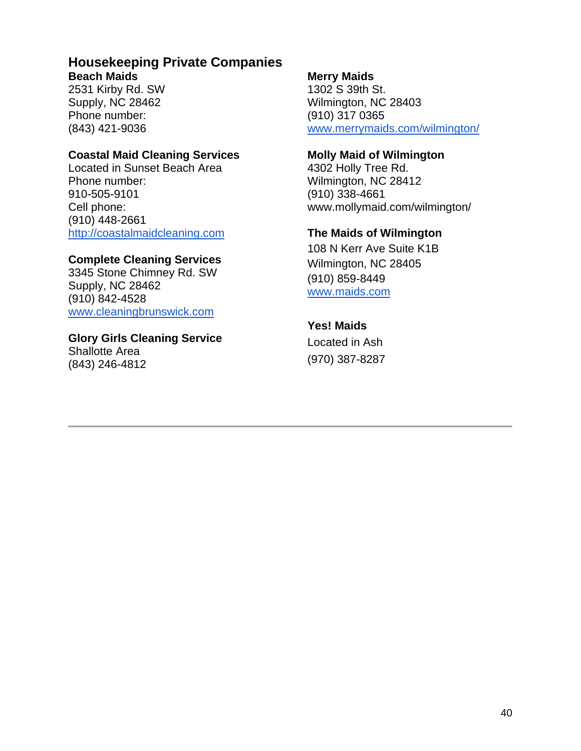#### **Housekeeping Private Companies Beach Maids**

2531 Kirby Rd. SW Supply, NC 28462 Phone number: (843) 421-9036

#### **Coastal Maid Cleaning Services**

Located in Sunset Beach Area Phone number: 910-505-9101 Cell phone: (910) 448-2661 [http://coastalmaidcleaning.com](http://coastalmaidcleaning.com/)

### **Complete Cleaning Services**

3345 Stone Chimney Rd. SW Supply, NC 28462 (910) 842-4528 [www.cleaningbrunswick.com](http://www.cleaningbrunswick.com/)

# **Glory Girls Cleaning Service**

Shallotte Area (843) 246-4812

## **Merry Maids**

1302 S 39th St. Wilmington, NC 28403 (910) 317 0365 [www.merrymaids.com/wilmington/](http://www.merrymaids.com/wilmington/)

#### **Molly Maid of Wilmington**

4302 Holly Tree Rd. Wilmington, NC 28412 (910) 338-4661 www.mollymaid.com/wilmington/

# **The Maids of Wilmington**

108 N Kerr Ave Suite K1B Wilmington, NC 28405 (910) 859-8449 [www.maids.com](http://www.maids.com/)

# **Yes! Maids**

Located in Ash (970) 387-8287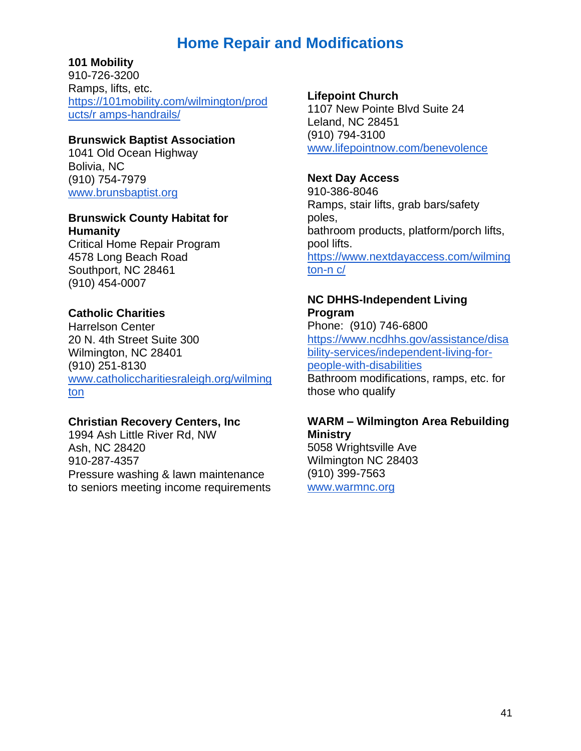# **Home Repair and Modifications**

### **101 Mobility**

910-726-3200 Ramps, lifts, etc. [https://101mobility.com/wilmington/prod](https://101mobility.com/wilmington/products/r) [ucts/r amps-handrails/](https://101mobility.com/wilmington/products/r)

#### **Brunswick Baptist Association**

1041 Old Ocean Highway Bolivia, NC (910) 754-7979 [www.brunsbaptist.org](http://www.brunsbaptist.org/)

#### **Brunswick County Habitat for Humanity**

Critical Home Repair Program 4578 Long Beach Road Southport, NC 28461 (910) 454-0007

### **Catholic Charities**

Harrelson Center 20 N. 4th Street Suite 300 Wilmington, NC 28401 (910) 251-8130 [www.catholiccharitiesraleigh.org/wilming](http://www.catholiccharitiesraleigh.org/wilmington) [ton](http://www.catholiccharitiesraleigh.org/wilmington)

#### **Christian Recovery Centers, Inc**

1994 Ash Little River Rd, NW Ash, NC 28420 910-287-4357 Pressure washing & lawn maintenance to seniors meeting income requirements

#### **Lifepoint Church**

1107 New Pointe Blvd Suite 24 Leland, NC 28451 (910) 794-3100 [www.lifepointnow.com/benevolence](http://www.lifepointnow.com/benevolence)

#### **Next Day Access**

910-386-8046 Ramps, stair lifts, grab bars/safety poles, bathroom products, platform/porch lifts, pool lifts. [https://www.nextdayaccess.com/wilming](https://www.nextdayaccess.com/wilmington-n) [ton-n c/](https://www.nextdayaccess.com/wilmington-n)

#### **NC DHHS-Independent Living Program**

Phone: (910) 746-6800 [https://www.ncdhhs.gov/assistance/disa](https://www.ncdhhs.gov/assistance/disability-services/independent-living-for-people-with-disabilities) [bility-services/independent-living-for](https://www.ncdhhs.gov/assistance/disability-services/independent-living-for-people-with-disabilities)[people-with-disabilities](https://www.ncdhhs.gov/assistance/disability-services/independent-living-for-people-with-disabilities) Bathroom modifications, ramps, etc. for those who qualify

### **WARM – Wilmington Area Rebuilding Ministry**

5058 Wrightsville Ave Wilmington NC 28403 (910) 399-7563 [www.warmnc.org](http://www.warmnc.org/)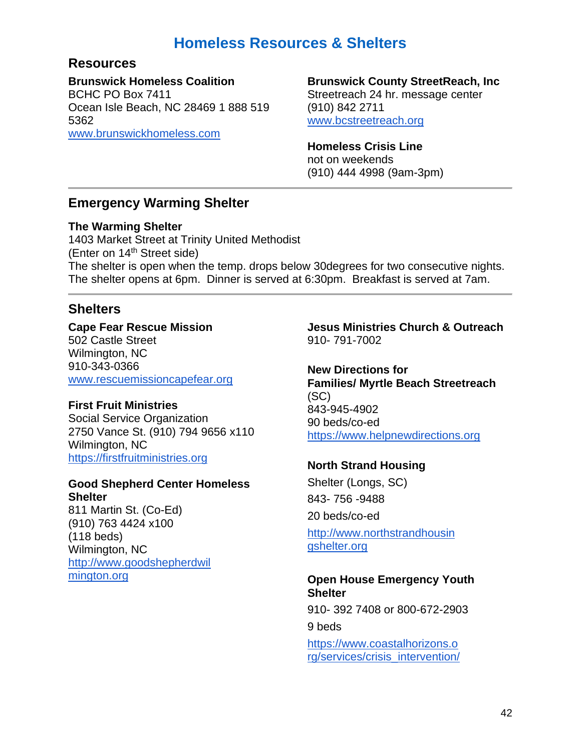# **Homeless Resources & Shelters**

# **Resources**

**Brunswick Homeless Coalition**

BCHC PO Box 7411 Ocean Isle Beach, NC 28469 1 888 519 5362 [www.brunswickhomeless.com](http://www.brunswickhomeless.com/)

#### **Brunswick County StreetReach, Inc**

Streetreach 24 hr. message center (910) 842 2711 [www.bcstreetreach.org](http://www.bcstreetreach.org/)

#### **Homeless Crisis Line**

not on weekends (910) 444 4998 (9am-3pm)

# **Emergency Warming Shelter**

### **The Warming Shelter**

1403 Market Street at Trinity United Methodist (Enter on 14th Street side) The shelter is open when the temp. drops below 30degrees for two consecutive nights. The shelter opens at 6pm. Dinner is served at 6:30pm. Breakfast is served at 7am.

# **Shelters**

**Cape Fear Rescue Mission**  502 Castle Street Wilmington, NC 910-343-0366 [www.rescuemissioncapefear.org](http://www.rescuemissioncapefear.org/)

# **First Fruit Ministries**

Social Service Organization 2750 Vance St. (910) 794 9656 x110 Wilmington, NC [https://firstfruitministries.org](https://firstfruitministries.org/)

#### **Good Shepherd Center Homeless Shelter**

811 Martin St. (Co-Ed) (910) 763 4424 x100 (118 beds) Wilmington, NC [http://www.goodshepherdwil](http://www.goodshepherdwil/)  [mington.org](http://www.goodshepherdwil/)

**Jesus Ministries Church & Outreach** 910- 791-7002

**New Directions for Families/ Myrtle Beach Streetreach** (SC) 843-945-4902 90 beds/co-ed [https://www.helpnewdirections.org](https://www.helpnewdirections.org/)

# **North Strand Housing**

Shelter (Longs, SC) 843- 756 -9488 20 beds/co-ed

[http://www.northstrandhousin](http://www.northstrandhousin/)  [gshelter.org](http://www.northstrandhousin/)

#### **Open House Emergency Youth Shelter**

910- 392 7408 or 800-672-2903 9 beds [https://www.coastalhorizons.o](https://www.coastalhorizons.o/)  [rg/services/crisis\\_intervention/](https://www.coastalhorizons.o/)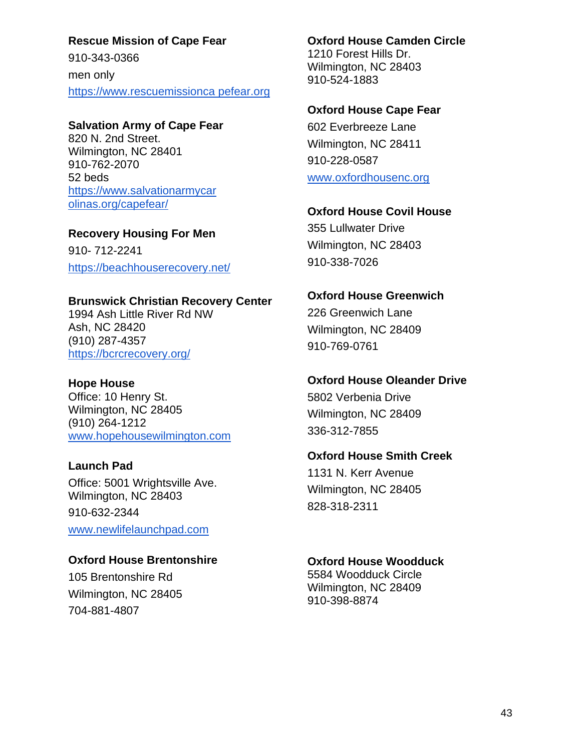**Rescue Mission of Cape Fear**  910-343-0366 men only [https://www.rescuemissionca pefear.org](https://www.rescuemissionca/)

#### **Salvation Army of Cape Fear**

820 N. 2nd Street. Wilmington, NC 28401 910-762-2070 52 beds [https://www.salvationarmycar](https://www.salvationarmycar/)  [olinas.org/capefear/](https://www.salvationarmycar/)

**Recovery Housing For Men**  910- 712-2241 <https://beachhouserecovery.net/>

### **Brunswick Christian Recovery Center**

1994 Ash Little River Rd NW Ash, NC 28420 (910) 287-4357 <https://bcrcrecovery.org/>

#### **Hope House**

Office: 10 Henry St. Wilmington, NC 28405 (910) 264-1212 [www.hopehousewilmington.com](http://www.hopehousewilmington.c/)

#### **Launch Pad**

Office: 5001 Wrightsville Ave. Wilmington, NC 28403 910-632-2344 [www.newlifelaunchpad.com](http://www.newlifelaunchpad.com/)

# **Oxford House Brentonshire**

105 Brentonshire Rd Wilmington, NC 28405 704-881-4807

**Oxford House Camden Circle** 1210 Forest Hills Dr. Wilmington, NC 28403 910-524-1883

#### **Oxford House Cape Fear**

602 Everbreeze Lane Wilmington, NC 28411 910-228-0587 [www.oxfordhousenc.org](http://www.oxfordhousenc.org/)

### **Oxford House Covil House**

355 Lullwater Drive Wilmington, NC 28403 910-338-7026

# **Oxford House Greenwich**

226 Greenwich Lane Wilmington, NC 28409 910-769-0761

#### **Oxford House Oleander Drive**

5802 Verbenia Drive Wilmington, NC 28409 336-312-7855

#### **Oxford House Smith Creek**

1131 N. Kerr Avenue Wilmington, NC 28405 828-318-2311

# **Oxford House Woodduck**

5584 Woodduck Circle Wilmington, NC 28409 910-398-8874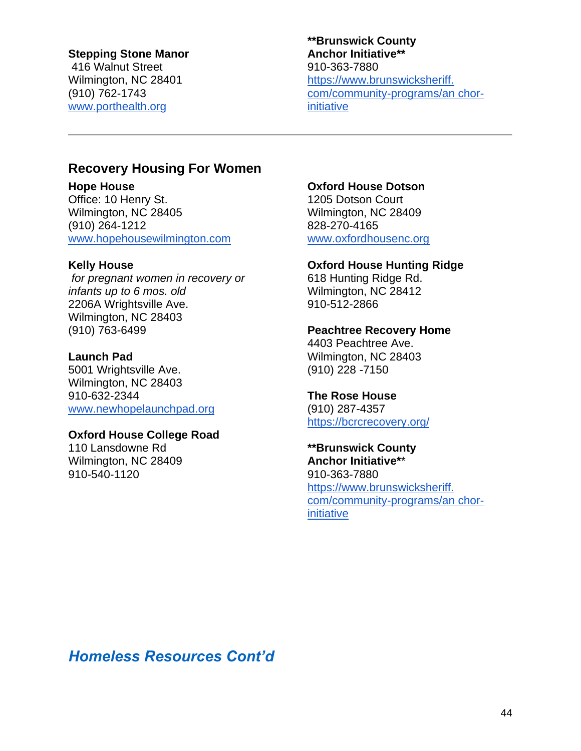#### **Stepping Stone Manor**

416 Walnut Street Wilmington, NC 28401 (910) 762-1743 [www.porthealth.org](http://www.porthealth.org/)

#### **\*\*Brunswick County Anchor Initiative\*\***  910-363-7880 [https://www.brunswicksheriff.](https://www.brunswicksheriff./)  [com/community-programs/an chor](https://www.brunswicksheriff./)[initiative](https://www.brunswicksheriff./)

# **Recovery Housing For Women**

**Hope House** Office: 10 Henry St. Wilmington, NC 28405 (910) 264-1212 [www.hopehousewilmington.com](http://www.hopehousewilmington.com/)

#### **Kelly House**

*for pregnant women in recovery or infants up to 6 mos. old*  2206A Wrightsville Ave. Wilmington, NC 28403 (910) 763-6499

#### **Launch Pad**

5001 Wrightsville Ave. Wilmington, NC 28403 910-632-2344 [www.newhopelaunchpad.org](http://www.newhopelaunchpad.org/)

#### **Oxford House College Road**

110 Lansdowne Rd Wilmington, NC 28409 910-540-1120

#### **Oxford House Dotson**

1205 Dotson Court Wilmington, NC 28409 828-270-4165 [www.oxfordhousenc.org](http://www.oxfordhousenc.org/)

#### **Oxford House Hunting Ridge**

618 Hunting Ridge Rd. Wilmington, NC 28412 910-512-2866

#### **Peachtree Recovery Home**

4403 Peachtree Ave. Wilmington, NC 28403 (910) 228 -7150

#### **The Rose House**

(910) 287-4357 <https://bcrcrecovery.org/>

#### **\*\*Brunswick County Anchor Initiative\***\* 910-363-7880

[https://www.brunswicksheriff.](https://www.brunswicksheriff./)  [com/community-programs/an chor](https://www.brunswicksheriff./)[initiative](https://www.brunswicksheriff./)

*Homeless Resources Cont'd*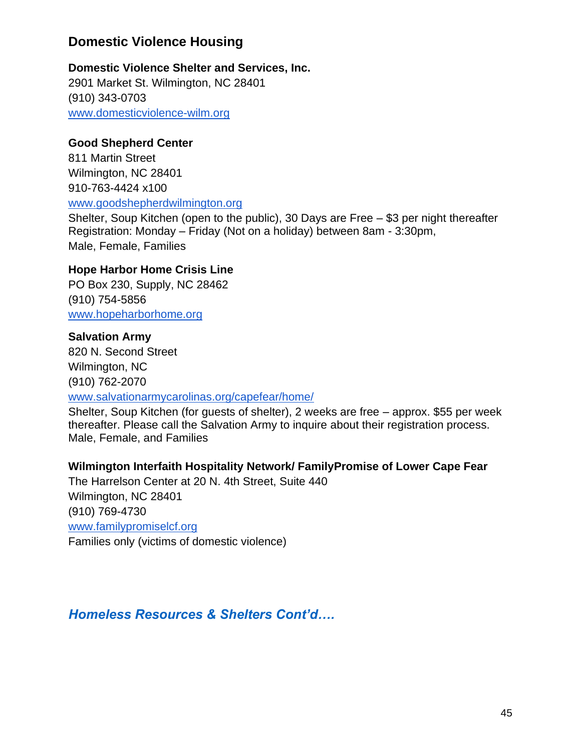# **Domestic Violence Housing**

# **Domestic Violence Shelter and Services, Inc.**

2901 Market St. Wilmington, NC 28401 (910) 343-0703 [www.domesticviolence-wilm.org](http://www.domesticviolence-wilm.org/)

# **Good Shepherd Center**

811 Martin Street Wilmington, NC 28401 910-763-4424 x100 [www.goodshepherdwilmington.org](http://www.goodshepherdwilmington.org/)

Shelter, Soup Kitchen (open to the public), 30 Days are Free – \$3 per night thereafter Registration: Monday – Friday (Not on a holiday) between 8am - 3:30pm, Male, Female, Families

# **Hope Harbor Home Crisis Line**

PO Box 230, Supply, NC 28462 (910) 754-5856 [www.hopeharborhome.org](http://www.hopeharborhome.org/)

# **Salvation Army**

820 N. Second Street Wilmington, NC (910) 762-2070

#### [www.salvationarmycarolinas.org/capefear/home/](http://www.salvationarmycarolinas.org/capefear/ho)

Shelter, Soup Kitchen (for guests of shelter), 2 weeks are free – approx. \$55 per week thereafter. Please call the Salvation Army to inquire about their registration process. Male, Female, and Families

# **Wilmington Interfaith Hospitality Network/ FamilyPromise of Lower Cape Fear**

The Harrelson Center at 20 N. 4th Street, Suite 440 Wilmington, NC 28401 (910) 769-4730 [www.familypromiselcf.org](http://www.familypromiselcf.org/)  Families only (victims of domestic violence)

*Homeless Resources & Shelters Cont'd….*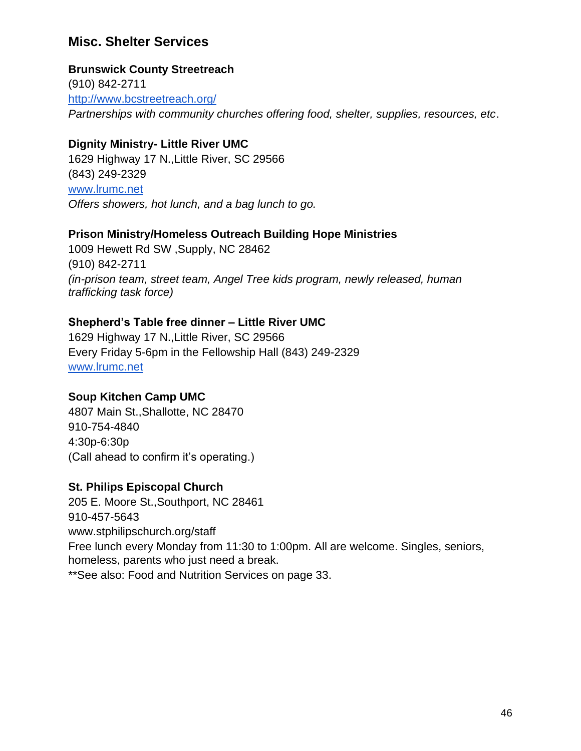# **Misc. Shelter Services**

#### **Brunswick County Streetreach**

(910) 842-2711 <http://www.bcstreetreach.org/> *Partnerships with community churches offering food, shelter, supplies, resources, etc*.

### **Dignity Ministry- Little River UMC**

1629 Highway 17 N.,Little River, SC 29566 (843) 249-2329 [www.lrumc.net](http://www.lrumc.net/) *Offers showers, hot lunch, and a bag lunch to go.*

#### **Prison Ministry/Homeless Outreach Building Hope Ministries**

1009 Hewett Rd SW ,Supply, NC 28462 (910) 842-2711 *(in-prison team, street team, Angel Tree kids program, newly released, human trafficking task force)*

# **Shepherd's Table free dinner – Little River UMC**

1629 Highway 17 N.,Little River, SC 29566 Every Friday 5-6pm in the Fellowship Hall (843) 249-2329 [www.lrumc.net](http://www.lrumc.net/)

# **Soup Kitchen Camp UMC**

4807 Main St.,Shallotte, NC 28470 910-754-4840 4:30p-6:30p (Call ahead to confirm it's operating.)

# **St. Philips Episcopal Church**

205 E. Moore St.,Southport, NC 28461 910-457-5643 www.stphilipschurch.org/staff Free lunch every Monday from 11:30 to 1:00pm. All are welcome. Singles, seniors, homeless, parents who just need a break. \*\*See also: Food and Nutrition Services on page 33.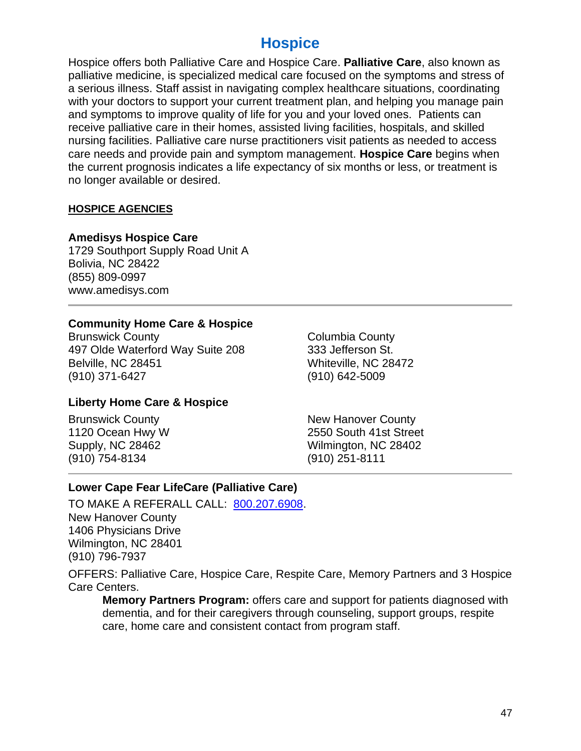# **Hospice**

Hospice offers both Palliative Care and Hospice Care. **Palliative Care**, also known as palliative medicine, is specialized medical care focused on the symptoms and stress of a serious illness. Staff assist in navigating complex healthcare situations, coordinating with your doctors to support your current treatment plan, and helping you manage pain and symptoms to improve quality of life for you and your loved ones. Patients can receive palliative care in their homes, assisted living facilities, hospitals, and skilled nursing facilities. Palliative care nurse practitioners visit patients as needed to access care needs and provide pain and symptom management. **Hospice Care** begins when the current prognosis indicates a life expectancy of six months or less, or treatment is no longer available or desired.

#### **HOSPICE AGENCIES**

#### **Amedisys Hospice Care**

1729 Southport Supply Road Unit A Bolivia, NC 28422 (855) 809-0997 www.amedisys.com

#### **Community Home Care & Hospice**

Brunswick County 497 Olde Waterford Way Suite 208 Belville, NC 28451 (910) 371-6427

Columbia County 333 Jefferson St. Whiteville, NC 28472 (910) 642-5009

# **Liberty Home Care & Hospice**

Brunswick County 1120 Ocean Hwy W Supply, NC 28462 (910) 754-8134

New Hanover County 2550 South 41st Street Wilmington, NC 28402 (910) 251-8111

# **Lower Cape Fear LifeCare (Palliative Care)**

TO MAKE A REFERALL CALL: [800.207.6908.](tel:800-207-6908) New Hanover County 1406 Physicians Drive Wilmington, NC 28401 (910) 796-7937

OFFERS: Palliative Care, Hospice Care, Respite Care, Memory Partners and 3 Hospice Care Centers.

**Memory Partners Program:** offers care and support for patients diagnosed with dementia, and for their caregivers through counseling, support groups, respite care, home care and consistent contact from program staff.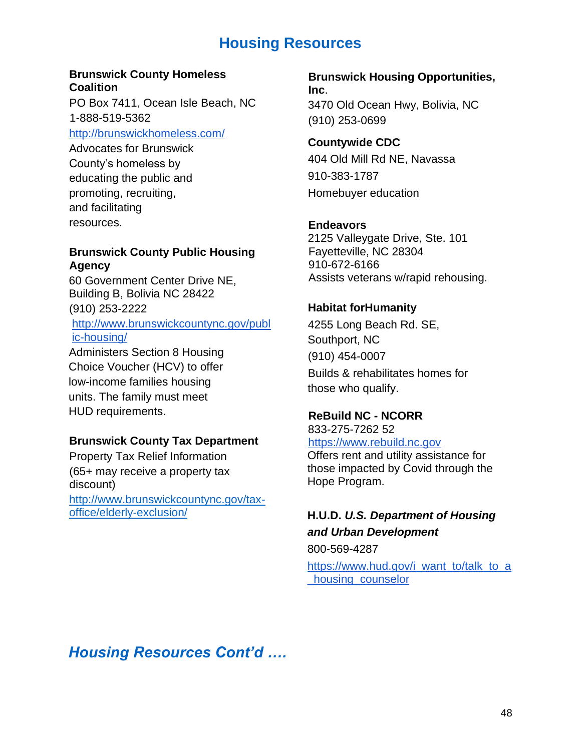# **Housing Resources**

#### **Brunswick County Homeless Coalition**

PO Box 7411, Ocean Isle Beach, NC 1-888-519-5362

http://brunswickhomeless.com/

Advocates for Brunswick County's homeless by educating the public and promoting, recruiting, and facilitating resources.

# **Brunswick County Public Housing Agency**

60 Government Center Drive NE, Building B, Bolivia NC 28422 (910) 253-2222 http://www.brunswickcountync.gov/publ ic-housing/

Administers Section 8 Housing Choice Voucher (HCV) to offer low-income families housing units. The family must meet HUD requirements.

# **Brunswick County Tax Department**

Property Tax Relief Information (65+ may receive a property tax discount) http://www.brunswickcountync.gov/taxoffice/elderly-exclusion/

**Brunswick Housing Opportunities, Inc**. 3470 Old Ocean Hwy, Bolivia, NC (910) 253-0699

**Countywide CDC** 404 Old Mill Rd NE, Navassa 910-383-1787 Homebuyer education

### **Endeavors**

2125 Valleygate Drive, Ste. 101 Fayetteville, NC 28304 910-672-6166 Assists veterans w/rapid rehousing.

# **Habitat forHumanity**

4255 Long Beach Rd. SE, Southport, NC (910) 454-0007 Builds & rehabilitates homes for those who qualify.

# **ReBuild NC - NCORR**

833-275-7262 52 https://www.rebuild.nc.gov

Offers rent and utility assistance for those impacted by Covid through the Hope Program.

# **H.U.D.** *U.S. Department of Housing and Urban Development*

800-569-4287

[https://www.hud.gov/i\\_want\\_to/talk\\_to\\_a](https://www.hud.gov/i_want_to/talk_to_a_housing_counselor) [\\_housing\\_counselor](https://www.hud.gov/i_want_to/talk_to_a_housing_counselor)

*Housing Resources Cont'd ….*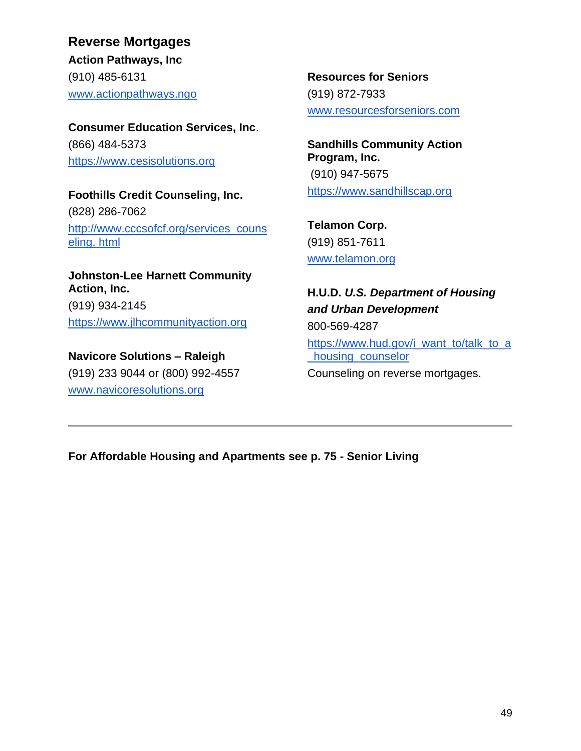**Consumer Education Services, Inc**. (866) 484-5373 [https://www.cesisolutions.org](https://www.cesisolutions.org/)

**Foothills Credit Counseling, Inc.**  (828) 286-7062 [http://www.cccsofcf.org/services\\_couns](http://www.cccsofcf.org/services_counseling.) [eling. html](http://www.cccsofcf.org/services_counseling.)

**Johnston-Lee Harnett Community Action, Inc.** (919) 934-2145 [https://www.jlhcommunityaction.org](https://www.jlhcommunityaction.org/)

**Navicore Solutions – Raleigh**  (919) 233 9044 or (800) 992-4557 [www.navicoresolutions.org](http://www.navicoresolutions.org/)

**Resources for Seniors**  (919) 872-7933 [www.resourcesforseniors.com](http://www.resourcesforseniors.com/)

**Sandhills Community Action Program, Inc.** (910) 947-5675 [https://www.sandhillscap.org](https://www.sandhillscap.org/)

**Telamon Corp.** (919) 851-7611 [www.telamon.org](http://www.telamon.org/)

**H.U.D.** *U.S. Department of Housing and Urban Development* 800-569-4287 [https://www.hud.gov/i\\_want\\_to/talk\\_to\\_a](https://www.hud.gov/i_want_to/talk_to_a_housing_counselor) housing\_counselor Counseling on reverse mortgages.

**For Affordable Housing and Apartments see p. 75 - Senior Living**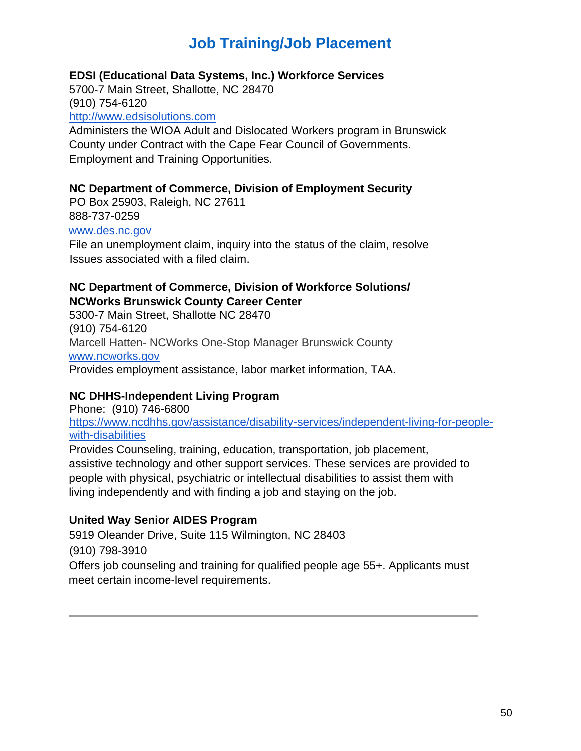# **Job Training/Job Placement**

### **EDSI (Educational Data Systems, Inc.) Workforce Services**

5700-7 Main Street, Shallotte, NC 28470 (910) 754-6120

http://www.edsisolutions.com

Administers the WIOA Adult and Dislocated Workers program in Brunswick County under Contract with the Cape Fear Council of Governments. Employment and Training Opportunities.

#### **NC Department of Commerce, Division of Employment Security**

PO Box 25903, Raleigh, NC 27611 888-737-0259

# www.des.nc.gov

File an unemployment claim, inquiry into the status of the claim, resolve Issues associated with a filed claim.

# **NC Department of Commerce, Division of Workforce Solutions/ NCWorks Brunswick County Career Center**

5300-7 Main Street, Shallotte NC 28470 (910) 754-6120 Marcell Hatten- NCWorks One-Stop Manager Brunswick County www.ncworks.gov Provides employment assistance, labor market information, TAA.

# **NC DHHS-Independent Living Program**

Phone: (910) 746-6800 [https://www.ncdhhs.gov/assistance/disability-services/independent-living-for-people](https://www.ncdhhs.gov/assistance/disability-services/independent-living-for-people-with-disabilities)[with-disabilities](https://www.ncdhhs.gov/assistance/disability-services/independent-living-for-people-with-disabilities)

Provides Counseling, training, education, transportation, job placement, assistive technology and other support services. These services are provided to people with physical, psychiatric or intellectual disabilities to assist them with living independently and with finding a job and staying on the job.

# **United Way Senior AIDES Program**

5919 Oleander Drive, Suite 115 Wilmington, NC 28403 (910) 798-3910 Offers job counseling and training for qualified people age 55+. Applicants must meet certain income-level requirements.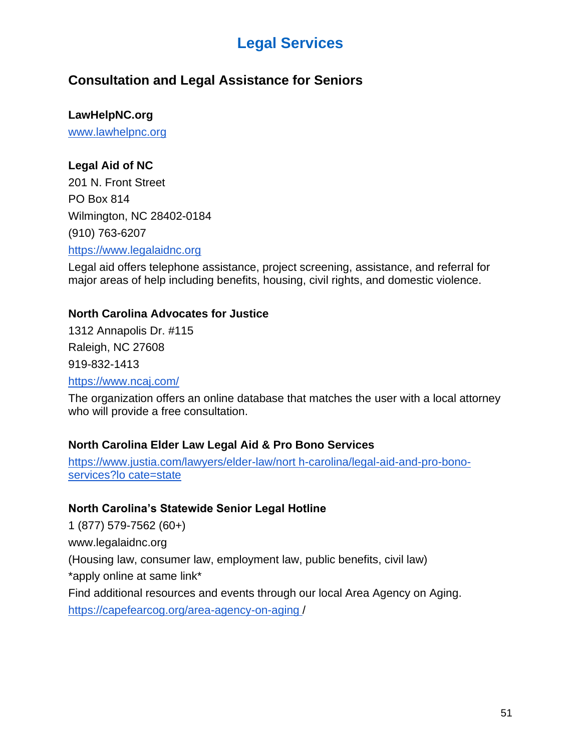# **Legal Services**

# **Consultation and Legal Assistance for Seniors**

**LawHelpNC.org**

[www.lawhelpnc.org](http://www.lawhelpnc.org/)

# **Legal Aid of NC**

201 N. Front Street PO Box 814 Wilmington, NC 28402-0184 (910) 763-6207

[https://www.legalaidnc.org](https://www.legalaidnc.org/)

Legal aid offers telephone assistance, project screening, assistance, and referral for major areas of help including benefits, housing, civil rights, and domestic violence.

### **North Carolina Advocates for Justice**

1312 Annapolis Dr. #115 Raleigh, NC 27608 919-832-1413 <https://www.ncaj.com/>

The organization offers an online database that matches the user with a local attorney who will provide a free consultation.

# **North Carolina Elder Law Legal Aid & Pro Bono Services**

[https://www.justia.com/lawyers/elder-law/nort h-carolina/legal-aid-and-pro-bono](https://www.justia.com/lawyers/elder-law/nort)[services?lo cate=state](https://www.justia.com/lawyers/elder-law/nort)

# **North Carolina's Statewide Senior Legal Hotline**

1 (877) 579-7562 (60+)

www.legalaidnc.org

(Housing law, consumer law, employment law, public benefits, civil law)

\*apply online at same link\*

Find additional resources and events through our local Area Agency on Aging.

[https://capefearcog.org/area-agency-on-aging /](https://capefearcog.org/area-agency-on-aging)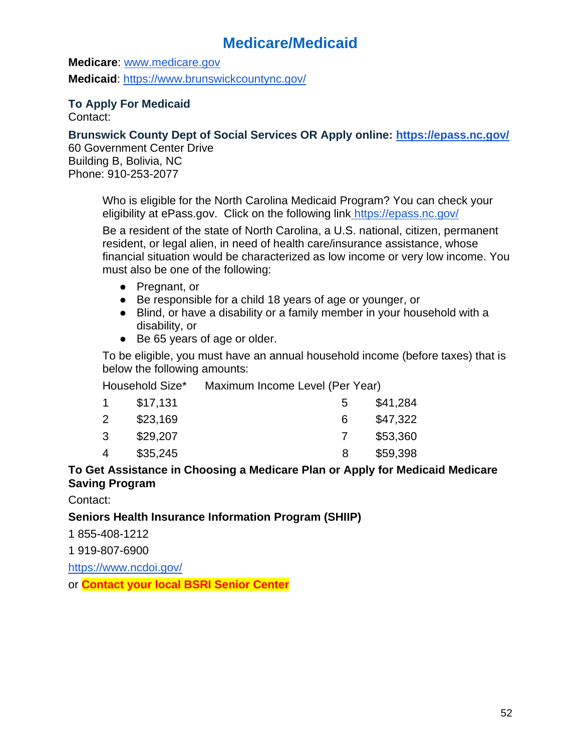# **Medicare/Medicaid**

**Medicare**: [www.medicare.gov](http://www.medicare.gov/) **Medicaid**:<https://www.brunswickcountync.gov/>

**To Apply For Medicaid** Contact:

**Brunswick County Dept of Social Services OR Apply online:<https://epass.nc.gov/>**

60 Government Center Drive Building B, Bolivia, NC Phone: 910-253-2077

> Who is eligible for the North Carolina Medicaid Program? You can check your eligibility at ePass.gov. Click on the following link <https://epass.nc.gov/>

Be a resident of the state of North Carolina, a U.S. national, citizen, permanent resident, or legal alien, in need of health care/insurance assistance, whose financial situation would be characterized as low income or very low income. You must also be one of the following:

- Pregnant, or
- Be responsible for a child 18 years of age or younger, or
- Blind, or have a disability or a family member in your household with a disability, or
- Be 65 years of age or older.

To be eligible, you must have an annual household income (before taxes) that is below the following amounts:

Household Size\* Maximum Income Level (Per Year)

|   | \$17,131 | $\mathbf b$ | \$41,284 |
|---|----------|-------------|----------|
|   | \$23,169 | 6.          | \$47,322 |
| 3 | \$29,207 |             | \$53,360 |
|   | \$35,245 | 8           | \$59,398 |

### **To Get Assistance in Choosing a Medicare Plan or Apply for Medicaid Medicare Saving Program**

Contact:

# **Seniors Health Insurance Information Program (SHIIP)**

1 855-408-1212

1 919-807-6900

<https://www.ncdoi.gov/>

or **Contact your local BSRI Senior Center**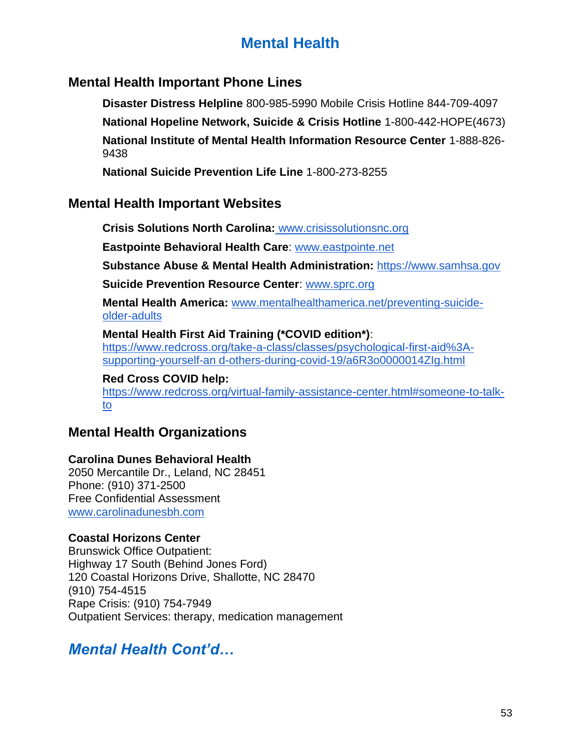# **Mental Health**

# **Mental Health Important Phone Lines**

**Disaster Distress Helpline** 800-985-5990 Mobile Crisis Hotline 844-709-4097

**National Hopeline Network, Suicide & Crisis Hotline** 1-800-442-HOPE(4673)

**National Institute of Mental Health Information Resource Center** 1-888-826- 9438

**National Suicide Prevention Life Line** 1-800-273-8255

# **Mental Health Important Websites**

**[Crisis Solutions North Carolina:](http://www.crisissolutionsnc.org/)** [www.crisissolutionsnc.org](http://www.crisissolutionsnc.org/) 

**Eastpointe Behavioral Health Care**: [www.eastpointe.net](http://www.eastpointe.net/)

**Substance Abuse & Mental Health Administration:** [https://www.samhsa.gov](https://www.samhsa.gov/)

**Suicide Prevention Resource Center**: [www.sprc.org](http://www.sprc.org/)

**Mental Health America:** [www.mentalhealthamerica.net/preventing-suicide](http://www.mentalhealthamerica.net/preventing-suicide-older-adults)[older-adults](http://www.mentalhealthamerica.net/preventing-suicide-older-adults)

# **Mental Health First Aid Training (\*COVID edition\*)**:

[https://www.redcross.org/take-a-class/classes/psychological-first-aid%3A](https://www.redcross.org/take-a-class/classes/psychological-first-aid%3A-supporting-yourself-an)[supporting-yourself-an d-others-during-covid-19/a6R3o0000014ZIg.html](https://www.redcross.org/take-a-class/classes/psychological-first-aid%3A-supporting-yourself-an)

#### **Red Cross COVID help:**

[https://www.redcross.org/virtual-family-assistance-center.html#someone-to-talk](https://www.redcross.org/virtual-family-assistance-center.html#someone-to-talk-to)[to](https://www.redcross.org/virtual-family-assistance-center.html#someone-to-talk-to)

# **Mental Health Organizations**

# **Carolina Dunes Behavioral Health**

2050 Mercantile Dr., Leland, NC 28451 Phone: (910) 371-2500 Free Confidential Assessment [www.carolinadunesbh.com](http://www.carolinadunesbh.com/)

# **Coastal Horizons Center**

Brunswick Office Outpatient: Highway 17 South (Behind Jones Ford) 120 Coastal Horizons Drive, Shallotte, NC 28470 (910) 754-4515 Rape Crisis: (910) 754-7949 Outpatient Services: therapy, medication management

# *Mental Health Cont'd…*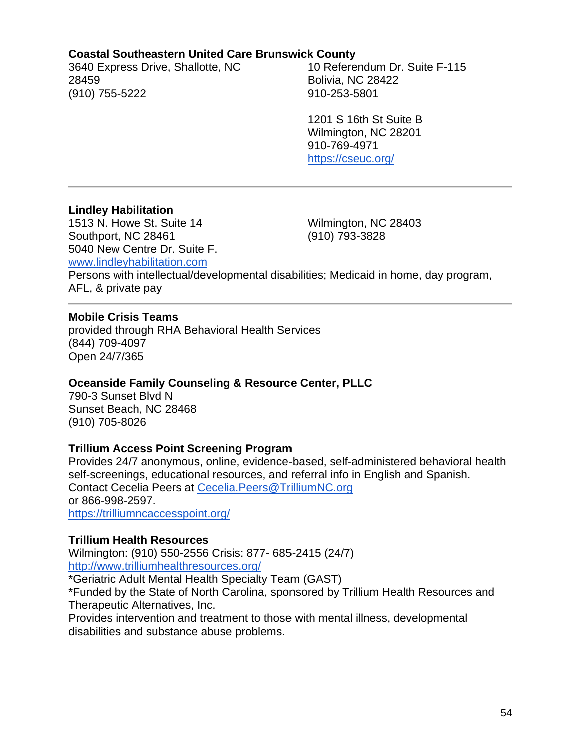#### **Coastal Southeastern United Care Brunswick County**

3640 Express Drive, Shallotte, NC 28459 (910) 755-5222

10 Referendum Dr. Suite F-115 Bolivia, NC 28422 910-253-5801

1201 S 16th St Suite B Wilmington, NC 28201 910-769-4971 <https://cseuc.org/>

#### **Lindley Habilitation**

1513 N. Howe St. Suite 14 Southport, NC 28461 5040 New Centre Dr. Suite F. Wilmington, NC 28403 (910) 793-3828 [www.lindleyhabilitation.com](http://www.lindleyhabilitation.com/) Persons with intellectual/developmental disabilities; Medicaid in home, day program, AFL, & private pay

#### **Mobile Crisis Teams**

provided through RHA Behavioral Health Services (844) 709-4097 Open 24/7/365

#### **Oceanside Family Counseling & Resource Center, PLLC**

790-3 Sunset Blvd N Sunset Beach, NC 28468 (910) 705-8026

#### **Trillium Access Point Screening Program**

Provides 24/7 anonymous, online, evidence-based, self-administered behavioral health self-screenings, educational resources, and referral info in English and Spanish. Contact Cecelia Peers at [Cecelia.Peers@TrilliumNC.org](mailto:Cecelia.Peers@TrilliumNC.org) or 866-998-2597. <https://trilliumncaccesspoint.org/>

#### **Trillium Health Resources**

Wilmington: (910) 550-2556 Crisis: 877- 685-2415 (24/7) <http://www.trilliumhealthresources.org/>

\*Geriatric Adult Mental Health Specialty Team (GAST)

\*Funded by the State of North Carolina, sponsored by Trillium Health Resources and Therapeutic Alternatives, Inc.

Provides intervention and treatment to those with mental illness, developmental disabilities and substance abuse problems.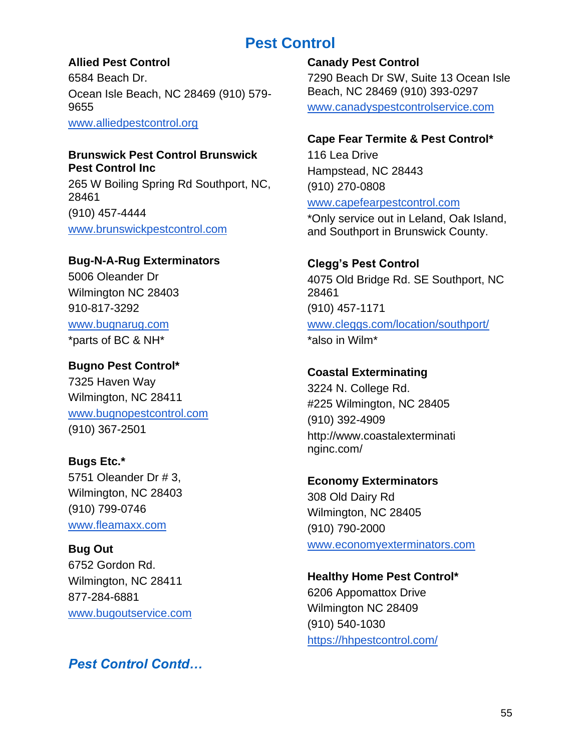# **Pest Control**

# **Allied Pest Control**

6584 Beach Dr. Ocean Isle Beach, NC 28469 (910) 579- 9655

[www.alliedpestcontrol.org](http://www.alliedpestcontrol.org/)

# **Brunswick Pest Control Brunswick Pest Control Inc**

265 W Boiling Spring Rd Southport, NC, 28461 (910) 457-4444 [www.brunswickpestcontrol.com](http://www.brunswickpestcontrol.com/)

# **Bug-N-A-Rug Exterminators**

5006 Oleander Dr Wilmington NC 28403 910-817-3292 [www.bugnarug.com](http://www.bugnarug.com/)

\*parts of BC & NH\*

# **Bugno Pest Control\***

7325 Haven Way Wilmington, NC 28411 [www.bugnopestcontrol.com](http://www.bugnopestcontrol.com/) (910) 367-2501

# **Bugs Etc.\***

5751 Oleander Dr # 3, Wilmington, NC 28403 (910) 799-0746 [www.fleamaxx.com](http://www.fleamaxx.com/)

**Bug Out** 6752 Gordon Rd. Wilmington, NC 28411 877-284-6881 [www.bugoutservice.com](http://www.bugoutservice.com/)

*Pest Control Contd…*

# **Canady Pest Control** 7290 Beach Dr SW, Suite 13 Ocean Isle Beach, NC 28469 (910) 393-0297 [www.canadyspestcontrolservice.com](http://www.canadyspestcontrolservice.com/)

# **Cape Fear Termite & Pest Control\***

116 Lea Drive Hampstead, NC 28443 (910) 270-0808

### [www.capefearpestcontrol.com](http://www.capefearpestcontrol.com/)

\*Only service out in Leland, Oak Island, and Southport in Brunswick County.

# **Clegg's Pest Control**

4075 Old Bridge Rd. SE Southport, NC 28461 (910) 457-1171 [www.cleggs.com/location/southport/](http://www.cleggs.com/location/southport/) \*also in Wilm\*

# **Coastal Exterminating**

3224 N. College Rd. #225 Wilmington, NC 28405 (910) 392-4909 http://www.coastalexterminati nginc.com/

# **Economy Exterminators** 308 Old Dairy Rd Wilmington, NC 28405 (910) 790-2000 [www.economyexterminators.com](http://www.economyexterminators.com/)

**Healthy Home Pest Control\*** 6206 Appomattox Drive Wilmington NC 28409 (910) 540-1030 <https://hhpestcontrol.com/>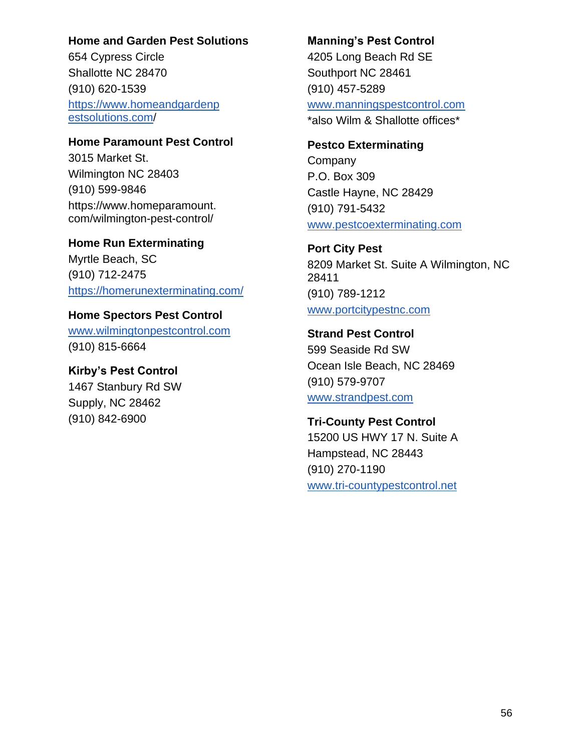#### **Home and Garden Pest Solutions**

654 Cypress Circle Shallotte NC 28470 (910) 620-1539 [https://www.homeandgardenp](https://www.homeandgardenp/)  [estsolutions.com/](https://www.homeandgardenp/)

#### **Home Paramount Pest Control**

3015 Market St. Wilmington NC 28403 (910) 599-9846 https://www.homeparamount. com/wilmington-pest-control/

**Home Run Exterminating** Myrtle Beach, SC (910) 712-2475 <https://homerunexterminating.com/>

# **Home Spectors Pest Control**  [www.wilmingtonpestcontrol.com](http://www.wilmingtonpestcontrol.com/)

(910) 815-6664

# **Kirby's Pest Control**

1467 Stanbury Rd SW Supply, NC 28462 (910) 842-6900

#### **Manning's Pest Control**

4205 Long Beach Rd SE Southport NC 28461 (910) 457-5289 [www.manningspestcontrol.com](http://www.manningspestcontrol.com/)  \*also Wilm & Shallotte offices\*

### **Pestco Exterminating**

Company P.O. Box 309 Castle Hayne, NC 28429 (910) 791-5432 [www.pestcoexterminating.com](http://www.pestcoexterminating.com/)

# **Port City Pest**

8209 Market St. Suite A Wilmington, NC 28411 (910) 789-1212 [www.portcitypestnc.com](http://www.portcitypestnc.com/)

### **Strand Pest Control**

599 Seaside Rd SW Ocean Isle Beach, NC 28469 (910) 579-9707 [www.strandpest.com](http://www.strandpest.com/)

# **Tri-County Pest Control**

15200 US HWY 17 N. Suite A Hampstead, NC 28443 (910) 270-1190 [www.tri-countypestcontrol.net](http://www.tri-countypestcontrol.net/)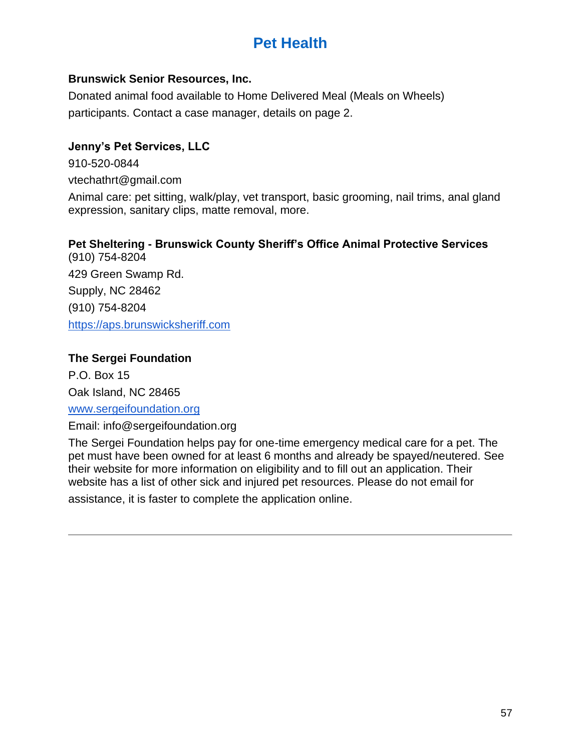# **Pet Health**

### **Brunswick Senior Resources, Inc.**

Donated animal food available to Home Delivered Meal (Meals on Wheels) participants. Contact a case manager, details on page 2.

# **Jenny's Pet Services, LLC**

910-520-0844 vtechathrt@gmail.com

Animal care: pet sitting, walk/play, vet transport, basic grooming, nail trims, anal gland expression, sanitary clips, matte removal, more.

### **Pet Sheltering - Brunswick County Sheriff's Office Animal Protective Services** (910) 754-8204

429 Green Swamp Rd. Supply, NC 28462 (910) 754-8204 [https://aps.brunswicksheriff.com](https://aps.brunswicksheriff.com/)

# **The Sergei Foundation**

P.O. Box 15 Oak Island, NC 28465

### [www.sergeifoundation.org](http://www.sergeifoundation.org/)

Email: info@sergeifoundation.org

The Sergei Foundation helps pay for one-time emergency medical care for a pet. The pet must have been owned for at least 6 months and already be spayed/neutered. See their website for more information on eligibility and to fill out an application. Their website has a list of other sick and injured pet resources. Please do not email for

assistance, it is faster to complete the application online.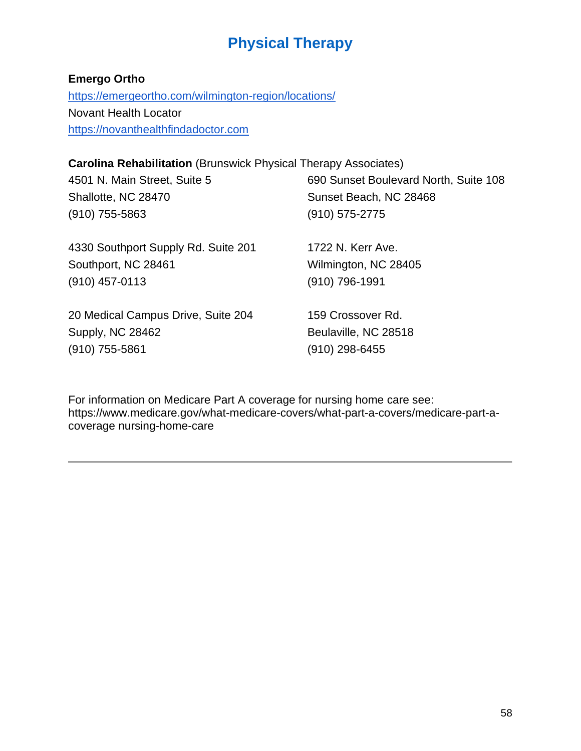# **Physical Therapy**

# **Emergo Ortho**

<https://emergeortho.com/wilmington-region/locations/> Novant Health Locator [https://novanthealthfindadoctor.com](https://novanthealthfindadoctor.com/)

# **Carolina Rehabilitation** (Brunswick Physical Therapy Associates)

| 4501 N. Main Street, Suite 5        | 690 Sunset Boulevard North, Suite 108 |
|-------------------------------------|---------------------------------------|
| Shallotte, NC 28470                 | Sunset Beach, NC 28468                |
| $(910)$ 755-5863                    | $(910) 575 - 2775$                    |
| 4330 Southport Supply Rd. Suite 201 | 1722 N. Kerr Ave.                     |
| Southport, NC 28461                 | Wilmington, NC 28405                  |
| $(910)$ 457-0113                    | (910) 796-1991                        |
| 20 Medical Campus Drive, Suite 204  | 159 Crossover Rd.                     |
| Supply, NC 28462                    | Beulaville, NC 28518                  |
| $(910)$ 755-5861                    | $(910)$ 298-6455                      |
|                                     |                                       |

For information on Medicare Part A coverage for nursing home care see: https://www.medicare.gov/what-medicare-covers/what-part-a-covers/medicare-part-acoverage nursing-home-care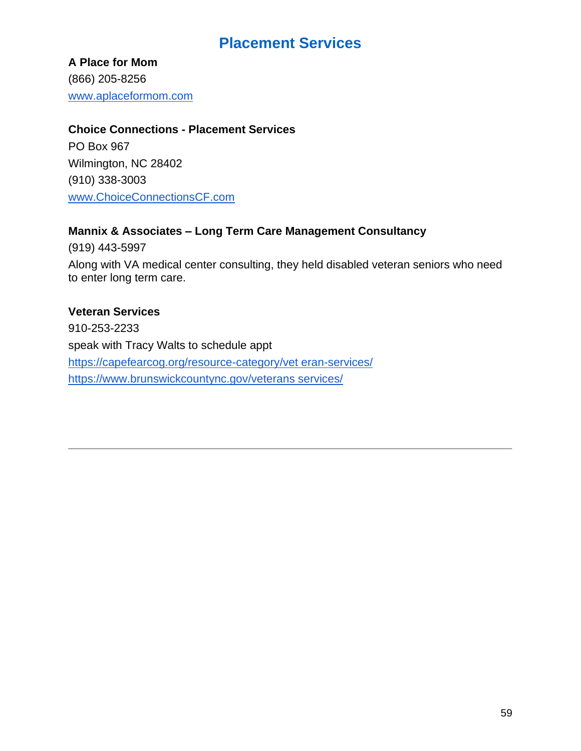# **Placement Services**

**A Place for Mom**  (866) 205-8256 [www.aplaceformom.com](http://www.aplaceformom.com/)

#### **Choice Connections - Placement Services**

PO Box 967 Wilmington, NC 28402 (910) 338-3003 [www.ChoiceConnectionsCF.com](http://www.choiceconnectionscf.com/)

# **Mannix & Associates – Long Term Care Management Consultancy**

(919) 443-5997 Along with VA medical center consulting, they held disabled veteran seniors who need to enter long term care.

### **Veteran Services**

910-253-2233 speak with Tracy Walts to schedule appt [https://capefearcog.org/resource-category/vet eran-services/](https://capefearcog.org/resource-category/vet)  [https://www.brunswickcountync.gov/veterans services/](https://www.brunswickcountync.gov/veterans)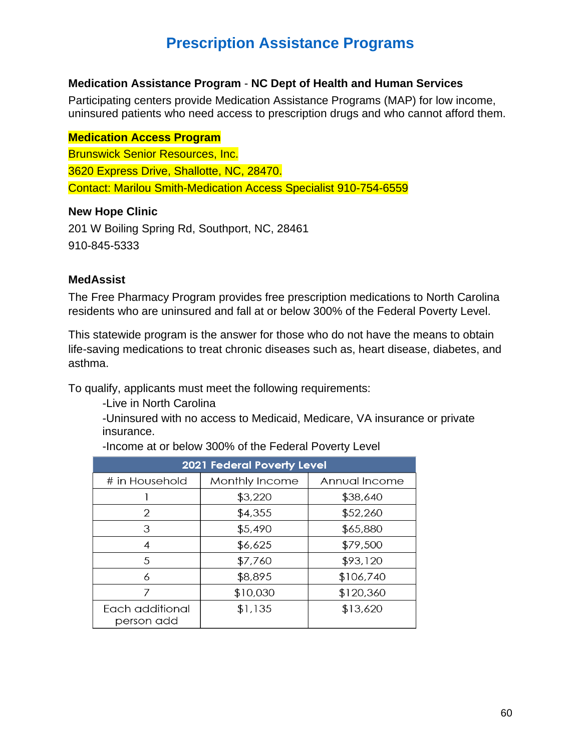# **Prescription Assistance Programs**

#### **Medication Assistance Program** - **NC Dept of Health and Human Services**

Participating centers provide Medication Assistance Programs (MAP) for low income, uninsured patients who need access to prescription drugs and who cannot afford them.

## **Medication Access Program**

Brunswick Senior Resources, Inc. 3620 Express Drive, Shallotte, NC, 28470. Contact: Marilou Smith-Medication Access Specialist 910-754-6559

### **New Hope Clinic**

201 W Boiling Spring Rd, Southport, NC, 28461 910-845-5333

### **MedAssist**

The Free Pharmacy Program provides free prescription medications to North Carolina residents who are uninsured and fall at or below 300% of the Federal Poverty Level.

This statewide program is the answer for those who do not have the means to obtain life-saving medications to treat chronic diseases such as, heart disease, diabetes, and asthma.

To qualify, applicants must meet the following requirements:

-Live in North Carolina

-Uninsured with no access to Medicaid, Medicare, VA insurance or private insurance.

| <b>2021 Federal Poverty Level</b> |                |               |  |  |
|-----------------------------------|----------------|---------------|--|--|
| # in Household                    | Monthly Income | Annual Income |  |  |
|                                   | \$3,220        | \$38,640      |  |  |
| 2                                 | \$4,355        | \$52,260      |  |  |
| 3                                 | \$5,490        | \$65,880      |  |  |
| 4                                 | \$6,625        | \$79,500      |  |  |
| 5                                 | \$7,760        | \$93,120      |  |  |
| 6                                 | \$8,895        | \$106,740     |  |  |
| 7                                 | \$10,030       | \$120,360     |  |  |
| Each additional<br>person add     | \$1,135        | \$13,620      |  |  |

-Income at or below 300% of the Federal Poverty Level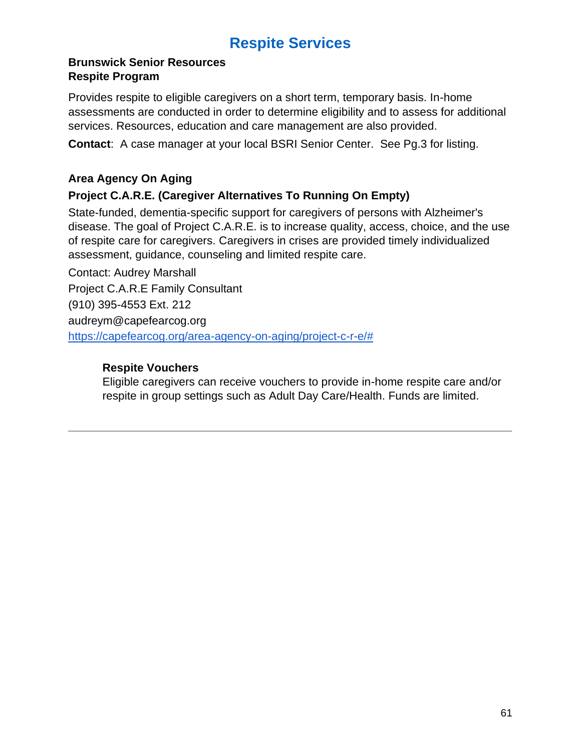# **Respite Services**

### **Brunswick Senior Resources Respite Program**

Provides respite to eligible caregivers on a short term, temporary basis. In-home assessments are conducted in order to determine eligibility and to assess for additional services. Resources, education and care management are also provided.

**Contact**: A case manager at your local BSRI Senior Center. See Pg.3 for listing.

# **Area Agency On Aging**

# **Project C.A.R.E. (Caregiver Alternatives To Running On Empty)**

State-funded, dementia-specific support for caregivers of persons with Alzheimer's disease. The goal of Project C.A.R.E. is to increase quality, access, choice, and the use of respite care for caregivers. Caregivers in crises are provided timely individualized assessment, guidance, counseling and limited respite care.

Contact: Audrey Marshall Project C.A.R.E Family Consultant (910) 395-4553 Ext. 212 audreym@capefearcog.org [https://capefearcog.org/area-agency-on-aging/project-c-r-e/#](https://capefearcog.org/area-agency-on-aging/project-c-r-e/)

# **Respite Vouchers**

Eligible caregivers can receive vouchers to provide in-home respite care and/or respite in group settings such as Adult Day Care/Health. Funds are limited.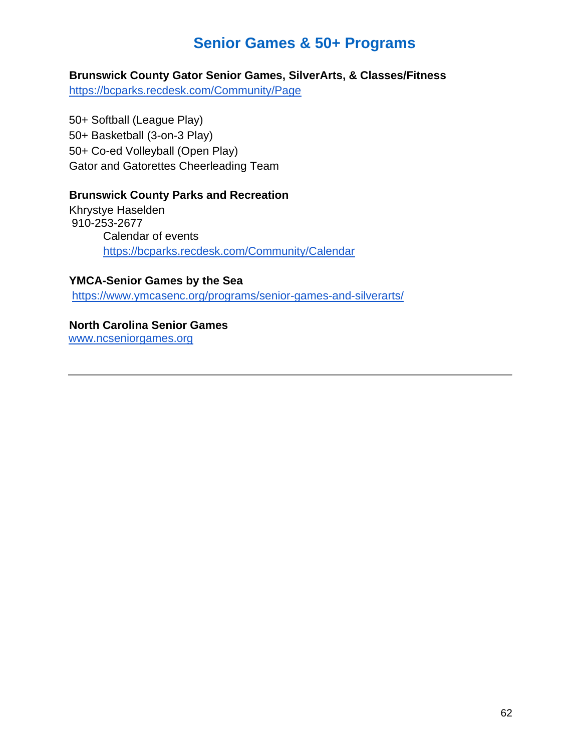# **Senior Games & 50+ Programs**

**Brunswick County Gator Senior Games, SilverArts, & Classes/Fitness**

https://bcparks.recdesk.com/Community/Page

50+ Softball (League Play) 50+ Basketball (3-on-3 Play) 50+ Co-ed Volleyball (Open Play) Gator and Gatorettes Cheerleading Team

### **Brunswick County Parks and Recreation**

Khrystye Haselden 910-253-2677 Calendar of events https://bcparks.recdesk.com/Community/Calendar

#### **YMCA-Senior Games by the Sea**

https://www.ymcasenc.org/programs/senior-games-and-silverarts/

# **North Carolina Senior Games**

www.ncseniorgames.org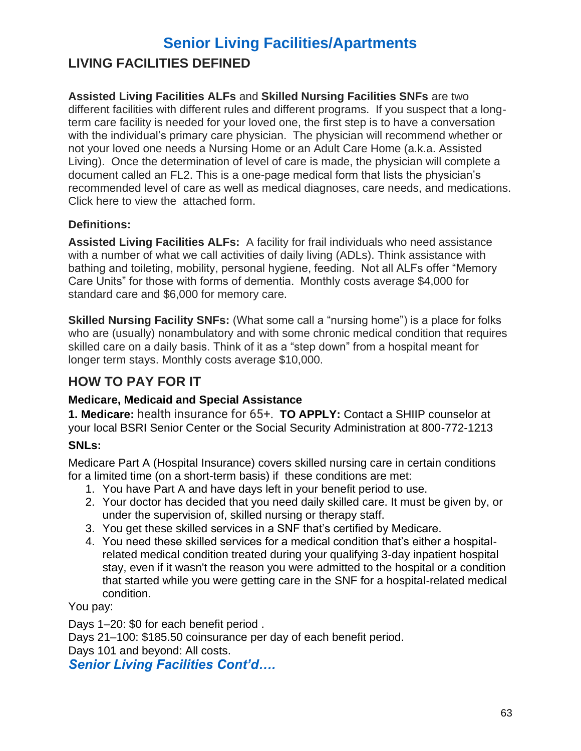# **Senior Living Facilities/Apartments**

# **LIVING FACILITIES DEFINED**

#### **Assisted Living Facilities ALFs** and **Skilled Nursing Facilities SNFs** are two different facilities with different rules and different programs. If you suspect that a longterm care facility is needed for your loved one, the first step is to have a conversation with the individual's primary care physician. The physician will recommend whether or not your loved one needs a Nursing Home or an Adult Care Home (a.k.a. Assisted Living). Once the determination of level of care is made, the physician will complete a document called an FL2. This is a one-page medical form that lists the physician's recommended level of care as well as medical diagnoses, care needs, and medications. Click here to view the attached form.

# **Definitions:**

**Assisted Living Facilities ALFs:** A facility for frail individuals who need assistance with a number of what we call activities of daily living (ADLs). Think assistance with bathing and toileting, mobility, personal hygiene, feeding. Not all ALFs offer "Memory Care Units" for those with forms of dementia. Monthly costs average \$4,000 for standard care and \$6,000 for memory care.

**Skilled Nursing Facility SNFs:** (What some call a "nursing home") is a place for folks who are (usually) nonambulatory and with some chronic medical condition that requires skilled care on a daily basis. Think of it as a "step down" from a hospital meant for longer term stays. Monthly costs average \$10,000.

# **HOW TO PAY FOR IT**

# **Medicare, Medicaid and Special Assistance**

**1. Medicare:** health insurance for 65+. **TO APPLY:** Contact a SHIIP counselor at your local BSRI Senior Center or the Social Security Administration at 800-772-1213

# **SNLs:**

Medicare Part A (Hospital Insurance) covers skilled nursing care in certain conditions for a limited time (on a short-term basis) if these conditions are met:

- 1. You have Part A and have days left in your benefit period to use.
- 2. Your doctor has decided that you need daily skilled care. It must be given by, or under the supervision of, skilled nursing or therapy staff.
- 3. You get these skilled services in a SNF that's certified by Medicare.
- 4. You need these skilled services for a medical condition that's either a hospitalrelated medical condition treated during your qualifying 3-day inpatient hospital stay, even if it wasn't the reason you were admitted to the hospital or a condition that started while you were getting care in the SNF for a hospital-related medical condition.

You pay:

Days 1–20: \$0 for each benefit period . Days 21–100: \$185.50 coinsurance per day of each benefit period. Days 101 and beyond: All costs.

*Senior Living Facilities Cont'd….*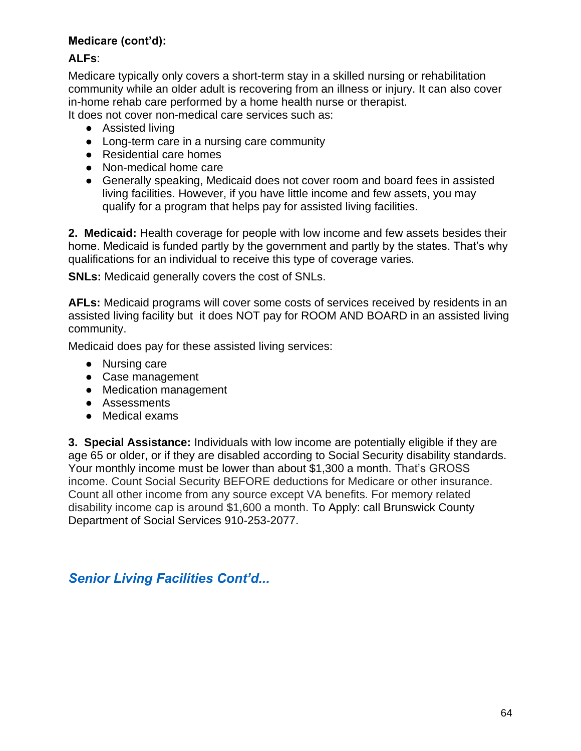# **Medicare (cont'd):**

# **ALFs**:

Medicare typically only covers a short-term stay in a skilled nursing or rehabilitation community while an older adult is recovering from an illness or injury. It can also cover in-home rehab care performed by a home health nurse or therapist.

It does not cover non-medical care services such as:

- Assisted living
- Long-term care in a nursing care community
- Residential care homes
- Non-medical home care
- Generally speaking, Medicaid does not cover room and board fees in assisted living facilities. However, if you have little income and few assets, you may qualify for a program that helps pay for assisted living facilities.

**2. Medicaid:** Health coverage for people with low income and few assets besides their home. Medicaid is funded partly by the government and partly by the states. That's why qualifications for an individual to receive this type of coverage varies.

**SNLs:** Medicaid generally covers the cost of SNLs.

**AFLs:** Medicaid programs will cover some costs of services received by residents in an assisted living facility but it does NOT pay for ROOM AND BOARD in an assisted living community.

Medicaid does pay for these assisted living services:

- Nursing care
- Case management
- Medication management
- Assessments
- Medical exams

**3. Special Assistance:** Individuals with low income are potentially eligible if they are age 65 or older, or if they are disabled according to Social Security disability standards. Your monthly income must be lower than about \$1,300 a month. That's GROSS income. Count Social Security BEFORE deductions for Medicare or other insurance. Count all other income from any source except VA benefits. For memory related disability income cap is around \$1,600 a month. To Apply: call Brunswick County Department of Social Services 910-253-2077.

# *Senior Living Facilities Cont'd...*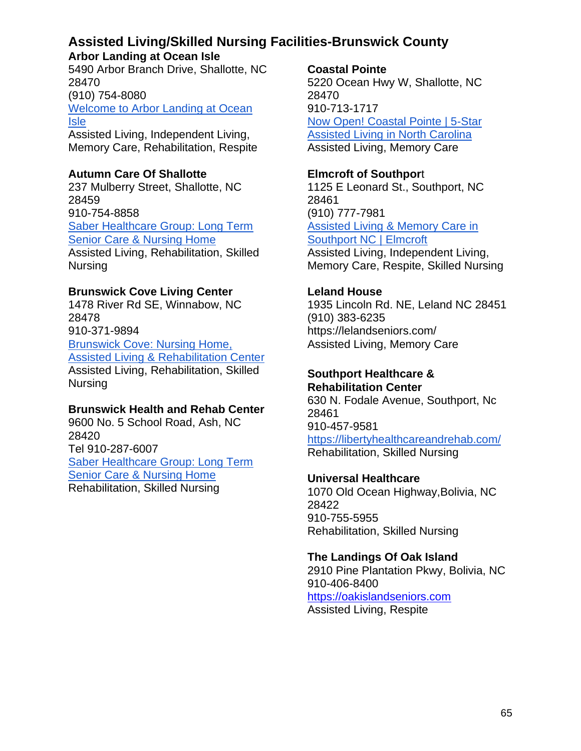# **Assisted Living/Skilled Nursing Facilities-Brunswick County**

# **Arbor Landing at Ocean Isle**

5490 Arbor Branch Drive, Shallotte, NC 28470 (910) 754-8080 [Welcome to Arbor Landing at Ocean](https://www.ridgecare.com/communities/arbor-landing-at-ocean-isle/)  [Isle](https://www.ridgecare.com/communities/arbor-landing-at-ocean-isle/) Assisted Living, Independent Living, Memory Care, Rehabilitation, Respite

# **Autumn Care Of Shallotte**

237 Mulberry Street, Shallotte, NC 28459 910-754-8858 [Saber Healthcare Group: Long Term](https://www.saberhealth.com/)  [Senior Care & Nursing Home](https://www.saberhealth.com/) Assisted Living, Rehabilitation, Skilled Nursing

# **Brunswick Cove Living Center**

1478 River Rd SE, Winnabow, NC 28478 910-371-9894 [Brunswick Cove: Nursing Home,](https://brunswickcove.com/?utm_source=google&utm_medium=organic&utm_campaign=GMB)  [Assisted Living & Rehabilitation Center](https://brunswickcove.com/?utm_source=google&utm_medium=organic&utm_campaign=GMB) Assisted Living, Rehabilitation, Skilled Nursing

# **Brunswick Health and Rehab Center**

9600 No. 5 School Road, Ash, NC 28420 Tel 910-287-6007 [Saber Healthcare Group: Long Term](https://www.saberhealth.com/)  [Senior Care & Nursing Home](https://www.saberhealth.com/) Rehabilitation, Skilled Nursing

### **Coastal Pointe**

5220 Ocean Hwy W, Shallotte, NC 28470 910-713-1717 [Now Open! Coastal Pointe | 5-Star](https://coastalpointe.com/?utm_source=google&utm_medium=organic&utm_campaign=GMB)  [Assisted Living in North Carolina](https://coastalpointe.com/?utm_source=google&utm_medium=organic&utm_campaign=GMB) Assisted Living, Memory Care

# **Elmcroft of Southpor**t

1125 E Leonard St., Southport, NC 28461 (910) 777-7981 [Assisted Living & Memory Care in](https://www.elmcroft.com/community/elmcroft-of-southport-north-carolina/?utm_source=google&utm_medium=organic&utm_campaign=gmb)  [Southport NC | Elmcroft](https://www.elmcroft.com/community/elmcroft-of-southport-north-carolina/?utm_source=google&utm_medium=organic&utm_campaign=gmb) Assisted Living, Independent Living, Memory Care, Respite, Skilled Nursing

# **Leland House**

1935 Lincoln Rd. NE, Leland NC 28451 (910) 383-6235 https://lelandseniors.com/ Assisted Living, Memory Care

# **Southport Healthcare &**

**Rehabilitation Center** 630 N. Fodale Avenue, Southport, Nc 28461 910-457-9581 [https://libertyhealthcareandrehab.com/](https://libertyhealthcareandrehab.com/southport/?utm_source=GMB&utm_medium=Yext&y_source=1_MTQzOTA3MTQtNzE1LWxvY2F0aW9uLmdvb2dsZV93ZWJzaXRlX292ZXJyaWRl) Rehabilitation, Skilled Nursing

# **Universal Healthcare**

1070 Old Ocean Highway,Bolivia, NC 28422 910-755-5955 Rehabilitation, Skilled Nursing

# **The Landings Of Oak Island**

2910 Pine Plantation Pkwy, Bolivia, NC 910-406-8400 [https://oakislandseniors.com](https://oakislandseniors.com/) Assisted Living, Respite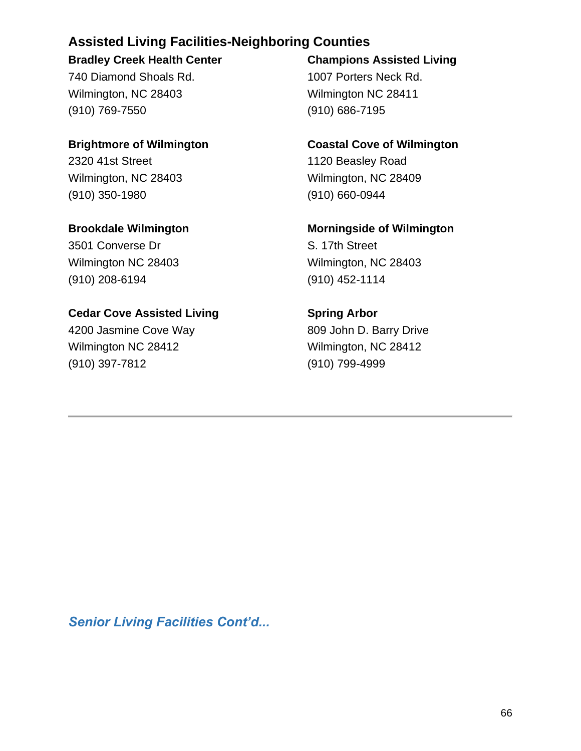# **Assisted Living Facilities-Neighboring Counties**

# **Bradley Creek Health Center**

740 Diamond Shoals Rd. Wilmington, NC 28403 (910) 769-7550

# **Brightmore of Wilmington**  2320 41st Street Wilmington, NC 28403 (910) 350-1980

**Brookdale Wilmington**  3501 Converse Dr Wilmington NC 28403 (910) 208-6194

# **Cedar Cove Assisted Living**

4200 Jasmine Cove Way Wilmington NC 28412 (910) 397-7812

# **Champions Assisted Living**  1007 Porters Neck Rd. Wilmington NC 28411 (910) 686-7195

# **Coastal Cove of Wilmington**

1120 Beasley Road Wilmington, NC 28409 (910) 660-0944

**Morningside of Wilmington**  S. 17th Street Wilmington, NC 28403 (910) 452-1114

**Spring Arbor**  809 John D. Barry Drive Wilmington, NC 28412 (910) 799-4999

*Senior Living Facilities Cont'd...*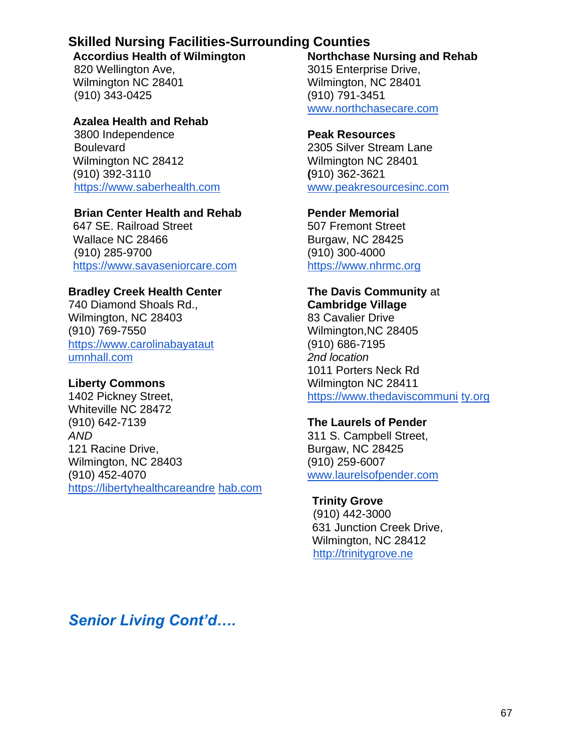# **Skilled Nursing Facilities-Surrounding Counties**

**Accordius Health of Wilmington** 

820 Wellington Ave, Wilmington NC 28401 (910) 343-0425

# **Azalea Health and Rehab**

3800 Independence **Boulevard** Wilmington NC 28412 (910) 392-3110 [https://www.saberhealth.com](https://www.saberhealth.com/)

# **Brian Center Health and Rehab**

647 SE. Railroad Street Wallace NC 28466 (910) 285-9700 [https://www.savaseniorcare.com](https://www.savaseniorcare.com/)

# **Bradley Creek Health Center**

740 Diamond Shoals Rd., Wilmington, NC 28403 (910) 769-7550 https://www.carolinabayataut umnhall.com

# **Liberty Commons**

1402 Pickney Street, Whiteville NC 28472 (910) 642-7139 *AND* 121 Racine Drive, Wilmington, NC 28403 (910) 452-4070 https://libertyhealthcareandre hab.com **Northchase Nursing and Rehab**  3015 Enterprise Drive, Wilmington, NC 28401 (910) 791-3451 [www.northchasecare.com](http://www.northchasecare.com/)

# **Peak Resources**

2305 Silver Stream Lane Wilmington NC 28401 **(**910) 362-3621 www.peakresourcesinc.com

# **Pender Memorial**

507 Fremont Street Burgaw, NC 28425 (910) 300-4000 [https://www.nhrmc.org](https://www.nhrmc.org/)

# **The Davis Community** at **Cambridge Village**

83 Cavalier Drive Wilmington,NC 28405 (910) 686-7195 *2nd location* 1011 Porters Neck Rd Wilmington NC 28411 https://www.thedaviscommuni ty.org

# **The Laurels of Pender**

311 S. Campbell Street, Burgaw, NC 28425 (910) 259-6007 www.laurelsofpender.com

# **Trinity Grove**

(910) 442-3000 631 Junction Creek Drive, Wilmington, NC 28412 [http://trinitygrove.ne](http://trinitygrove.ne/)

*Senior Living Cont'd….*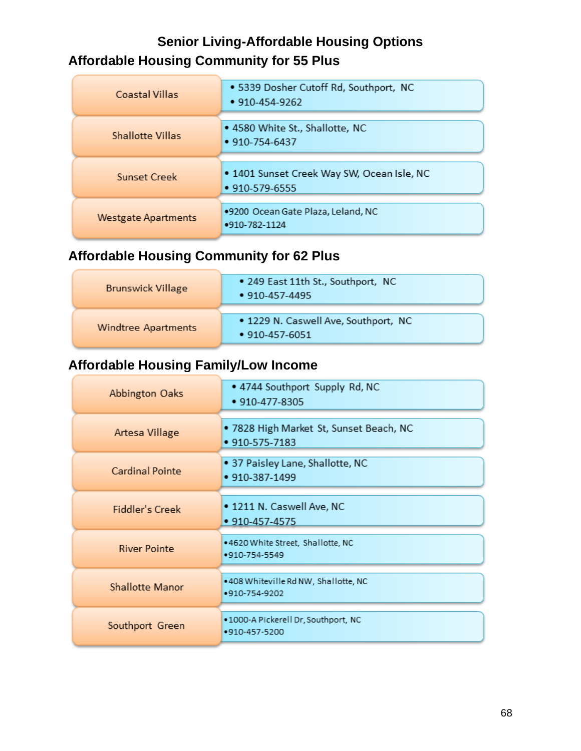# **Senior Living-Affordable Housing Options Affordable Housing Community for 55 Plus**

| Coastal Villas             | • 5339 Dosher Cutoff Rd, Southport, NC<br>$• 910 - 454 - 9262$     |
|----------------------------|--------------------------------------------------------------------|
| <b>Shallotte Villas</b>    | • 4580 White St., Shallotte, NC<br>$\cdot$ 910-754-6437            |
| Sunset Creek               | . 1401 Sunset Creek Way SW, Ocean Isle, NC<br>$• 910 - 579 - 6555$ |
| <b>Westgate Apartments</b> | .9200 Ocean Gate Plaza, Leland, NC<br>•910-782-1124                |

# **Affordable Housing Community for 62 Plus**

| <b>Brunswick Village</b> | • 249 East 11th St., Southport, NC<br>$\cdot$ 910-457-4495   |
|--------------------------|--------------------------------------------------------------|
| Windtree Apartments      | . 1229 N. Caswell Ave, Southport, NC<br>$\cdot$ 910-457-6051 |

# **Affordable Housing Family/Low Income**

| Abbington Oaks         | . 4744 Southport Supply Rd, NC<br>• 910-477-8305          |
|------------------------|-----------------------------------------------------------|
| Artesa Village         | • 7828 High Market St, Sunset Beach, NC<br>• 910-575-7183 |
| Cardinal Pointe        | · 37 Paisley Lane, Shallotte, NC<br>$\cdot$ 910-387-1499  |
| Fiddler's Creek        | . 1211 N. Caswell Ave, NC<br>• 910-457-4575               |
| <b>River Pointe</b>    | .4620 White Street, Shallotte, NC<br>•910-754-5549        |
| <b>Shallotte Manor</b> | .408 Whiteville Rd NW, Shallotte, NC<br>•910-754-9202     |
| Southport Green        | .1000-A Pickerell Dr, Southport, NC<br>•910-457-5200      |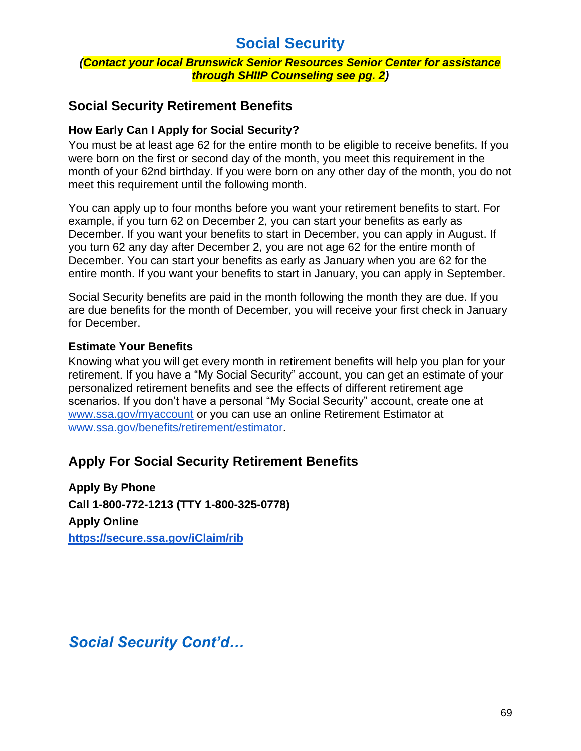# **Social Security**

#### *(Contact your local Brunswick Senior Resources Senior Center for assistance through SHIIP Counseling see pg. 2)*

# **Social Security Retirement Benefits**

# **How Early Can I Apply for Social Security?**

You must be at least age 62 for the entire month to be eligible to receive benefits. If you were born on the first or second day of the month, you meet this requirement in the month of your 62nd birthday. If you were born on any other day of the month, you do not meet this requirement until the following month.

You can apply up to four months before you want your retirement benefits to start. For example, if you turn 62 on December 2, you can start your benefits as early as December. If you want your benefits to start in December, you can apply in August. If you turn 62 any day after December 2, you are not age 62 for the entire month of December. You can start your benefits as early as January when you are 62 for the entire month. If you want your benefits to start in January, you can apply in September.

Social Security benefits are paid in the month following the month they are due. If you are due benefits for the month of December, you will receive your first check in January for December.

### **Estimate Your Benefits**

Knowing what you will get every month in retirement benefits will help you plan for your retirement. If you have a "My Social Security" account, you can get an estimate of your personalized retirement benefits and see the effects of different retirement age scenarios. If you don't have a personal "My Social Security" account, create one at [www.ssa.gov/myaccount](https://www.ssa.gov/myaccount/) or you can use an online Retirement Estimator at [www.ssa.gov/benefits/retirement/estimator.](https://www.ssa.gov/benefits/retirement/estimator.html)

# **Apply For Social Security Retirement Benefits**

**Apply By Phone Call 1-800-772-1213 (TTY 1-800-325-0778) Apply Online <https://secure.ssa.gov/iClaim/rib>**

*Social Security Cont'd…*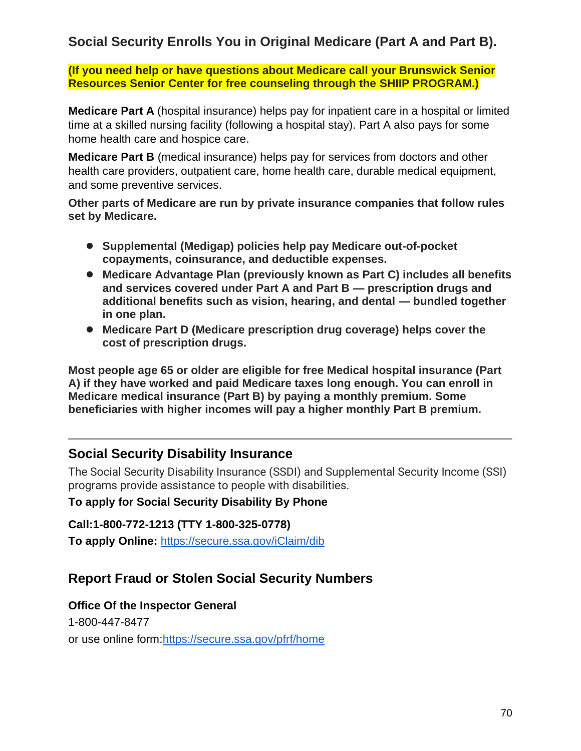# **Social Security Enrolls You in Original Medicare (Part A and Part B).**

**(If you need help or have questions about Medicare call your Brunswick Senior Resources Senior Center for free counseling through the SHIIP PROGRAM.)**

**Medicare Part A** (hospital insurance) helps pay for inpatient care in a hospital or limited time at a skilled nursing facility (following a hospital stay). Part A also pays for some home health care and hospice care.

**Medicare Part B** (medical insurance) helps pay for services from doctors and other health care providers, outpatient care, home health care, durable medical equipment, and some preventive services.

**Other parts of Medicare are run by private insurance companies that follow rules set by Medicare.**

- **Supplemental (Medigap) policies help pay Medicare out-of-pocket copayments, coinsurance, and deductible expenses.**
- **Medicare Advantage Plan (previously known as Part C) includes all benefits and services covered under Part A and Part B — prescription drugs and additional benefits such as vision, hearing, and dental — bundled together in one plan.**
- **Medicare Part D (Medicare prescription drug coverage) helps cover the cost of prescription drugs.**

**Most people age 65 or older are eligible for free Medical hospital insurance (Part A) if they have worked and paid Medicare taxes long enough. You can enroll in Medicare medical insurance (Part B) by paying a monthly premium. Some beneficiaries with higher incomes will pay a higher monthly Part B premium.** 

# **Social Security Disability Insurance**

The Social Security Disability Insurance (SSDI) and Supplemental Security Income (SSI) programs provide assistance to people with disabilities.

# **To apply for Social Security Disability By Phone**

**Call:1-800-772-1213 (TTY 1-800-325-0778)** 

**To apply Online:** <https://secure.ssa.gov/iClaim/dib>

# **Report Fraud or Stolen Social Security Numbers**

# **Office Of the Inspector General**

1-800-447-8477 or use online form[:https://secure.ssa.gov/pfrf/home](https://secure.ssa.gov/pfrf/home)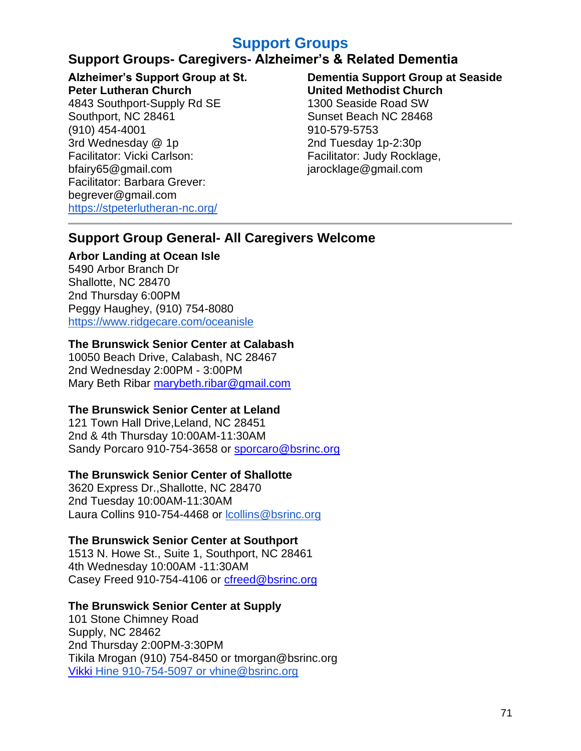# **Support Groups**

### **Support Groups- Caregivers- Alzheimer's & Related Dementia**

**Alzheimer's Support Group at St.** 

**Peter Lutheran Church**  4843 Southport-Supply Rd SE Southport, NC 28461 (910) 454-4001 3rd Wednesday @ 1p Facilitator: Vicki Carlson: bfairy65@gmail.com Facilitator: Barbara Grever: begrever@gmail.com <https://stpeterlutheran-nc.org/>

#### **Dementia Support Group at Seaside United Methodist Church**  1300 Seaside Road SW Sunset Beach NC 28468 910-579-5753 2nd Tuesday 1p-2:30p Facilitator: Judy Rocklage, jarocklage@gmail.com

### **Support Group General- All Caregivers Welcome**

### **Arbor Landing at Ocean Isle**

5490 Arbor Branch Dr Shallotte, NC 28470 2nd Thursday 6:00PM Peggy Haughey, (910) 754-8080 <https://www.ridgecare.com/oceanisle>

### **The Brunswick Senior Center at Calabash**

10050 Beach Drive, Calabash, NC 28467 2nd Wednesday 2:00PM - 3:00PM Mary Beth Ribar [marybeth.ribar@gmail.com](mailto:marybeth.ribar@gmail.com)

### **The Brunswick Senior Center at Leland**

121 Town Hall Drive,Leland, NC 28451 2nd & 4th Thursday 10:00AM-11:30AM Sandy Porcaro 910-754-3658 or [sporcaro@bsrinc.org](mailto:sporcaro@bsrinc.org)

### **The Brunswick Senior Center of Shallotte**

3620 Express Dr.,Shallotte, NC 28470 2nd Tuesday 10:00AM-11:30AM Laura Collins 910-754-4468 or [lcollins@bsrinc.org](mailto:lcollins@bsrinc.org)

### **The Brunswick Senior Center at Southport**

1513 N. Howe St., Suite 1, Southport, NC 28461 4th Wednesday 10:00AM -11:30AM Casey Freed 910-754-4106 or [cfreed@bsrinc.org](file:///C:/Users/bsri2/Downloads/cfreed@bsrinc.org)

### **The Brunswick Senior Center at Supply**

101 Stone Chimney Road Supply, NC 28462 2nd Thursday 2:00PM-3:30PM Tikila Mrogan (910) 754-8450 or tmorgan@bsrinc.org [Vikki](mailto:Vikki) Hine 910-754-5097 or vhine@bsrinc.org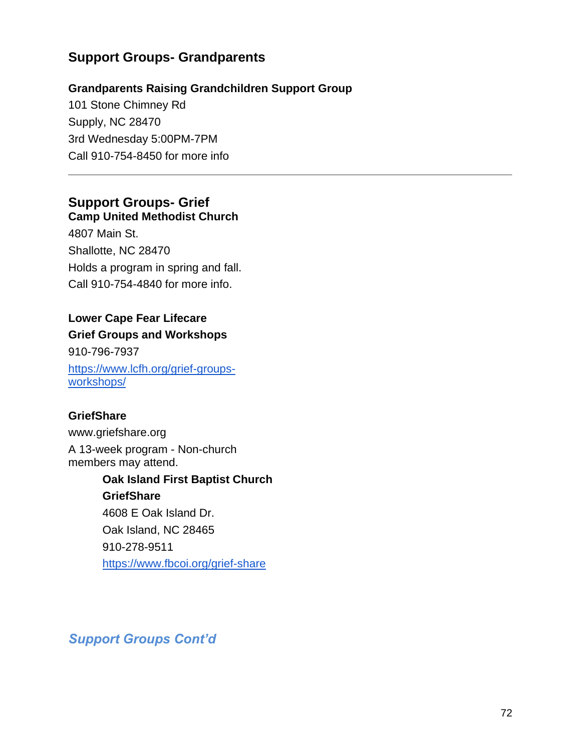# **Support Groups- Grandparents**

### **Grandparents Raising Grandchildren Support Group**

101 Stone Chimney Rd Supply, NC 28470 3rd Wednesday 5:00PM-7PM Call 910-754-8450 for more info

### **Support Groups- Grief Camp United Methodist Church**

4807 Main St. Shallotte, NC 28470 Holds a program in spring and fall. Call 910-754-4840 for more info.

### **Lower Cape Fear Lifecare**

# **Grief Groups and Workshops**

910-796-7937 [https://www.lcfh.org/grief-groups](https://www.lcfh.org/grief-groups-workshops/)[workshops/](https://www.lcfh.org/grief-groups-workshops/)

### **GriefShare**

www.griefshare.org A 13-week program - Non-church members may attend.

# **Oak Island First Baptist Church GriefShare**  4608 E Oak Island Dr. Oak Island, NC 28465 910-278-9511 <https://www.fbcoi.org/grief-share>

# *Support Groups Cont'd*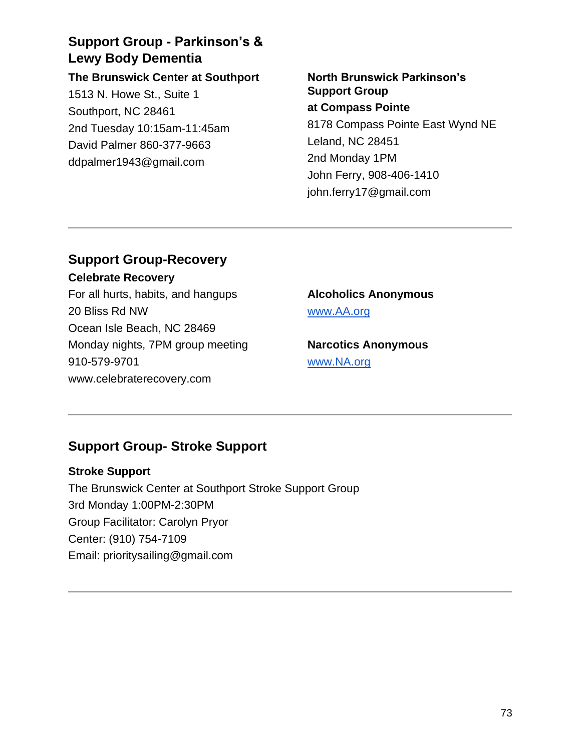# **Support Group - Parkinson's & Lewy Body Dementia**

**The Brunswick Center at Southport**  1513 N. Howe St., Suite 1 Southport, NC 28461 2nd Tuesday 10:15am-11:45am David Palmer 860-377-9663 ddpalmer1943@gmail.com

**North Brunswick Parkinson's Support Group at Compass Pointe** 8178 Compass Pointe East Wynd NE Leland, NC 28451 2nd Monday 1PM John Ferry, 908-406-1410 john.ferry17@gmail.com

# **Support Group-Recovery**

**Celebrate Recovery**  For all hurts, habits, and hangups 20 Bliss Rd NW Ocean Isle Beach, NC 28469 Monday nights, 7PM group meeting 910-579-9701 www.celebraterecovery.com

# **Alcoholics Anonymous**  [www.AA.org](http://www.aa.org/)

**Narcotics Anonymous**  [www.NA.org](http://www.na.org/)

# **Support Group- Stroke Support**

### **Stroke Support**

The Brunswick Center at Southport Stroke Support Group 3rd Monday 1:00PM-2:30PM Group Facilitator: Carolyn Pryor Center: (910) 754-7109 Email: prioritysailing@gmail.com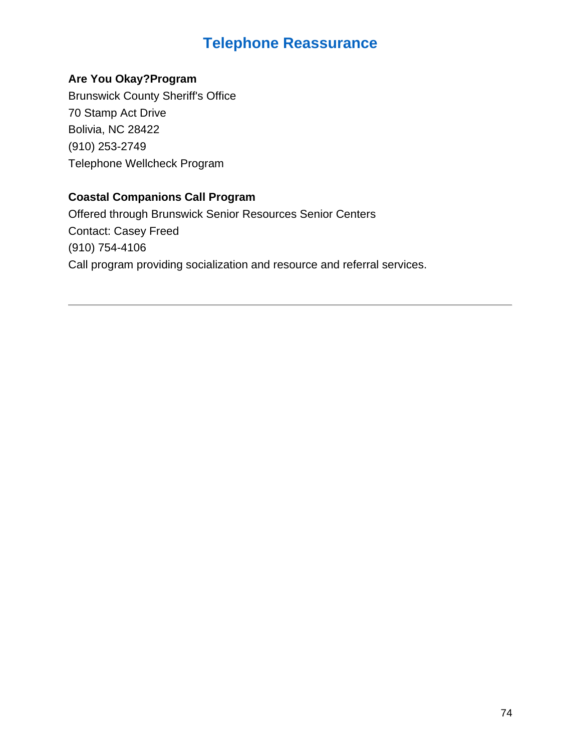# **Telephone Reassurance**

### **Are You Okay?Program**

Brunswick County Sheriff's Office 70 Stamp Act Drive Bolivia, NC 28422 (910) 253-2749 Telephone Wellcheck Program

### **Coastal Companions Call Program**

Offered through Brunswick Senior Resources Senior Centers Contact: Casey Freed (910) 754-4106 Call program providing socialization and resource and referral services.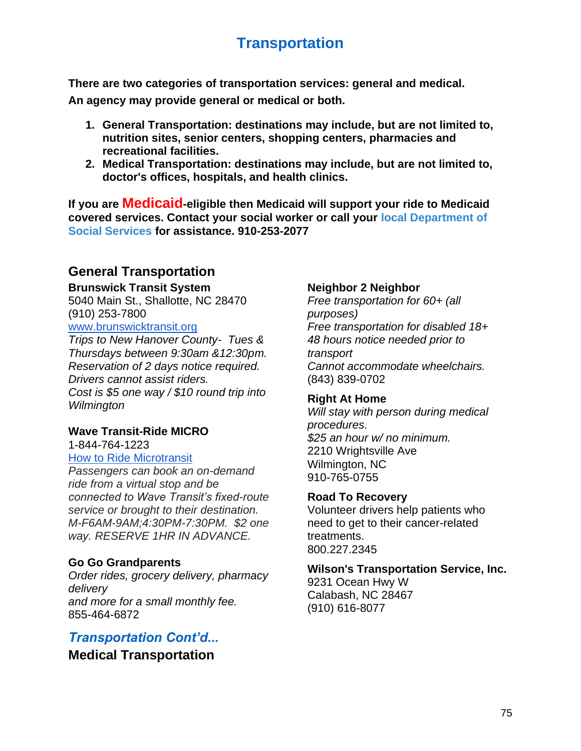# **Transportation**

**There are two categories of transportation services: general and medical.** 

**An agency may provide general or medical or both.**

- **1. General Transportation: destinations may include, but are not limited to, nutrition sites, senior centers, shopping centers, pharmacies and recreational facilities.**
- **2. Medical Transportation: destinations may include, but are not limited to, doctor's offices, hospitals, and health clinics.**

**If you are Medicaid-eligible then Medicaid will support your ride to Medicaid covered services. Contact your social worker or call your [local Department of](https://www.ncdhhs.gov/documents/directory-2/download)  [Social Services f](https://www.ncdhhs.gov/documents/directory-2/download)or assistance. 910-253-2077**

# **General Transportation**

### **Brunswick Transit System**

5040 Main St., Shallotte, NC 28470 (910) 253-7800

[www.brunswicktransit.org](http://www.brunswicktransit.org/) *Trips to New Hanover County- Tues & Thursdays between 9:30am &12:30pm. Reservation of 2 days notice required. Drivers cannot assist riders. Cost is \$5 one way / \$10 round trip into* 

*Wilmington* 

### **Wave Transit-Ride MICRO**

1-844-764-1223

### [How to Ride Microtransit](https://www.wavetransit.com/how-to-ride-microtransit/)

*Passengers can book an on-demand ride from a virtual stop and be connected to Wave Transit's fixed-route service or brought to their destination. M-F6AM-9AM;4:30PM-7:30PM. \$2 one way. RESERVE 1HR IN ADVANCE.*

### **Go Go Grandparents**

*Order rides, grocery delivery, pharmacy delivery and more for a small monthly fee.* 855-464-6872

# *Transportation Cont'd...*

**Medical Transportation**

### **Neighbor 2 Neighbor**

*Free transportation for 60+ (all purposes) Free transportation for disabled 18+ 48 hours notice needed prior to transport Cannot accommodate wheelchairs.* (843) 839-0702

### **Right At Home**

*Will stay with person during medical procedures. \$25 an hour w/ no minimum.* 2210 Wrightsville Ave Wilmington, NC 910-765-0755

### **Road To Recovery**

Volunteer drivers help patients who need to get to their cancer-related treatments. 800.227.2345

### **Wilson's Transportation Service, Inc.**

9231 Ocean Hwy W Calabash, NC 28467 (910) 616-8077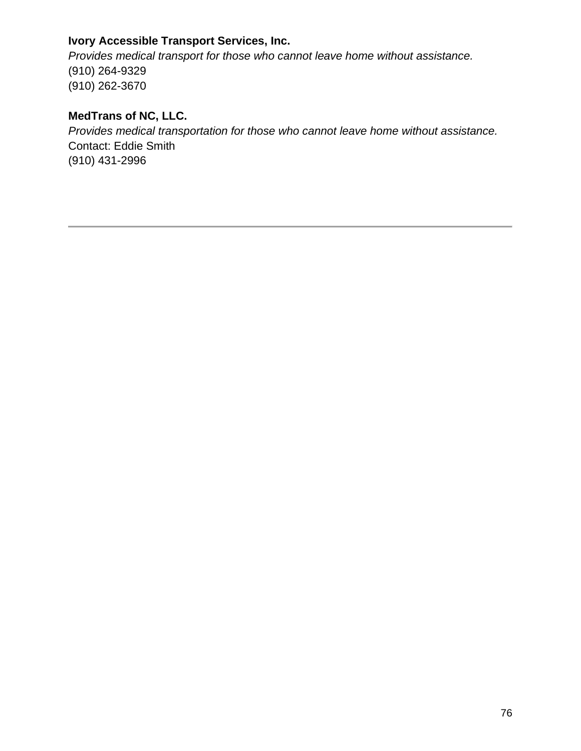### **Ivory Accessible Transport Services, Inc.**

*Provides medical transport for those who cannot leave home without assistance.* (910) 264-9329 (910) 262-3670

### **MedTrans of NC, LLC.**

*Provides medical transportation for those who cannot leave home without assistance.* Contact: Eddie Smith (910) 431-2996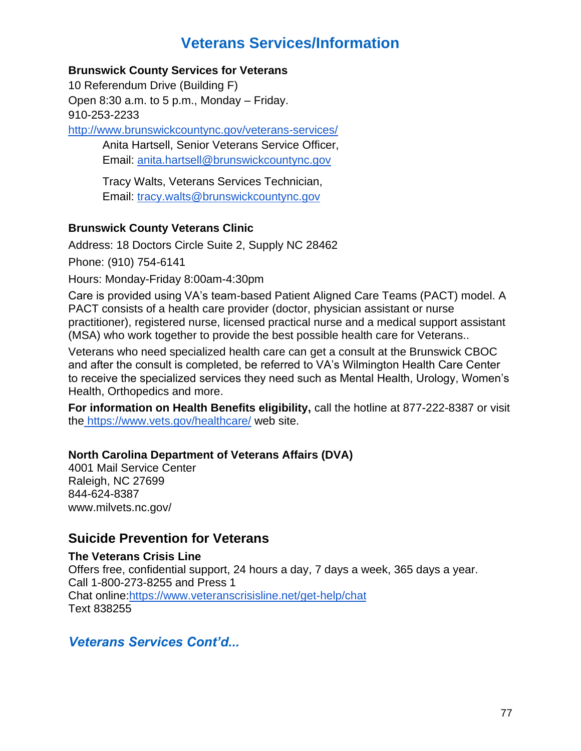# **Veterans Services/Information**

### **Brunswick County Services for Veterans**

10 Referendum Drive (Building F) Open 8:30 a.m. to 5 p.m., Monday – Friday. 910-253-2233

<http://www.brunswickcountync.gov/veterans-services/>

Anita Hartsell, Senior Veterans Service Officer, Email: [anita.hartsell@brunswickcountync.gov](mailto:anita.hartsell@brunswickcountync.gov)

Tracy Walts, Veterans Services Technician, Email: [tracy.walts@brunswickcountync.gov](mailto:tracy.walts@brunswickcountync.gov)

### **Brunswick County Veterans Clinic**

Address: 18 Doctors Circle Suite 2, Supply NC 28462

Phone: (910) 754-6141

Hours: Monday-Friday 8:00am-4:30pm

Care is provided using VA's team-based Patient Aligned Care Teams (PACT) model. A PACT consists of a health care provider (doctor, physician assistant or nurse practitioner), registered nurse, licensed practical nurse and a medical support assistant (MSA) who work together to provide the best possible health care for Veterans..

Veterans who need specialized health care can get a consult at the Brunswick CBOC and after the consult is completed, be referred to VA's Wilmington Health Care Center to receive the specialized services they need such as Mental Health, Urology, Women's Health, Orthopedics and more.

**For information on Health Benefits eligibility, call the hotline at 877-222-8387 or visit** the <https://www.vets.gov/healthcare/> web site.

### **North Carolina Department of Veterans Affairs (DVA)**

4001 Mail Service Center Raleigh, NC 27699 844-624-8387 www.milvets.nc.gov/

# **Suicide Prevention for Veterans**

**The Veterans Crisis Line** Offers free, confidential support, 24 hours a day, 7 days a week, 365 days a year. Call 1-800-273-8255 and Press 1 Chat online[:https://www.veteranscrisisline.net/get-help/chat](https://www.veteranscrisisline.net/get-help/chat) Text 838255

*Veterans Services Cont'd...*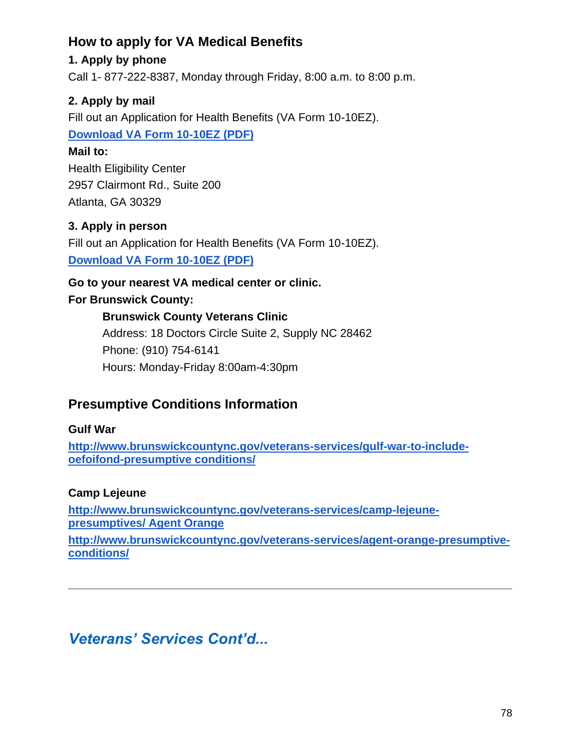# **How to apply for VA Medical Benefits**

### **1. Apply by phone**

Call 1- 877-222-8387, Monday through Friday, 8:00 a.m. to 8:00 p.m.

### **2. Apply by mail**

Fill out an Application for Health Benefits (VA Form 10-10EZ).

### **[Download VA Form 10-10EZ \(PDF\)](https://www.va.gov/Vaforms/medical/pdf/10-10EZ-fillable.pdf)**

### **Mail to:**

Health Eligibility Center 2957 Clairmont Rd., Suite 200 Atlanta, GA 30329

### **3. Apply in person**

Fill out an Application for Health Benefits (VA Form 10-10EZ). **[Download VA Form 10-10EZ \(PDF\)](https://www.va.gov/Vaforms/medical/pdf/10-10EZ-fillable.pdf)**

### **Go to your nearest VA medical center or clinic.**

### **For Brunswick County:**

### **Brunswick County Veterans Clinic**

Address: 18 Doctors Circle Suite 2, Supply NC 28462 Phone: (910) 754-6141 Hours: Monday-Friday 8:00am-4:30pm

# **Presumptive Conditions Information**

### **Gulf War**

**[http://www.brunswickcountync.gov/veterans-services/gulf-war-to-include](http://www.brunswickcountync.gov/veterans-services/gulf-war-to-include-oefoifond-presumptive)[oefoifond-presumptive conditions/](http://www.brunswickcountync.gov/veterans-services/gulf-war-to-include-oefoifond-presumptive)** 

### **Camp Lejeune**

**[http://www.brunswickcountync.gov/veterans-services/camp-lejeune](http://www.brunswickcountync.gov/veterans-services/camp-lejeune-presumptives/)[presumptives/ Agent Orange](http://www.brunswickcountync.gov/veterans-services/camp-lejeune-presumptives/)** 

**[http://www.brunswickcountync.gov/veterans-services/agent-orange-presumptive](http://www.brunswickcountync.gov/veterans-services/agent-orange-presumptive-conditions/)[conditions/](http://www.brunswickcountync.gov/veterans-services/agent-orange-presumptive-conditions/)** 

# *Veterans' Services Cont'd...*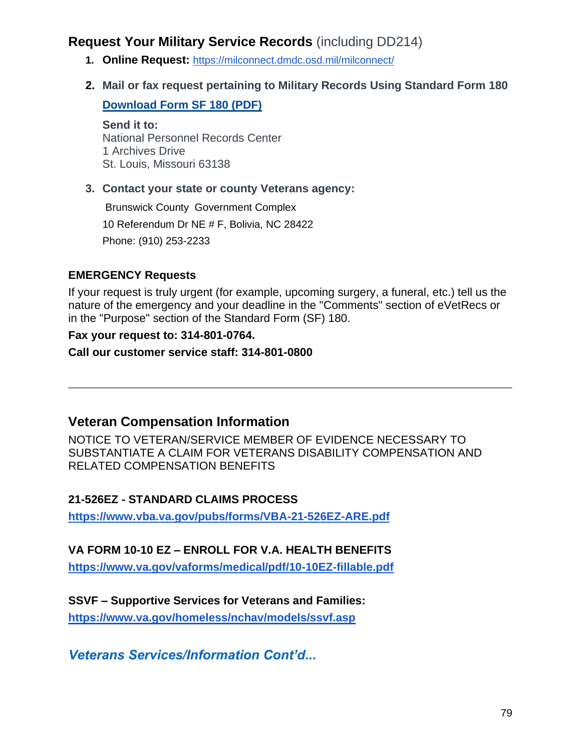# **Request Your Military Service Records** (including DD214)

- **1. Online Request:** <https://milconnect.dmdc.osd.mil/milconnect/>
- **2. Mail or fax request pertaining to Military Records Using Standard Form 180**

**[Download Form SF 180 \(PDF\)](https://www.benefits.va.gov/homeloans/documents/docs/standard_form_180.pdf)**

**Send it to:** National Personnel Records Center 1 Archives Drive St. Louis, Missouri 63138

### **3. Contact your state or county Veterans agency:**

Brunswick County Government Complex 10 Referendum Dr NE # F, Bolivia, NC 28422 Phone: (910) 253-2233

### **EMERGENCY Requests**

If your request is truly urgent (for example, upcoming surgery, a funeral, etc.) tell us the nature of the emergency and your deadline in the "Comments" section of eVetRecs or in the "Purpose" section of the Standard Form (SF) 180.

### **Fax your request to: 314-801-0764.**

**Call our customer service staff: 314-801-0800** 

# **Veteran Compensation Information**

NOTICE TO VETERAN/SERVICE MEMBER OF EVIDENCE NECESSARY TO SUBSTANTIATE A CLAIM FOR VETERANS DISABILITY COMPENSATION AND RELATED COMPENSATION BENEFITS

### **21-526EZ - STANDARD CLAIMS PROCESS**

**<https://www.vba.va.gov/pubs/forms/VBA-21-526EZ-ARE.pdf>**

### **VA FORM 10-10 EZ – ENROLL FOR V.A. HEALTH BENEFITS**

**<https://www.va.gov/vaforms/medical/pdf/10-10EZ-fillable.pdf>**

**SSVF – Supportive Services for Veterans and Families:** 

**<https://www.va.gov/homeless/nchav/models/ssvf.asp>**

*Veterans Services/Information Cont'd...*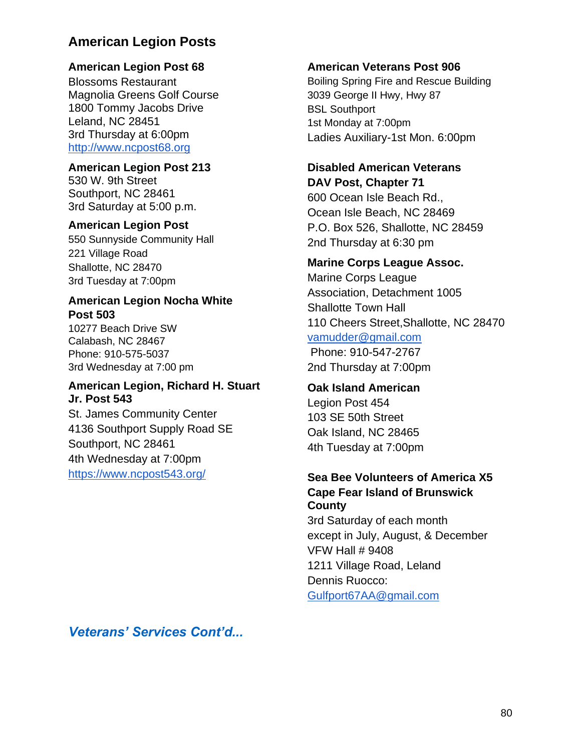# **American Legion Posts**

### **American Legion Post 68**

Blossoms Restaurant Magnolia Greens Golf Course 1800 Tommy Jacobs Drive Leland, NC 28451 3rd Thursday at 6:00pm [http://www.ncpost68.org](http://www.ncpost68.org/)

### **American Legion Post 213**

530 W. 9th Street Southport, NC 28461 3rd Saturday at 5:00 p.m.

### **American Legion Post**

550 Sunnyside Community Hall 221 Village Road Shallotte, NC 28470 3rd Tuesday at 7:00pm

### **American Legion Nocha White Post 503**

10277 Beach Drive SW Calabash, NC 28467 Phone: 910-575-5037 3rd Wednesday at 7:00 pm

### **American Legion, Richard H. Stuart Jr. Post 543**

St. James Community Center 4136 Southport Supply Road SE Southport, NC 28461 4th Wednesday at 7:00pm <https://www.ncpost543.org/>

### **American Veterans Post 906**

Boiling Spring Fire and Rescue Building 3039 George II Hwy, Hwy 87 BSL Southport 1st Monday at 7:00pm Ladies Auxiliary-1st Mon. 6:00pm

### **Disabled American Veterans DAV Post, Chapter 71**

600 Ocean Isle Beach Rd., Ocean Isle Beach, NC 28469 P.O. Box 526, Shallotte, NC 28459 2nd Thursday at 6:30 pm

### **Marine Corps League Assoc.**

Marine Corps League Association, Detachment 1005 Shallotte Town Hall 110 Cheers Street,Shallotte, NC 28470 [vamudder@gmail.com](mailto:vamudder@gmail.com) Phone: 910-547-2767 2nd Thursday at 7:00pm

### **Oak Island American**

Legion Post 454 103 SE 50th Street Oak Island, NC 28465 4th Tuesday at 7:00pm

### **Sea Bee Volunteers of America X5 Cape Fear Island of Brunswick County**

3rd Saturday of each month except in July, August, & December VFW Hall # 9408 1211 Village Road, Leland Dennis Ruocco: [Gulfport67AA@gmail.com](mailto:Gulfport67AA@gmail.com)

*Veterans' Services Cont'd...*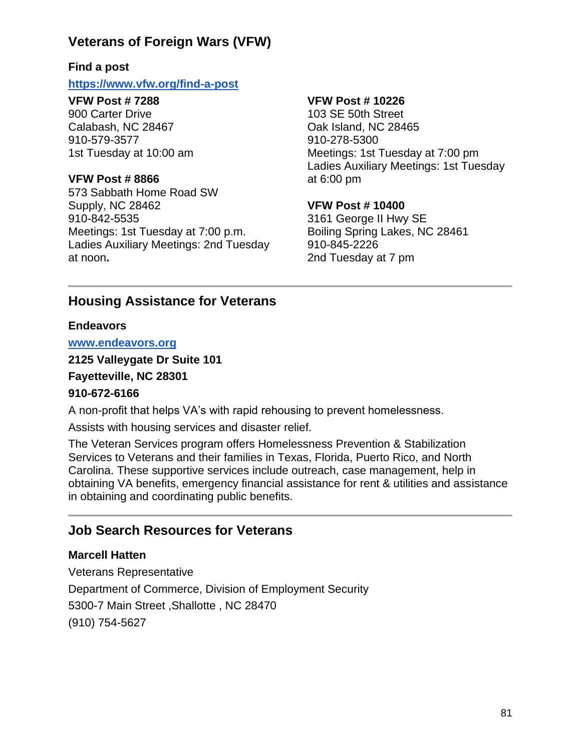# **Veterans of Foreign Wars (VFW)**

### **Find a post**

#### **<https://www.vfw.org/find-a-post>**

### **VFW Post # 7288**

900 Carter Drive Calabash, NC 28467 910-579-3577 1st Tuesday at 10:00 am

### **VFW Post # 8866**

573 Sabbath Home Road SW Supply, NC 28462 910-842-5535 Meetings: 1st Tuesday at 7:00 p.m. Ladies Auxiliary Meetings: 2nd Tuesday at noon**.**

### **VFW Post # 10226**

103 SE 50th Street Oak Island, NC 28465 910-278-5300 Meetings: 1st Tuesday at 7:00 pm Ladies Auxiliary Meetings: 1st Tuesday at 6:00 pm

### **VFW Post # 10400**

3161 George II Hwy SE Boiling Spring Lakes, NC 28461 910-845-2226 2nd Tuesday at 7 pm

# **Housing Assistance for Veterans**

### **Endeavors**

#### **[www.endeavors.org](http://www.endeavors.org/)**

**2125 Valleygate Dr Suite 101** 

**Fayetteville, NC 28301** 

### **910-672-6166**

A non-profit that helps VA's with rapid rehousing to prevent homelessness.

Assists with housing services and disaster relief.

The Veteran Services program offers Homelessness Prevention & Stabilization Services to Veterans and their families in Texas, Florida, Puerto Rico, and North Carolina. These supportive services include outreach, case management, help in obtaining VA benefits, emergency financial assistance for rent & utilities and assistance in obtaining and coordinating public benefits.

# **Job Search Resources for Veterans**

### **Marcell Hatten**

Veterans Representative Department of Commerce, Division of Employment Security 5300-7 Main Street ,Shallotte , NC 28470 (910) 754-5627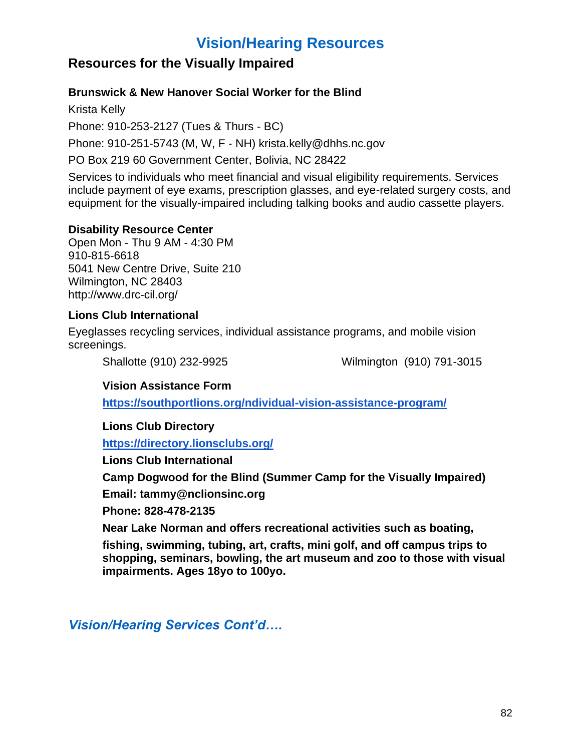# **Vision/Hearing Resources**

# **Resources for the Visually Impaired**

### **Brunswick & New Hanover Social Worker for the Blind**

Krista Kelly Phone: 910-253-2127 (Tues & Thurs - BC) Phone: 910-251-5743 (M, W, F - NH) krista.kelly@dhhs.nc.gov PO Box 219 60 Government Center, Bolivia, NC 28422

Services to individuals who meet financial and visual eligibility requirements. Services include payment of eye exams, prescription glasses, and eye-related surgery costs, and equipment for the visually-impaired including talking books and audio cassette players.

### **Disability Resource Center**

Open Mon - Thu 9 AM - 4:30 PM 910-815-6618 5041 New Centre Drive, Suite 210 Wilmington, NC 28403 http://www.drc-cil.org/

### **Lions Club International**

Eyeglasses recycling services, individual assistance programs, and mobile vision screenings.

Shallotte (910) 232-9925 Wilmington (910) 791-3015

### **Vision Assistance Form**

**[https://southportlions.org/ndividual-vision-assistance-program/](https://southportlions.org/ndividual-vision-ass)**

**Lions Club Directory** 

**<https://directory.lionsclubs.org/>**

**Lions Club International** 

**Camp Dogwood for the Blind (Summer Camp for the Visually Impaired)** 

**Email: tammy@nclionsinc.org** 

**Phone: 828-478-2135** 

**Near Lake Norman and offers recreational activities such as boating,** 

**fishing, swimming, tubing, art, crafts, mini golf, and off campus trips to shopping, seminars, bowling, the art museum and zoo to those with visual impairments. Ages 18yo to 100yo.** 

*Vision/Hearing Services Cont'd….*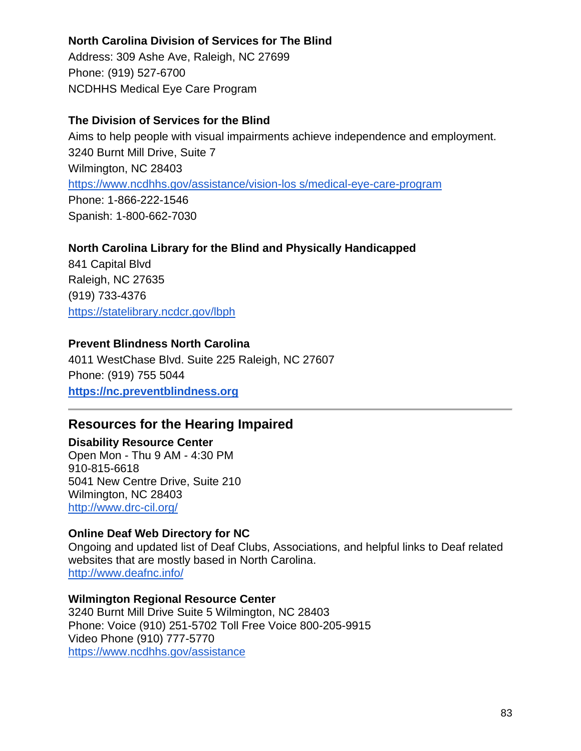### **North Carolina Division of Services for The Blind**

Address: 309 Ashe Ave, Raleigh, NC 27699 Phone: (919) 527-6700 NCDHHS Medical Eye Care Program

### **The Division of Services for the Blind**

Aims to help people with visual impairments achieve independence and employment. 3240 Burnt Mill Drive, Suite 7 Wilmington, NC 28403 [https://www.ncdhhs.gov/assistance/vision-los s/medical-eye-care-program](https://www.ncdhhs.gov/assistance/vision-los) Phone: 1-866-222-1546 Spanish: 1-800-662-7030

### **North Carolina Library for the Blind and Physically Handicapped**

841 Capital Blvd Raleigh, NC 27635 (919) 733-4376 <https://statelibrary.ncdcr.gov/lbph>

### **Prevent Blindness North Carolina**

4011 WestChase Blvd. Suite 225 Raleigh, NC 27607 Phone: (919) 755 5044 **[https://nc.preventblindness.org](https://nc.preventblindness.org/)**

# **Resources for the Hearing Impaired**

### **Disability Resource Center**

Open Mon - Thu 9 AM - 4:30 PM 910-815-6618 5041 New Centre Drive, Suite 210 Wilmington, NC 28403 <http://www.drc-cil.org/>

### **Online Deaf Web Directory for NC**

Ongoing and updated list of Deaf Clubs, Associations, and helpful links to Deaf related websites that are mostly based in North Carolina. <http://www.deafnc.info/>

### **Wilmington Regional Resource Center**

3240 Burnt Mill Drive Suite 5 Wilmington, NC 28403 Phone: Voice (910) 251-5702 Toll Free Voice 800-205-9915 Video Phone (910) 777-5770 <https://www.ncdhhs.gov/assistance>